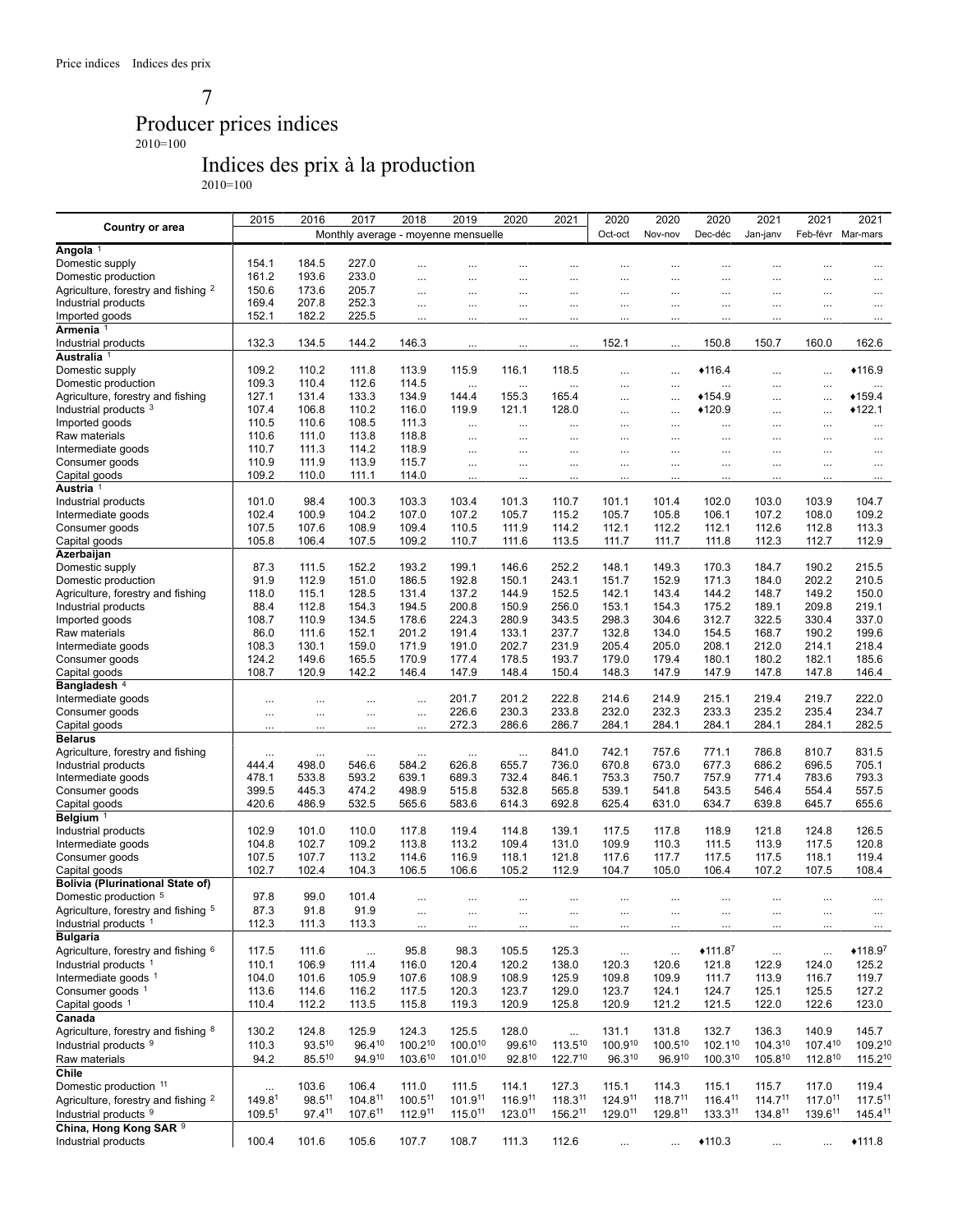7

## Producer prices indices

2010=100

# Indices des prix à la production

2010=100

|                                                | 2015                           | 2016        | 2017                                | 2018     | 2019         | 2020        | 2021         | 2020           | 2020         | 2020         | 2021         | 2021                | 2021                |
|------------------------------------------------|--------------------------------|-------------|-------------------------------------|----------|--------------|-------------|--------------|----------------|--------------|--------------|--------------|---------------------|---------------------|
| Country or area                                |                                |             | Monthly average - moyenne mensuelle |          |              |             |              | Oct-oct        | Nov-nov      | Dec-déc      | Jan-janv     | Feb-févr Mar-mars   |                     |
| Angola <sup>1</sup>                            |                                |             |                                     |          |              |             |              |                |              |              |              |                     |                     |
| Domestic supply                                | 154.1                          | 184.5       | 227.0                               |          |              |             |              |                | $\cdots$     |              | $\cdots$     |                     |                     |
| Domestic production                            | 161.2                          | 193.6       | 233.0                               | $\cdots$ | $\cdots$     | $\cdots$    |              | $\cdots$       | $\cdots$     | $\cdots$     | $\cdots$     |                     | $\cdots$            |
| Agriculture, forestry and fishing <sup>2</sup> | 150.6                          | 173.6       | 205.7                               | $\cdots$ | $\cdots$     | $\cdots$    | $\cdots$     | $\cdots$       | $\cdots$     | $\cdots$     | $\cdots$     |                     | $\cdots$            |
| Industrial products                            | 169.4                          | 207.8       | 252.3                               |          |              |             |              |                |              |              |              |                     |                     |
| Imported goods                                 | 152.1                          | 182.2       | 225.5                               |          |              | $\cdots$    |              | $\cdots$       | $\cdots$     | $\cdots$     | $\cdots$     |                     | $\cdots$            |
| Armenia 1                                      |                                |             |                                     |          | $\cdots$     |             |              |                |              | .            |              |                     | $\cdots$            |
|                                                |                                |             |                                     |          |              |             |              |                |              |              |              |                     |                     |
| Industrial products                            | 132.3                          | 134.5       | 144.2                               | 146.3    | $\cdots$     |             |              | 152.1          | $\cdots$     | 150.8        | 150.7        | 160.0               | 162.6               |
| Australia <sup>1</sup>                         |                                |             |                                     |          |              |             |              |                |              |              |              |                     |                     |
| Domestic supply                                | 109.2                          | 110.2       | 111.8                               | 113.9    | 115.9        | 116.1       | 118.5        | $\cdots$       | $\ddotsc$    | $*116.4$     | $\cdots$     | $\cdots$            | $*116.9$            |
| Domestic production                            | 109.3                          | 110.4       | 112.6                               | 114.5    | $\cdots$     | $\cdots$    | $\cdots$     | $\cdots$       | $\cdots$     | $\cdots$     | $\cdots$     | $\cdots$            | $\cdots$            |
| Agriculture, forestry and fishing              | 127.1                          | 131.4       | 133.3                               | 134.9    | 144.4        | 155.3       | 165.4        | $\cdots$       | $\cdots$     | $*154.9$     | $\cdots$     | $\cdots$            | $*159.4$            |
| Industrial products 3                          | 107.4                          | 106.8       | 110.2                               | 116.0    | 119.9        | 121.1       | 128.0        | $\cdots$       | $\ddotsc$    | $*120.9$     | $\cdots$     | $\cdots$            | $*122.1$            |
| Imported goods                                 | 110.5                          | 110.6       | 108.5                               | 111.3    | $\cdots$     |             |              | $\cdots$       | $\cdots$     |              | $\cdots$     |                     | $\cdots$            |
| Raw materials                                  | 110.6                          | 111.0       | 113.8                               | 118.8    | $\cdots$     |             |              | $\cdots$       | $\cdots$     | $\cdots$     |              | $\cdots$            | $\cdots$            |
| Intermediate goods                             | 110.7                          | 111.3       | 114.2                               | 118.9    | $\cdots$     | $\cdots$    | $\cdots$     | $\cdots$       | $\cdots$     | $\cdots$     | $\cdots$     |                     | $\cdots$            |
| Consumer goods                                 | 110.9                          | 111.9       | 113.9                               | 115.7    | $\cdots$     |             |              |                | $\cdots$     | $\cdots$     | $\cdots$     |                     | $\cdots$            |
| Capital goods                                  | 109.2                          | 110.0       | 111.1                               | 114.0    | $\cdots$     | $\cdots$    | $\ddotsc$    | $\cdots$       | $\cdots$     | $\cdots$     | $\cdots$     |                     | $\cdots$            |
| Austria <sup>1</sup>                           |                                |             |                                     |          |              |             |              |                |              |              |              |                     |                     |
| Industrial products                            | 101.0                          | 98.4        | 100.3                               | 103.3    | 103.4        | 101.3       | 110.7        | 101.1          | 101.4        | 102.0        | 103.0        | 103.9               | 104.7               |
| Intermediate goods                             | 102.4                          | 100.9       | 104.2                               | 107.0    | 107.2        | 105.7       | 115.2        | 105.7          | 105.8        | 106.1        | 107.2        | 108.0               | 109.2               |
| Consumer goods                                 | 107.5                          | 107.6       | 108.9                               | 109.4    | 110.5        | 111.9       | 114.2        | 112.1          | 112.2        | 112.1        | 112.6        | 112.8               | 113.3               |
| Capital goods                                  | 105.8                          | 106.4       | 107.5                               | 109.2    | 110.7        | 111.6       | 113.5        | 111.7          | 111.7        | 111.8        | 112.3        | 112.7               | 112.9               |
| Azerbaijan                                     |                                |             |                                     |          |              |             |              |                |              |              |              |                     |                     |
| Domestic supply                                | 87.3                           | 111.5       | 152.2                               | 193.2    | 199.1        | 146.6       | 252.2        | 148.1          | 149.3        | 170.3        | 184.7        | 190.2               | 215.5               |
| Domestic production                            | 91.9                           | 112.9       | 151.0                               | 186.5    | 192.8        | 150.1       | 243.1        | 151.7          | 152.9        | 171.3        | 184.0        | 202.2               | 210.5               |
|                                                |                                |             |                                     |          |              |             |              |                |              |              |              |                     |                     |
| Agriculture, forestry and fishing              | 118.0                          | 115.1       | 128.5                               | 131.4    | 137.2        | 144.9       | 152.5        | 142.1<br>153.1 | 143.4        | 144.2        | 148.7        | 149.2               | 150.0               |
| Industrial products                            | 88.4                           | 112.8       | 154.3                               | 194.5    | 200.8        | 150.9       | 256.0        |                | 154.3        | 175.2        | 189.1        | 209.8               | 219.1               |
| Imported goods                                 | 108.7                          | 110.9       | 134.5                               | 178.6    | 224.3        | 280.9       | 343.5        | 298.3          | 304.6        | 312.7        | 322.5        | 330.4               | 337.0               |
| Raw materials                                  | 86.0                           | 111.6       | 152.1                               | 201.2    | 191.4        | 133.1       | 237.7        | 132.8          | 134.0        | 154.5        | 168.7        | 190.2               | 199.6               |
| Intermediate goods                             | 108.3                          | 130.1       | 159.0                               | 171.9    | 191.0        | 202.7       | 231.9        | 205.4          | 205.0        | 208.1        | 212.0        | 214.1               | 218.4               |
| Consumer goods                                 | 124.2                          | 149.6       | 165.5                               | 170.9    | 177.4        | 178.5       | 193.7        | 179.0          | 179.4        | 180.1        | 180.2        | 182.1               | 185.6               |
| Capital goods                                  | 108.7                          | 120.9       | 142.2                               | 146.4    | 147.9        | 148.4       | 150.4        | 148.3          | 147.9        | 147.9        | 147.8        | 147.8               | 146.4               |
| Bangladesh <sup>4</sup>                        |                                |             |                                     |          |              |             |              |                |              |              |              |                     |                     |
| Intermediate goods                             | $\cdots$                       | $\cdots$    | $\cdots$                            |          | 201.7        | 201.2       | 222.8        | 214.6          | 214.9        | 215.1        | 219.4        | 219.7               | 222.0               |
| Consumer goods                                 | $\cdots$                       | $\cdots$    | $\cdots$                            | $\cdots$ | 226.6        | 230.3       | 233.8        | 232.0          | 232.3        | 233.3        | 235.2        | 235.4               | 234.7               |
| Capital goods                                  | $\cdots$                       | $\cdots$    | $\cdots$                            | $\cdots$ | 272.3        | 286.6       | 286.7        | 284.1          | 284.1        | 284.1        | 284.1        | 284.1               | 282.5               |
| <b>Belarus</b>                                 |                                |             |                                     |          |              |             |              |                |              |              |              |                     |                     |
| Agriculture, forestry and fishing              | $\cdots$                       | $\cdots$    | $\cdots$                            | $\cdots$ | $\cdots$     | $\cdots$    | 841.0        | 742.1          | 757.6        | 771.1        | 786.8        | 810.7               | 831.5               |
| Industrial products                            | 444.4                          | 498.0       | 546.6                               | 584.2    | 626.8        | 655.7       | 736.0        | 670.8          | 673.0        | 677.3        | 686.2        | 696.5               | 705.1               |
| Intermediate goods                             | 478.1                          | 533.8       | 593.2                               | 639.1    | 689.3        | 732.4       | 846.1        | 753.3          | 750.7        | 757.9        | 771.4        | 783.6               | 793.3               |
| Consumer goods                                 | 399.5                          | 445.3       | 474.2                               | 498.9    | 515.8        | 532.8       | 565.8        | 539.1          | 541.8        | 543.5        | 546.4        | 554.4               | 557.5               |
| Capital goods                                  | 420.6                          | 486.9       | 532.5                               | 565.6    | 583.6        | 614.3       | 692.8        | 625.4          | 631.0        | 634.7        | 639.8        | 645.7               | 655.6               |
| Belgium $1$                                    |                                |             |                                     |          |              |             |              |                |              |              |              |                     |                     |
| Industrial products                            | 102.9                          | 101.0       | 110.0                               | 117.8    | 119.4        | 114.8       | 139.1        | 117.5          | 117.8        | 118.9        | 121.8        | 124.8               | 126.5               |
| Intermediate goods                             | 104.8                          | 102.7       | 109.2                               | 113.8    | 113.2        | 109.4       | 131.0        | 109.9          | 110.3        | 111.5        | 113.9        | 117.5               | 120.8               |
| Consumer goods                                 | 107.5                          | 107.7       | 113.2                               | 114.6    | 116.9        | 118.1       | 121.8        | 117.6          | 117.7        | 117.5        | 117.5        | 118.1               | 119.4               |
| Capital goods                                  | 102.7                          | 102.4       | 104.3                               | 106.5    | 106.6        | 105.2       | 112.9        | 104.7          | 105.0        | 106.4        | 107.2        | 107.5               | 108.4               |
| <b>Bolivia (Plurinational State of)</b>        |                                |             |                                     |          |              |             |              |                |              |              |              |                     |                     |
| Domestic production 5                          | 97.8                           | 99.0        | 101.4                               |          | $\cdots$     | $\ddotsc$   |              |                | $\cdots$     | $\cdots$     | $\cdots$     |                     |                     |
| Agriculture, forestry and fishing <sup>5</sup> | 87.3                           | 91.8        | 91.9                                |          |              |             |              |                |              |              |              |                     |                     |
| Industrial products <sup>1</sup>               | 112.3                          | 111.3       | 113.3                               |          |              |             |              |                |              |              |              |                     |                     |
| <b>Bulgaria</b>                                |                                |             |                                     | $\cdots$ | $\ldots$     | $\ldots$    | $\ldots$     | $\cdots$       | $\ldots$     |              |              | $\cdots$            | $\cdots$            |
|                                                |                                |             |                                     |          |              |             |              |                |              |              |              |                     |                     |
| Agriculture, forestry and fishing 6            | 117.5                          | 111.6       | $\ldots$                            | 95.8     | 98.3         | 105.5       | 125.3        | $\ddotsc$      | $\ldots$     | $*111.87$    | $\ldots$     | $\cdots$            | $*118.97$           |
| Industrial products <sup>1</sup>               | 110.1                          | 106.9       | 111.4                               | 116.0    | 120.4        | 120.2       | 138.0        | 120.3          | 120.6        | 121.8        | 122.9        | 124.0               | 125.2               |
| Intermediate goods 1                           | 104.0                          | 101.6       | 105.9                               | 107.6    | 108.9        | 108.9       | 125.9        | 109.8          | 109.9        | 111.7        | 113.9        | 116.7               | 119.7               |
| Consumer goods 1                               | 113.6                          | 114.6       | 116.2                               | 117.5    | 120.3        | 123.7       | 129.0        | 123.7          | 124.1        | 124.7        | 125.1        | 125.5               | 127.2               |
| Capital goods 1                                | 110.4                          | 112.2       | 113.5                               | 115.8    | 119.3        | 120.9       | 125.8        | 120.9          | 121.2        | 121.5        | 122.0        | 122.6               | 123.0               |
| Canada                                         |                                |             |                                     |          |              |             |              |                |              |              |              |                     |                     |
| Agriculture, forestry and fishing 8            | 130.2                          | 124.8       | 125.9                               | 124.3    | 125.5        | 128.0       | $\ldots$     | 131.1          | 131.8        | 132.7        | 136.3        | 140.9               | 145.7               |
| Industrial products <sup>9</sup>               | 110.3                          | $93.5^{10}$ | 96.410                              | 100.210  | $100.0^{10}$ | 99.610      | $113.5^{10}$ | 100.910        | 100.510      | $102.1^{10}$ | 104.310      | 107.410             | 109.210             |
| Raw materials                                  | 94.2                           | $85.5^{10}$ | 94.910                              | 103.610  | $101.0^{10}$ | $92.8^{10}$ | 122.710      | 96.310         | 96.910       | $100.3^{10}$ | 105.810      | $112.8^{10}$        | $115.2^{10}$        |
| Chile                                          |                                |             |                                     |          |              |             |              |                |              |              |              |                     |                     |
| Domestic production 11                         |                                | 103.6       | 106.4                               | 111.0    | 111.5        | 114.1       | 127.3        | 115.1          | 114.3        | 115.1        | 115.7        | 117.0               | 119.4               |
| Agriculture, forestry and fishing <sup>2</sup> | $\ldots$<br>149.8 <sup>1</sup> | 98.511      | 104.811                             | 100.511  | 101.911      | 116.911     | 118.311      | 124.911        | $118.7^{11}$ | 116.411      | $114.7^{11}$ | 117.011             | 117.5 <sup>11</sup> |
| Industrial products <sup>9</sup>               | 109.5 <sup>1</sup>             | 97.411      | 107.611                             | 112.911  | $115.0^{11}$ | 123.011     | 156.211      | 129.011        | 129.811      | 133.311      | 134.811      | 139.6 <sup>11</sup> | 145.411             |
| China, Hong Kong SAR 9                         |                                |             |                                     |          |              |             |              |                |              |              |              |                     |                     |
|                                                |                                |             |                                     |          |              |             |              |                |              |              |              |                     |                     |
| Industrial products                            | 100.4                          | 101.6       | 105.6                               | 107.7    | 108.7        | 111.3       | 112.6        | $\cdots$       | $\cdots$     | $*110.3$     | $\cdots$     |                     | $*111.8$            |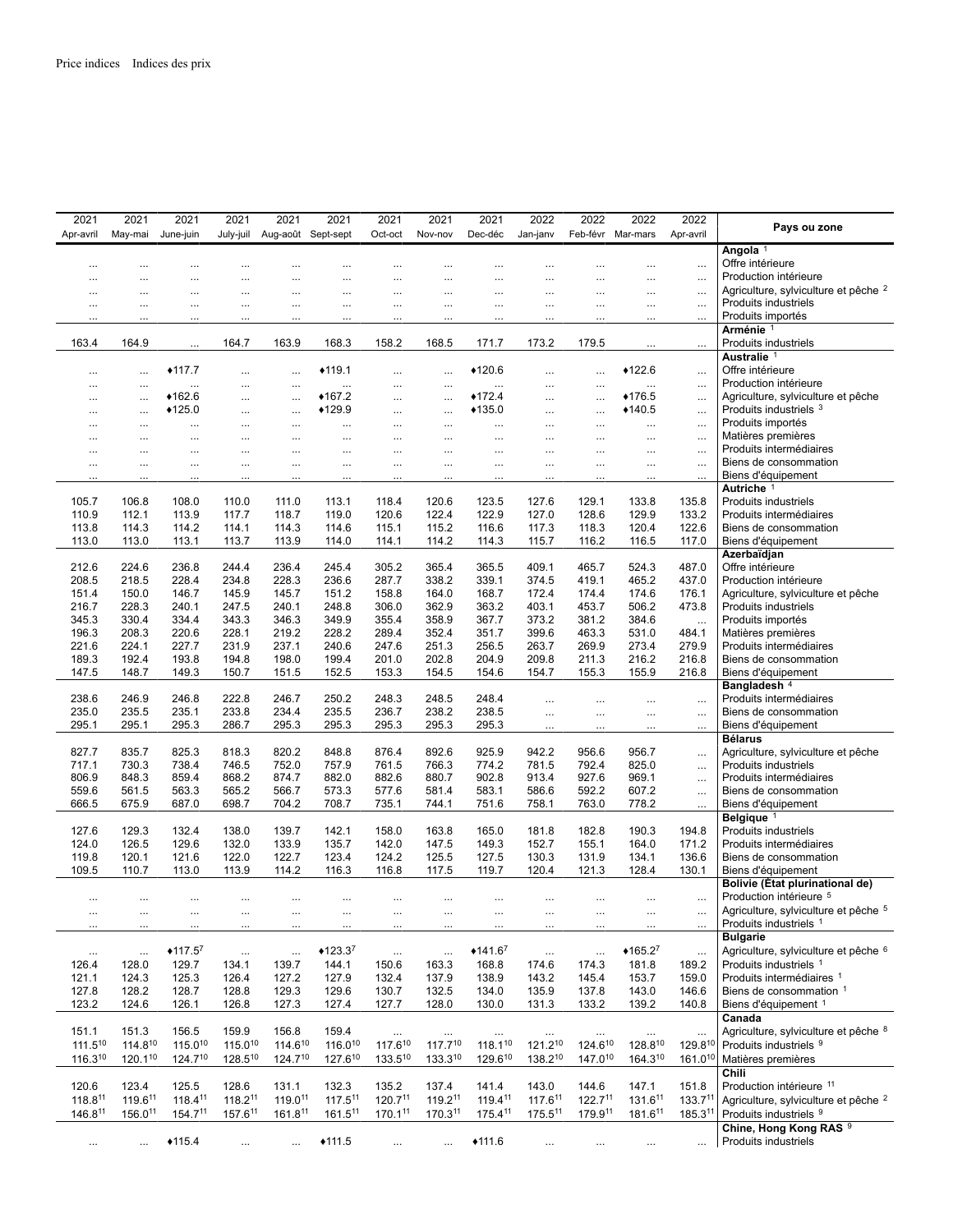| 2021         | 2021         | 2021      | 2021         | 2021                | 2021      | 2021         | 2021         | 2021         | 2022      | 2022              | 2022      | 2022                | Pays ou zone                                    |
|--------------|--------------|-----------|--------------|---------------------|-----------|--------------|--------------|--------------|-----------|-------------------|-----------|---------------------|-------------------------------------------------|
| Apr-avril    | May-mai      | June-juin | July-juil    | Aug-août Sept-sept  |           | Oct-oct      | Nov-nov      | Dec-déc      | Jan-janv  | Feb-févr Mar-mars |           | Apr-avril           |                                                 |
|              |              |           |              |                     |           |              |              |              |           |                   |           |                     | Angola <sup>1</sup>                             |
| $\ddotsc$    | $\ddotsc$    | $\cdots$  |              | $\ddotsc$           |           | $\ddotsc$    |              | $\ddotsc$    | $\ddotsc$ | $\cdots$          |           | $\ldots$            | Offre intérieure                                |
| $\ddotsc$    | $\cdots$     | $\cdots$  | $\cdots$     | $\cdots$            | $\cdots$  | $\ddotsc$    | $\cdots$     | $\cdots$     | $\cdots$  | $\ddotsc$         | $\ddotsc$ | $\ddots$            | Production intérieure                           |
| $\cdots$     | $\cdots$     | $\cdots$  | $\cdots$     | $\cdots$            | $\cdots$  | $\cdots$     | $\cdots$     | $\cdots$     | $\cdots$  | $\cdots$          | $\cdots$  | $\ldots$            | Agriculture, sylviculture et pêche <sup>2</sup> |
| $\cdots$     | $\cdots$     | $\cdots$  | $\cdots$     | $\cdots$            | $\cdots$  | $\cdots$     | $\cdots$     | $\cdots$     | $\cdots$  | $\cdots$          | $\cdots$  | $\cdots$            | Produits industriels                            |
| .            | .            |           |              |                     | .         |              |              | $\ddotsc$    | .         | $\ddotsc$         |           | $\ldots$            | Produits importés                               |
|              |              |           |              |                     |           |              |              |              |           |                   |           |                     | Arménie <sup>1</sup>                            |
| 163.4        | 164.9        | $\ddotsc$ | 164.7        | 163.9               | 168.3     | 158.2        | 168.5        | 171.7        | 173.2     | 179.5             |           | $\ddotsc$           | Produits industriels                            |
|              |              |           |              |                     |           |              |              |              |           |                   |           |                     | Australie <sup>1</sup>                          |
| $\cdots$     | $\cdots$     | $*117.7$  | $\cdots$     | $\cdots$            | $*119.1$  | $\cdots$     | $\cdots$     | $*120.6$     | $\cdots$  | $\cdots$          | $*122.6$  | $\cdots$            | Offre intérieure                                |
| $\cdots$     | $\cdots$     | $\cdots$  | $\cdots$     | $\cdots$            | $\cdots$  | $\cdots$     | $\cdots$     | $\cdots$     | $\cdots$  | $\cdots$          | $\cdots$  | $\ldots$            | Production intérieure                           |
| $\cdots$     | $\cdots$     | $*162.6$  | $\cdots$     | $\cdots$            | $*167.2$  | $\cdots$     | $\cdots$     | $*172.4$     | $\cdots$  | $\cdots$          | ◆176.5    | $\ddotsc$           | Agriculture, sylviculture et pêche              |
| $\cdots$     | $\cdots$     | $*125.0$  | $\cdots$     | $\cdots$            | ◆129.9    | $\cdots$     | $\cdots$     | $*135.0$     | $\cdots$  | $\cdots$          | $*140.5$  | $\cdots$            | Produits industriels 3                          |
| $\cdots$     | $\ddotsc$    |           | $\cdots$     | $\ddotsc$           |           | $\cdots$     | $\cdots$     |              | $\cdots$  | $\cdots$          |           | $\ddotsc$           | Produits importés                               |
| $\ddotsc$    | $\ddotsc$    |           |              | $\cdots$            |           | $\cdots$     | $\cdots$     | $\ddotsc$    | $\cdots$  | $\ddotsc$         |           | $\ddotsc$           | Matières premières                              |
| $\cdots$     | $\cdots$     | $\cdots$  | $\cdots$     | $\cdots$            | $\cdots$  | $\cdots$     | $\cdots$     | $\ldots$     | $\cdots$  | $\cdots$          | $\cdots$  | $\ldots$            | Produits intermédiaires                         |
| $\cdots$     | $\cdots$     |           | $\cdots$     | $\cdots$            | $\cdots$  | $\cdots$     | $\cdots$     | $\cdots$     | $\cdots$  | $\cdots$          | $\cdots$  | $\cdots$            | Biens de consommation                           |
|              |              |           |              | $\cdots$            |           |              |              | $\cdots$     |           |                   |           | $\ldots$            | Biens d'équipement                              |
|              |              |           |              |                     |           |              |              |              |           |                   |           |                     | Autriche <sup>1</sup>                           |
| 105.7        | 106.8        | 108.0     | 110.0        | 111.0               | 113.1     | 118.4        | 120.6        | 123.5        | 127.6     | 129.1             | 133.8     | 135.8               | Produits industriels                            |
| 110.9        | 112.1        | 113.9     | 117.7        | 118.7               | 119.0     | 120.6        | 122.4        | 122.9        | 127.0     | 128.6             | 129.9     | 133.2               | Produits intermédiaires                         |
| 113.8        | 114.3        | 114.2     | 114.1        | 114.3               | 114.6     | 115.1        | 115.2        | 116.6        | 117.3     | 118.3             | 120.4     | 122.6               | Biens de consommation                           |
| 113.0        | 113.0        | 113.1     | 113.7        | 113.9               | 114.0     | 114.1        | 114.2        | 114.3        | 115.7     | 116.2             | 116.5     | 117.0               | Biens d'équipement                              |
| 212.6        | 224.6        | 236.8     | 244.4        | 236.4               | 245.4     | 305.2        | 365.4        | 365.5        | 409.1     | 465.7             | 524.3     | 487.0               | Azerbaïdjan<br>Offre intérieure                 |
| 208.5        | 218.5        | 228.4     | 234.8        | 228.3               | 236.6     | 287.7        | 338.2        | 339.1        | 374.5     | 419.1             | 465.2     | 437.0               | Production intérieure                           |
| 151.4        | 150.0        | 146.7     | 145.9        | 145.7               | 151.2     | 158.8        | 164.0        | 168.7        | 172.4     | 174.4             | 174.6     | 176.1               | Agriculture, sylviculture et pêche              |
| 216.7        | 228.3        | 240.1     | 247.5        | 240.1               | 248.8     | 306.0        | 362.9        | 363.2        | 403.1     | 453.7             | 506.2     | 473.8               | <b>Produits industriels</b>                     |
| 345.3        | 330.4        | 334.4     | 343.3        | 346.3               | 349.9     | 355.4        | 358.9        | 367.7        | 373.2     | 381.2             | 384.6     | $\ddotsc$           | Produits importés                               |
| 196.3        | 208.3        | 220.6     | 228.1        | 219.2               | 228.2     | 289.4        | 352.4        | 351.7        | 399.6     | 463.3             | 531.0     | 484.1               | Matières premières                              |
| 221.6        | 224.1        | 227.7     | 231.9        | 237.1               | 240.6     | 247.6        | 251.3        | 256.5        | 263.7     | 269.9             | 273.4     | 279.9               | Produits intermédiaires                         |
| 189.3        | 192.4        | 193.8     | 194.8        | 198.0               | 199.4     | 201.0        | 202.8        | 204.9        | 209.8     | 211.3             | 216.2     | 216.8               | Biens de consommation                           |
| 147.5        | 148.7        | 149.3     | 150.7        | 151.5               | 152.5     | 153.3        | 154.5        | 154.6        | 154.7     | 155.3             | 155.9     | 216.8               | Biens d'équipement                              |
|              |              |           |              |                     |           |              |              |              |           |                   |           |                     | Bangladesh <sup>4</sup>                         |
| 238.6        | 246.9        | 246.8     | 222.8        | 246.7               | 250.2     | 248.3        | 248.5        | 248.4        | $\cdots$  | $\cdots$          | $\cdots$  | $\ddotsc$           | Produits intermédiaires                         |
| 235.0        | 235.5        | 235.1     | 233.8        | 234.4               | 235.5     | 236.7        | 238.2        | 238.5        | $\cdots$  | $\cdots$          | $\cdots$  | $\ldots$            | Biens de consommation                           |
| 295.1        | 295.1        | 295.3     | 286.7        | 295.3               | 295.3     | 295.3        | 295.3        | 295.3        | $\cdots$  | $\cdots$          |           | $\cdots$            | Biens d'équipement                              |
|              |              |           |              |                     |           |              |              |              |           |                   |           |                     | <b>Bélarus</b>                                  |
| 827.7        | 835.7        | 825.3     | 818.3        | 820.2               | 848.8     | 876.4        | 892.6        | 925.9        | 942.2     | 956.6             | 956.7     | $\ldots$            | Agriculture, sylviculture et pêche              |
| 717.1        | 730.3        | 738.4     | 746.5        | 752.0               | 757.9     | 761.5        | 766.3        | 774.2        | 781.5     | 792.4             | 825.0     | $\ldots$            | Produits industriels                            |
| 806.9        | 848.3        | 859.4     | 868.2        | 874.7               | 882.0     | 882.6        | 880.7        | 902.8        | 913.4     | 927.6             | 969.1     | $\ldots$            | Produits intermédiaires                         |
| 559.6        | 561.5        | 563.3     | 565.2        | 566.7               | 573.3     | 577.6        | 581.4        | 583.1        | 586.6     | 592.2             | 607.2     | $\ldots$            | Biens de consommation                           |
| 666.5        | 675.9        | 687.0     | 698.7        | 704.2               | 708.7     | 735.1        | 744.1        | 751.6        | 758.1     | 763.0             | 778.2     | $\cdots$            | Biens d'équipement                              |
| 127.6        | 129.3        | 132.4     | 138.0        | 139.7               | 142.1     | 158.0        | 163.8        | 165.0        | 181.8     | 182.8             | 190.3     | 194.8               | Belgique <sup>1</sup><br>Produits industriels   |
| 124.0        | 126.5        | 129.6     | 132.0        | 133.9               | 135.7     | 142.0        | 147.5        | 149.3        | 152.7     | 155.1             | 164.0     | 171.2               | Produits intermédiaires                         |
| 119.8        | 120.1        | 121.6     | 122.0        | 122.7               | 123.4     | 124.2        | 125.5        | 127.5        | 130.3     | 131.9             | 134.1     | 136.6               | Biens de consommation                           |
| 109.5        | 110.7        | 113.0     | 113.9        | 114.2               | 116.3     | 116.8        | 117.5        | 119.7        | 120.4     | 121.3             | 128.4     | 130.1               | Biens d'équipement                              |
|              |              |           |              |                     |           |              |              |              |           |                   |           |                     | Bolivie (État plurinational de)                 |
| $\cdots$     |              |           |              |                     |           |              |              | $\ddotsc$    | $\ddotsc$ | $\cdots$          | $\cdots$  | $\ddotsc$           | Production intérieure 5                         |
|              |              |           |              |                     |           |              |              |              |           |                   |           |                     | Agriculture, sylviculture et pêche 5            |
| $\cdots$     | $\cdots$     | $\cdots$  | $\cdots$     | $\cdots$            | $\cdots$  | $\cdots$     | $\cdots$     | $\ldots$     | $\cdots$  | $\ldots$          | $\ldots$  | $\cdots$            | Produits industriels 1                          |
|              |              |           |              |                     |           |              |              |              |           |                   |           |                     | <b>Bulgarie</b>                                 |
| $\cdots$     | $\ldots$     | $*117.57$ | $\ldots$     | $\cdots$            | $*123.37$ | $\ldots$     | $\ldots$     | $*141.67$    | $\ldots$  | $\ldots$          | $*165.27$ | $\cdots$            | Agriculture, sylviculture et pêche <sup>6</sup> |
| 126.4        | 128.0        | 129.7     | 134.1        | 139.7               | 144.1     | 150.6        | 163.3        | 168.8        | 174.6     | 174.3             | 181.8     | 189.2               | Produits industriels 1                          |
| 121.1        | 124.3        | 125.3     | 126.4        | 127.2               | 127.9     | 132.4        | 137.9        | 138.9        | 143.2     | 145.4             | 153.7     | 159.0               | Produits intermédiaires 1                       |
| 127.8        | 128.2        | 128.7     | 128.8        | 129.3               | 129.6     | 130.7        | 132.5        | 134.0        | 135.9     | 137.8             | 143.0     | 146.6               | Biens de consommation 1                         |
| 123.2        | 124.6        | 126.1     | 126.8        | 127.3               | 127.4     | 127.7        | 128.0        | 130.0        | 131.3     | 133.2             | 139.2     | 140.8               | Biens d'équipement 1                            |
|              |              |           |              |                     |           |              |              |              |           |                   |           |                     | Canada                                          |
| 151.1        | 151.3        | 156.5     | 159.9        | 156.8               | 159.4     | $\ldots$     | $\cdots$     | $\cdots$     | $\cdots$  | $\cdots$          | $\ldots$  | $\cdots$            | Agriculture, sylviculture et pêche 8            |
| 111.510      | 114.810      | 115.010   | $115.0^{10}$ | 114.610             | 116.010   | $117.6^{10}$ | 117.710      | $118.1^{10}$ | 121.210   | $124.6^{10}$      | 128.810   | 129.810             | Produits industriels 9                          |
| 116.310      | $120.1^{10}$ | 124.710   | 128.510      | 124.710             | 127.610   | 133.510      | $133.3^{10}$ | $129.6^{10}$ | 138.210   | $147.0^{10}$      | 164.310   | 161.010             | Matières premières                              |
|              |              |           |              |                     |           |              |              |              |           |                   |           |                     | Chili                                           |
| 120.6        | 123.4        | 125.5     | 128.6        | 131.1               | 132.3     | 135.2        | 137.4        | 141.4        | 143.0     | 144.6             | 147.1     | 151.8               | Production intérieure 11                        |
| 118.811      | 119.611      | 118.411   | $118.2^{11}$ | 119.0 <sup>11</sup> | 117.511   | 120.711      | 119.211      | $119.4^{11}$ | 117.611   | 122.711           | 131.611   | 133.711             | Agriculture, sylviculture et pêche <sup>2</sup> |
| $146.8^{11}$ | 156.011      | 154.711   | 157.611      | 161.811             | 161.511   | 170.111      | 170.311      | 175.411      | 175.511   | 179.911           | 181.611   | 185.3 <sup>11</sup> | Produits industriels 9                          |
|              |              |           |              |                     |           |              |              |              |           |                   |           |                     | Chine, Hong Kong RAS <sup>9</sup>               |
| $\cdots$     | $\cdots$     | $*115.4$  | $\ldots$     | $\cdots$            | $*111.5$  | $\ldots$     | $\cdots$     | $*111.6$     | $\ldots$  | $\cdots$          | $\ldots$  |                     | Produits industriels                            |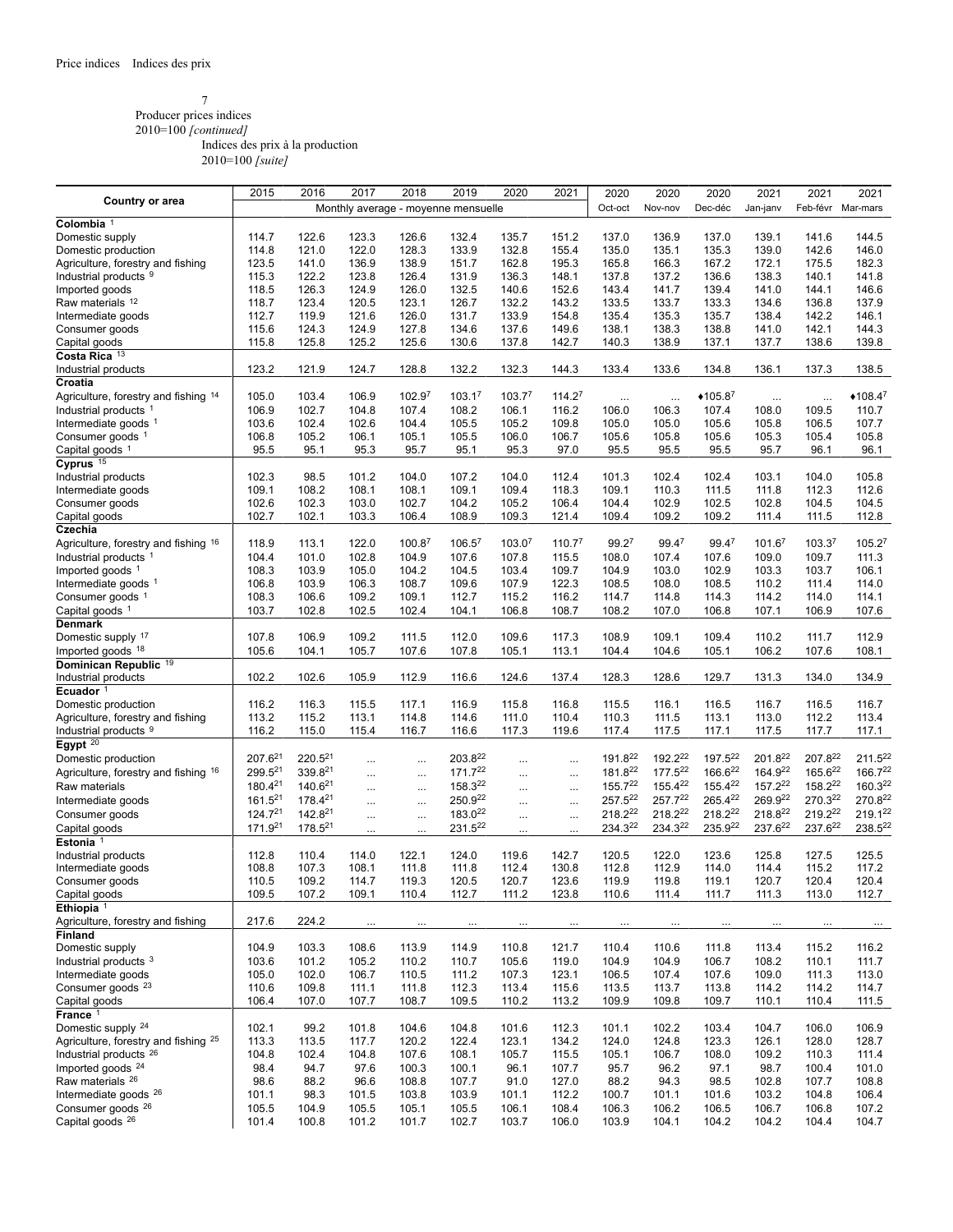## 7

Producer prices indices 2010=100 *[continued]*

Indices des prix à la production

|                                              | 2015                | 2016                | 2017           | 2018               | 2019                                | 2020               | 2021               | 2020           | 2020           | 2020                | 2021               | 2021               | 2021               |
|----------------------------------------------|---------------------|---------------------|----------------|--------------------|-------------------------------------|--------------------|--------------------|----------------|----------------|---------------------|--------------------|--------------------|--------------------|
| <b>Country or area</b>                       |                     |                     |                |                    | Monthly average - moyenne mensuelle |                    |                    | Oct-oct        | Nov-nov        | Dec-déc             | Jan-janv           | Feb-févr           | Mar-mars           |
| Colombia <sup>1</sup>                        |                     |                     |                |                    |                                     |                    |                    |                |                |                     |                    |                    |                    |
| Domestic supply                              | 114.7               | 122.6               | 123.3          | 126.6              | 132.4                               | 135.7              | 151.2              | 137.0          | 136.9          | 137.0               | 139.1              | 141.6              | 144.5              |
| Domestic production                          | 114.8               | 121.0               | 122.0          | 128.3              | 133.9                               | 132.8              | 155.4              | 135.0          | 135.1          | 135.3               | 139.0              | 142.6              | 146.0              |
| Agriculture, forestry and fishing            | 123.5               | 141.0               | 136.9          | 138.9              | 151.7                               | 162.8              | 195.3              | 165.8          | 166.3          | 167.2               | 172.1              | 175.5              | 182.3              |
| Industrial products 9                        | 115.3               | 122.2               | 123.8          | 126.4              | 131.9                               | 136.3              | 148.1              | 137.8          | 137.2          | 136.6               | 138.3              | 140.1              | 141.8              |
| Imported goods                               | 118.5               | 126.3               | 124.9          | 126.0              | 132.5                               | 140.6              | 152.6              | 143.4          | 141.7          | 139.4               | 141.0              | 144.1              | 146.6              |
| Raw materials 12                             | 118.7               | 123.4               | 120.5          | 123.1              | 126.7                               | 132.2              | 143.2              | 133.5          | 133.7          | 133.3               | 134.6              | 136.8              | 137.9              |
| Intermediate goods                           | 112.7               | 119.9               | 121.6          | 126.0              | 131.7                               | 133.9              | 154.8              | 135.4          | 135.3          | 135.7               | 138.4              | 142.2              | 146.1              |
| Consumer goods                               | 115.6               | 124.3               | 124.9          | 127.8              | 134.6                               | 137.6              | 149.6              | 138.1          | 138.3          | 138.8               | 141.0              | 142.1              | 144.3              |
| Capital goods                                | 115.8               | 125.8               | 125.2          | 125.6              | 130.6                               | 137.8              | 142.7              | 140.3          | 138.9          | 137.1               | 137.7              | 138.6              | 139.8              |
| Costa Rica 13                                |                     |                     |                |                    |                                     |                    |                    |                |                |                     |                    |                    |                    |
| Industrial products                          | 123.2               | 121.9               | 124.7          | 128.8              | 132.2                               | 132.3              | 144.3              | 133.4          | 133.6          | 134.8               | 136.1              | 137.3              | 138.5              |
| Croatia                                      |                     |                     |                |                    |                                     |                    |                    |                |                |                     |                    |                    |                    |
| Agriculture, forestry and fishing 14         | 105.0               | 103.4               | 106.9          | 102.9 <sup>7</sup> | 103.1 <sup>7</sup>                  | 103.7 <sup>7</sup> | 114.2 <sup>7</sup> | $\cdots$       |                | $•105.8^7$          | $\cdots$           | $\cdots$           | $*108.4^7$         |
| Industrial products <sup>1</sup>             | 106.9               | 102.7               | 104.8          | 107.4              | 108.2                               | 106.1              | 116.2              | 106.0          | 106.3          | 107.4               | 108.0              | 109.5              | 110.7              |
| Intermediate goods 1                         | 103.6               | 102.4               | 102.6          | 104.4              | 105.5                               | 105.2              | 109.8              | 105.0          | 105.0          | 105.6               | 105.8              | 106.5              | 107.7              |
| Consumer goods <sup>1</sup>                  | 106.8               | 105.2               | 106.1          | 105.1              | 105.5                               | 106.0              | 106.7              | 105.6          | 105.8          | 105.6               | 105.3              | 105.4              | 105.8              |
| Capital goods <sup>1</sup>                   | 95.5                | 95.1                | 95.3           | 95.7               | 95.1                                | 95.3               | 97.0               | 95.5           | 95.5           | 95.5                | 95.7               | 96.1               | 96.1               |
| Cyprus $15$                                  |                     |                     |                |                    |                                     |                    |                    |                |                |                     |                    |                    |                    |
| Industrial products                          | 102.3               | 98.5                | 101.2          | 104.0              | 107.2                               | 104.0              | 112.4              | 101.3          | 102.4          | 102.4               | 103.1              | 104.0              | 105.8              |
| Intermediate goods                           | 109.1               | 108.2               | 108.1          | 108.1              | 109.1                               | 109.4              | 118.3              | 109.1          | 110.3          | 111.5               | 111.8              | 112.3              | 112.6              |
| Consumer goods                               | 102.6               | 102.3               | 103.0          | 102.7              | 104.2                               | 105.2              | 106.4              | 104.4          | 102.9          | 102.5               | 102.8              | 104.5              | 104.5              |
| Capital goods                                | 102.7               | 102.1               | 103.3          | 106.4              | 108.9                               | 109.3              | 121.4              | 109.4          | 109.2          | 109.2               | 111.4              | 111.5              | 112.8              |
| Czechia                                      |                     |                     |                |                    |                                     |                    |                    |                |                |                     |                    |                    |                    |
| Agriculture, forestry and fishing 16         | 118.9               | 113.1               | 122.0          | 100.8 <sup>7</sup> | $106.5^7$                           | 103.0 <sup>7</sup> | 110.7 <sup>7</sup> | $99.2^7$       | $99.4^7$       | $99.4^7$            | 101.6 <sup>7</sup> | 103.3 <sup>7</sup> | 105.2 <sup>7</sup> |
| Industrial products <sup>1</sup>             | 104.4               | 101.0               | 102.8          | 104.9              | 107.6                               | 107.8              | 115.5              | 108.0          | 107.4          | 107.6               | 109.0              | 109.7              | 111.3              |
| Imported goods <sup>1</sup>                  | 108.3               | 103.9               | 105.0          | 104.2              | 104.5                               | 103.4              | 109.7              | 104.9          | 103.0          | 102.9               | 103.3              | 103.7              | 106.1              |
| Intermediate goods <sup>1</sup>              | 106.8               | 103.9               | 106.3          | 108.7              | 109.6                               | 107.9              | 122.3              | 108.5          | 108.0          | 108.5               | 110.2              | 111.4              | 114.0              |
| Consumer goods <sup>1</sup>                  | 108.3               | 106.6               | 109.2          | 109.1              | 112.7                               | 115.2              | 116.2              | 114.7          | 114.8          | 114.3               | 114.2              | 114.0              | 114.1              |
| Capital goods 1                              | 103.7               | 102.8               | 102.5          | 102.4              | 104.1                               | 106.8              | 108.7              | 108.2          | 107.0          | 106.8               | 107.1              | 106.9              | 107.6              |
| <b>Denmark</b>                               |                     |                     |                |                    |                                     |                    |                    |                |                |                     |                    |                    |                    |
| Domestic supply 17                           | 107.8               | 106.9               | 109.2          | 111.5              | 112.0                               | 109.6              | 117.3              | 108.9          | 109.1          | 109.4               | 110.2              | 111.7              | 112.9              |
| Imported goods 18                            | 105.6               | 104.1               | 105.7          | 107.6              | 107.8                               | 105.1              | 113.1              | 104.4          | 104.6          | 105.1               | 106.2              | 107.6              | 108.1              |
| Dominican Republic 19                        |                     |                     |                |                    |                                     |                    |                    |                |                |                     |                    |                    |                    |
| Industrial products                          | 102.2               | 102.6               | 105.9          | 112.9              | 116.6                               | 124.6              | 137.4              | 128.3          | 128.6          | 129.7               | 131.3              | 134.0              | 134.9              |
| Ecuador <sup>1</sup>                         |                     |                     |                |                    |                                     |                    |                    |                |                |                     |                    |                    |                    |
| Domestic production                          | 116.2               | 116.3               | 115.5          | 117.1              | 116.9                               | 115.8              | 116.8              | 115.5          | 116.1          | 116.5               | 116.7              | 116.5              | 116.7              |
| Agriculture, forestry and fishing            | 113.2               | 115.2               | 113.1          | 114.8              | 114.6                               | 111.0              | 110.4              | 110.3          | 111.5          | 113.1               | 113.0              | 112.2              | 113.4              |
| Industrial products 9                        | 116.2               | 115.0               | 115.4          | 116.7              | 116.6                               | 117.3              | 119.6              | 117.4          | 117.5          | 117.1               | 117.5              | 117.7              | 117.1              |
| Egypt <sup>20</sup>                          |                     |                     |                |                    |                                     |                    |                    |                |                |                     |                    |                    |                    |
| Domestic production                          | 207.6 <sup>21</sup> | 220.521             | $\cdots$       | $\cdots$           | 203.822                             |                    |                    | 191.822        | $192.2^{22}$   | 197.5 <sup>22</sup> | 201.822            | 207.822            | $211.5^{22}$       |
| Agriculture, forestry and fishing 16         | 299.521             | 339.821             | $\cdots$       | $\cdots$           | 171.722                             |                    | $\cdots$           | 181.822        | 177.522        | 166.622             | 164.922            | 165.622            | 166.722            |
| Raw materials                                | 180.421             | 140.621             |                |                    | 158.322                             |                    |                    | 155.722        | 155.422        | 155.422             | 157.222            | 158.222            | 160.322            |
| Intermediate goods                           | 161.521             | 178.421             | $\cdots$       | $\cdots$           | 250.922                             |                    | $\cdots$           | 257.522        | 257.722        | 265.422             | 269.922            | 270.322            | 270.822            |
| Consumer goods                               | $124.7^{21}$        | 142.8 <sup>21</sup> | $\cdots$       | $\cdots$           | 183.0 <sup>22</sup>                 |                    | $\ldots$           | 218.222        | 218.222        | $218.2^{22}$        | 218.822            | 219.222            | 219.122            |
|                                              | 171.9 <sup>21</sup> | 178.5 <sup>21</sup> | $\cdots$       | $\cdots$           | 231.522                             |                    | $\ldots$           | 234.322        | 234.322        | $235.9^{22}$        | 237.622            | 237.622            | 238.522            |
| Capital goods<br>Estonia <sup>1</sup>        |                     |                     | $\cdots$       |                    |                                     |                    |                    |                |                |                     |                    |                    |                    |
|                                              | 112.8               | 110.4               | 114.0          | 122.1              | 124.0                               | 119.6              | 142.7              | 120.5          | 122.0          | 123.6               | 125.8              | 127.5              | 125.5              |
| Industrial products                          | 108.8               | 107.3               | 108.1          | 111.8              | 111.8                               | 112.4              | 130.8              | 112.8          | 112.9          | 114.0               | 114.4              | 115.2              | 117.2              |
| Intermediate goods<br>Consumer goods         | 110.5               | 109.2               | 114.7          | 119.3              | 120.5                               | 120.7              | 123.6              | 119.9          | 119.8          | 119.1               | 120.7              | 120.4              | 120.4              |
| Capital goods                                | 109.5               | 107.2               | 109.1          | 110.4              | 112.7                               | 111.2              | 123.8              | 110.6          | 111.4          | 111.7               | 111.3              | 113.0              | 112.7              |
| Ethiopia $1$                                 |                     |                     |                |                    |                                     |                    |                    |                |                |                     |                    |                    |                    |
|                                              | 217.6               |                     |                |                    |                                     |                    |                    |                |                |                     |                    |                    |                    |
| Agriculture, forestry and fishing<br>Finland |                     | 224.2               | $\cdots$       |                    | $\cdots$                            |                    |                    | $\cdots$       | $\cdots$       |                     |                    |                    | $\dots$            |
| Domestic supply                              | 104.9               | 103.3               |                |                    |                                     |                    |                    |                |                |                     |                    |                    |                    |
| Industrial products <sup>3</sup>             | 103.6               | 101.2               | 108.6<br>105.2 | 113.9<br>110.2     | 114.9                               | 110.8<br>105.6     | 121.7<br>119.0     | 110.4<br>104.9 | 110.6<br>104.9 | 111.8<br>106.7      | 113.4<br>108.2     | 115.2<br>110.1     | 116.2<br>111.7     |
| Intermediate goods                           | 105.0               | 102.0               | 106.7          | 110.5              | 110.7<br>111.2                      |                    | 123.1              | 106.5          | 107.4          |                     | 109.0              | 111.3              | 113.0              |
| Consumer goods 23                            |                     |                     |                |                    |                                     | 107.3<br>113.4     |                    |                |                | 107.6               |                    |                    |                    |
| Capital goods                                | 110.6<br>106.4      | 109.8<br>107.0      | 111.1<br>107.7 | 111.8<br>108.7     | 112.3<br>109.5                      | 110.2              | 115.6<br>113.2     | 113.5<br>109.9 | 113.7<br>109.8 | 113.8<br>109.7      | 114.2<br>110.1     | 114.2<br>110.4     | 114.7<br>111.5     |
|                                              |                     |                     |                |                    |                                     |                    |                    |                |                |                     |                    |                    |                    |
| France <sup>1</sup>                          |                     |                     |                |                    |                                     |                    |                    |                |                |                     |                    |                    |                    |
| Domestic supply 24                           | 102.1               | 99.2                | 101.8          | 104.6              | 104.8                               | 101.6              | 112.3              | 101.1          | 102.2          | 103.4               | 104.7              | 106.0              | 106.9              |
| Agriculture, forestry and fishing 25         | 113.3               | 113.5               | 117.7          | 120.2              | 122.4                               | 123.1              | 134.2              | 124.0          | 124.8          | 123.3               | 126.1              | 128.0              | 128.7              |
| Industrial products <sup>26</sup>            | 104.8               | 102.4               | 104.8          | 107.6              | 108.1                               | 105.7              | 115.5              | 105.1          | 106.7          | 108.0               | 109.2              | 110.3              | 111.4              |
| Imported goods <sup>24</sup>                 | 98.4                | 94.7                | 97.6           | 100.3              | 100.1                               | 96.1               | 107.7              | 95.7           | 96.2           | 97.1                | 98.7               | 100.4              | 101.0              |
| Raw materials <sup>26</sup>                  | 98.6                | 88.2                | 96.6           | 108.8              | 107.7                               | 91.0               | 127.0              | 88.2           | 94.3           | 98.5                | 102.8              | 107.7              | 108.8              |
| Intermediate goods 26                        | 101.1               | 98.3                | 101.5          | 103.8              | 103.9                               | 101.1              | 112.2              | 100.7          | 101.1          | 101.6               | 103.2              | 104.8              | 106.4              |
| Consumer goods 26                            | 105.5               | 104.9               | 105.5          | 105.1              | 105.5                               | 106.1              | 108.4              | 106.3          | 106.2          | 106.5               | 106.7              | 106.8              | 107.2              |
| Capital goods 26                             | 101.4               | 100.8               | 101.2          | 101.7              | 102.7                               | 103.7              | 106.0              | 103.9          | 104.1          | 104.2               | 104.2              | 104.4              | 104.7              |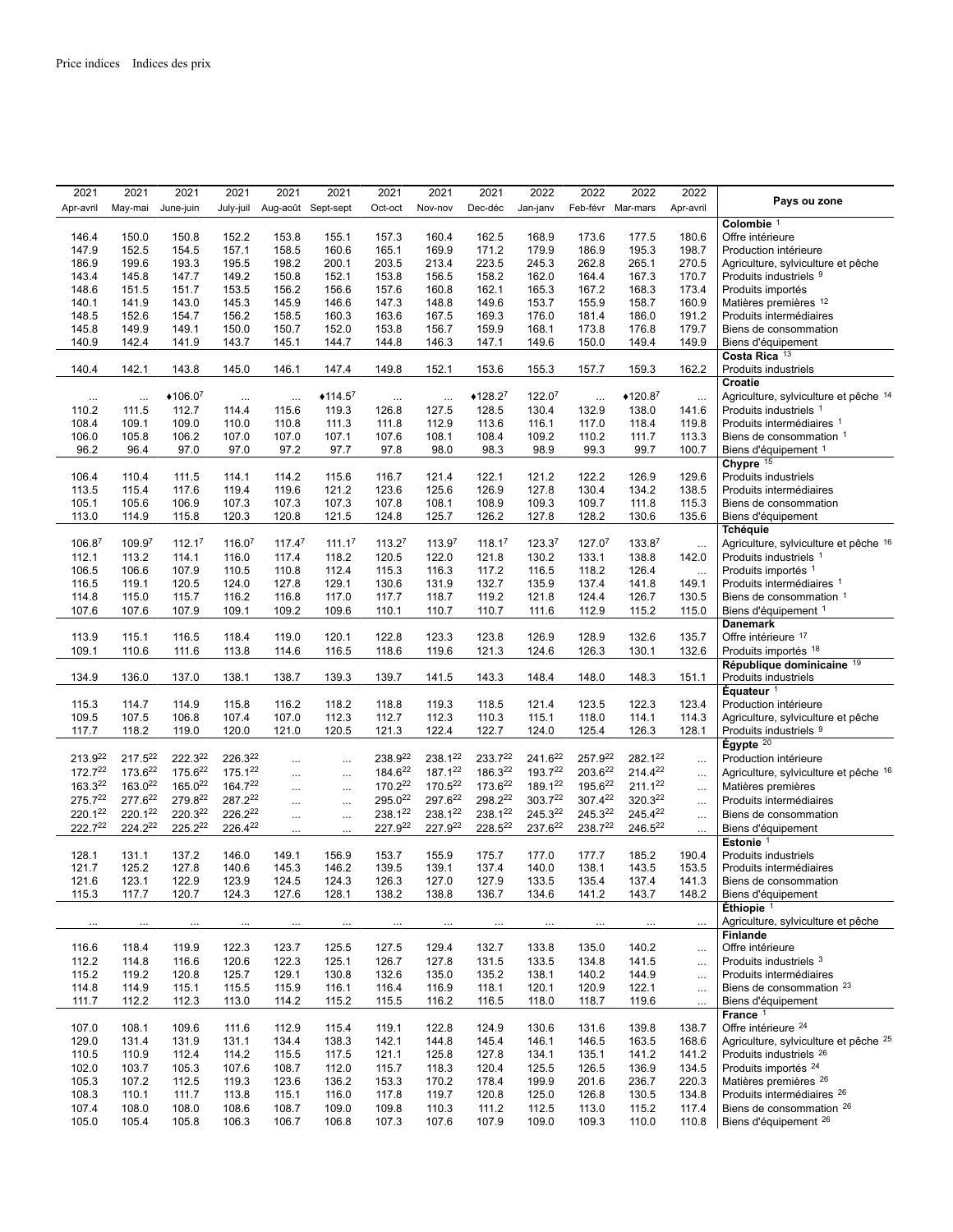| 2021               | 2021                | 2021                | 2021               | 2021               | 2021               | 2021               | 2021               | 2021               | 2022               | 2022               | 2022               | 2022      |                                       |
|--------------------|---------------------|---------------------|--------------------|--------------------|--------------------|--------------------|--------------------|--------------------|--------------------|--------------------|--------------------|-----------|---------------------------------------|
| Apr-avril          | May-mai             | June-juin           | July-juil          | Aug-août Sept-sept |                    | Oct-oct            | Nov-nov            | Dec-déc            | Jan-janv           |                    | Feb-févr Mar-mars  | Apr-avril | Pays ou zone                          |
|                    |                     |                     |                    |                    |                    |                    |                    |                    |                    |                    |                    |           | Colombie <sup>1</sup>                 |
| 146.4              | 150.0               | 150.8               | 152.2              | 153.8              | 155.1              | 157.3              | 160.4              | 162.5              | 168.9              | 173.6              | 177.5              | 180.6     | Offre intérieure                      |
| 147.9              | 152.5               | 154.5               | 157.1              | 158.5              | 160.6              | 165.1              | 169.9              | 171.2              | 179.9              | 186.9              | 195.3              | 198.7     | Production intérieure                 |
| 186.9              | 199.6               | 193.3               | 195.5              | 198.2              | 200.1              | 203.5              | 213.4              | 223.5              | 245.3              | 262.8              | 265.1              | 270.5     | Agriculture, sylviculture et pêche    |
| 143.4              | 145.8               | 147.7               | 149.2              | 150.8              | 152.1              | 153.8              | 156.5              | 158.2              | 162.0              | 164.4              | 167.3              | 170.7     | Produits industriels 9                |
| 148.6              | 151.5               | 151.7               | 153.5              | 156.2              | 156.6              | 157.6              | 160.8              | 162.1              | 165.3              | 167.2              | 168.3              | 173.4     | Produits importés                     |
| 140.1              | 141.9               | 143.0               | 145.3              | 145.9              | 146.6              | 147.3              | 148.8              | 149.6              | 153.7              | 155.9              | 158.7              | 160.9     | Matières premières 12                 |
| 148.5              | 152.6               | 154.7               | 156.2              | 158.5              | 160.3              | 163.6              | 167.5              | 169.3              | 176.0              | 181.4              | 186.0              | 191.2     | Produits intermédiaires               |
| 145.8              | 149.9               | 149.1               | 150.0              | 150.7              | 152.0              | 153.8              | 156.7              | 159.9              | 168.1              | 173.8              | 176.8              | 179.7     | Biens de consommation                 |
| 140.9              | 142.4               | 141.9               | 143.7              | 145.1              | 144.7              | 144.8              | 146.3              | 147.1              | 149.6              | 150.0              | 149.4              | 149.9     | Biens d'équipement                    |
|                    |                     |                     |                    |                    |                    |                    |                    |                    |                    |                    |                    |           | Costa Rica 13                         |
| 140.4              | 142.1               | 143.8               | 145.0              | 146.1              | 147.4              | 149.8              | 152.1              | 153.6              | 155.3              | 157.7              | 159.3              | 162.2     | Produits industriels                  |
|                    |                     |                     |                    |                    |                    |                    |                    |                    |                    |                    |                    |           | Croatie                               |
| $\cdots$           | $\cdots$            | $*106.07$           | $\cdots$           | $\cdots$           | $*114.5^7$         | $\cdots$           | $\cdots$           | $*128.2^7$         | 122.0 <sup>7</sup> | $\ldots$           | $*120.87$          | $\ldots$  | Agriculture, sylviculture et pêche 14 |
| 110.2              | 111.5               | 112.7               | 114.4              | 115.6              | 119.3              | 126.8              | 127.5              | 128.5              | 130.4              | 132.9              | 138.0              | 141.6     | Produits industriels 1                |
| 108.4              | 109.1               | 109.0               | 110.0              | 110.8              | 111.3              | 111.8              | 112.9              | 113.6              | 116.1              | 117.0              | 118.4              | 119.8     | Produits intermédiaires 1             |
| 106.0              | 105.8               | 106.2               | 107.0              | 107.0              | 107.1              | 107.6              | 108.1              | 108.4              | 109.2              | 110.2              | 111.7              | 113.3     | Biens de consommation 1               |
| 96.2               | 96.4                | 97.0                | 97.0               | 97.2               | 97.7               | 97.8               | 98.0               | 98.3               | 98.9               | 99.3               | 99.7               | 100.7     | Biens d'équipement 1                  |
|                    |                     |                     |                    |                    |                    |                    |                    |                    |                    |                    |                    |           | Chypre 15                             |
| 106.4              | 110.4               | 111.5               | 114.1              | 114.2              | 115.6              | 116.7              | 121.4              | 122.1              | 121.2              | 122.2              | 126.9              | 129.6     | Produits industriels                  |
| 113.5              | 115.4               | 117.6               | 119.4              | 119.6              | 121.2              | 123.6              | 125.6              | 126.9              | 127.8              | 130.4              | 134.2              | 138.5     | Produits intermédiaires               |
| 105.1              | 105.6               | 106.9               | 107.3              | 107.3              | 107.3              | 107.8              | 108.1              | 108.9              | 109.3              | 109.7              | 111.8              | 115.3     | Biens de consommation                 |
| 113.0              | 114.9               | 115.8               | 120.3              | 120.8              | 121.5              | 124.8              | 125.7              | 126.2              | 127.8              | 128.2              | 130.6              | 135.6     | Biens d'équipement                    |
|                    |                     |                     |                    |                    |                    |                    |                    |                    |                    |                    |                    |           | <b>Tchéquie</b>                       |
|                    | 109.9 <sup>7</sup>  | 112.1 <sup>7</sup>  | 116.0 <sup>7</sup> | $117.4^7$          | 111.1 <sup>7</sup> | 113.2 <sup>7</sup> | 113.9 <sup>7</sup> | 118.1 <sup>7</sup> | 123.3 <sup>7</sup> | 127.0 <sup>7</sup> |                    |           |                                       |
| 106.8 <sup>7</sup> |                     |                     |                    |                    |                    |                    |                    |                    |                    |                    | 133.8 <sup>7</sup> | $\cdots$  | Agriculture, sylviculture et pêche 16 |
| 112.1              | 113.2               | 114.1               | 116.0              | 117.4              | 118.2              | 120.5              | 122.0              | 121.8              | 130.2              | 133.1              | 138.8              | 142.0     | Produits industriels 1                |
| 106.5              | 106.6               | 107.9               | 110.5              | 110.8              | 112.4              | 115.3              | 116.3              | 117.2              | 116.5              | 118.2              | 126.4              | $\cdots$  | Produits importés 1                   |
| 116.5              | 119.1               | 120.5               | 124.0              | 127.8              | 129.1              | 130.6              | 131.9              | 132.7              | 135.9              | 137.4              | 141.8              | 149.1     | Produits intermédiaires 1             |
| 114.8              | 115.0               | 115.7               | 116.2              | 116.8              | 117.0              | 117.7              | 118.7              | 119.2              | 121.8              | 124.4              | 126.7              | 130.5     | Biens de consommation 1               |
| 107.6              | 107.6               | 107.9               | 109.1              | 109.2              | 109.6              | 110.1              | 110.7              | 110.7              | 111.6              | 112.9              | 115.2              | 115.0     | Biens d'équipement 1                  |
|                    |                     |                     |                    |                    |                    |                    |                    |                    |                    |                    |                    |           | <b>Danemark</b>                       |
| 113.9              | 115.1               | 116.5               | 118.4              | 119.0              | 120.1              | 122.8              | 123.3              | 123.8              | 126.9              | 128.9              | 132.6              | 135.7     | Offre intérieure 17                   |
| 109.1              | 110.6               | 111.6               | 113.8              | 114.6              | 116.5              | 118.6              | 119.6              | 121.3              | 124.6              | 126.3              | 130.1              | 132.6     | Produits importés 18                  |
|                    |                     |                     |                    |                    |                    |                    |                    |                    |                    |                    |                    |           | République dominicaine 19             |
| 134.9              | 136.0               | 137.0               | 138.1              | 138.7              | 139.3              | 139.7              | 141.5              | 143.3              | 148.4              | 148.0              | 148.3              | 151.1     | Produits industriels                  |
|                    |                     |                     |                    |                    |                    |                    |                    |                    |                    |                    |                    |           | Équateur <sup>1</sup>                 |
| 115.3              | 114.7               | 114.9               | 115.8              | 116.2              | 118.2              | 118.8              | 119.3              | 118.5              | 121.4              | 123.5              | 122.3              | 123.4     | Production intérieure                 |
| 109.5              | 107.5               | 106.8               | 107.4              | 107.0              | 112.3              | 112.7              | 112.3              | 110.3              | 115.1              | 118.0              | 114.1              | 114.3     | Agriculture, sylviculture et pêche    |
| 117.7              | 118.2               | 119.0               | 120.0              | 121.0              | 120.5              | 121.3              | 122.4              | 122.7              | 124.0              | 125.4              | 126.3              | 128.1     | Produits industriels 9                |
|                    |                     |                     |                    |                    |                    |                    |                    |                    |                    |                    |                    |           | Égypte $20$                           |
| 213.922            | 217.522             | 222.322             | 226.322            | $\cdots$           | $\cdots$           | 238.922            | 238.122            | 233.722            | 241.622            | 257.922            | 282.122            | $\cdots$  | Production intérieure                 |
| 172.722            | 173.622             | 175.622             | 175.122            |                    | $\cdots$           | 184.622            | 187.122            | 186.322            | 193.722            | 203.622            | 214.422            | $\ldots$  | Agriculture, sylviculture et pêche 16 |
| 163.322            | 163.022             | 165.0 <sup>22</sup> | 164.722            |                    | $\cdots$           | 170.222            | 170.522            | 173.622            | 189.122            | 195.622            | 211.122            | $\ddotsc$ | Matières premières                    |
| 275.722            | 277.622             | 279.822             | 287.222            |                    |                    | 295.022            | 297.622            | 298.222            | 303.722            | 307.422            | 320.322            | $\ddotsc$ | Produits intermédiaires               |
| 220.122            | 220.122             | 220.322             | 226.222            |                    | $\cdots$           | 238.122            | 238.122            | 238.122            | 245.322            | 245.322            | 245.422            | $\ldots$  | Biens de consommation                 |
| 222.722            | 224.2 <sup>22</sup> | 225.222             | 226.422            |                    | $\cdots$           | 227.922            | 227.922            | 228.522            | 237.622            | 238.722            | 246.522            | $\ldots$  | Biens d'équipement                    |
|                    |                     |                     |                    |                    |                    |                    |                    |                    |                    |                    |                    |           | Estonie <sup>1</sup>                  |
| 128.1              | 131.1               | 137.2               | 146.0              | 149.1              | 156.9              | 153.7              | 155.9              | 175.7              | 177.0              | 177.7              | 185.2              | 190.4     | Produits industriels                  |
| 121.7              | 125.2               | 127.8               | 140.6              | 145.3              | 146.2              | 139.5              | 139.1              | 137.4              | 140.0              | 138.1              | 143.5              | 153.5     | Produits intermédiaires               |
| 121.6              | 123.1               | 122.9               | 123.9              | 124.5              | 124.3              | 126.3              | 127.0              | 127.9              | 133.5              | 135.4              | 137.4              | 141.3     | Biens de consommation                 |
| 115.3              | 117.7               | 120.7               | 124.3              | 127.6              | 128.1              | 138.2              | 138.8              | 136.7              | 134.6              | 141.2              | 143.7              | 148.2     | Biens d'équipement                    |
|                    |                     |                     |                    |                    |                    |                    |                    |                    |                    |                    |                    |           | Éthiopie <sup>1</sup>                 |
|                    |                     |                     |                    |                    |                    |                    |                    | $\cdots$           |                    |                    |                    | $\cdots$  | Agriculture, sylviculture et pêche    |
|                    |                     |                     |                    |                    |                    |                    |                    |                    |                    |                    |                    |           | <b>Finlande</b>                       |
| 116.6              | 118.4               | 119.9               | 122.3              | 123.7              | 125.5              | 127.5              | 129.4              | 132.7              | 133.8              | 135.0              | 140.2              |           | Offre intérieure                      |
| 112.2              | 114.8               | 116.6               | 120.6              | 122.3              | 125.1              | 126.7              | 127.8              | 131.5              | 133.5              | 134.8              | 141.5              | $\ldots$  | Produits industriels 3                |
| 115.2              | 119.2               | 120.8               | 125.7              | 129.1              | 130.8              | 132.6              | 135.0              | 135.2              | 138.1              | 140.2              | 144.9              | $\ddotsc$ | Produits intermédiaires               |
| 114.8              | 114.9               | 115.1               | 115.5              | 115.9              | 116.1              | 116.4              | 116.9              | 118.1              | 120.1              | 120.9              | 122.1              | $\ldots$  | Biens de consommation <sup>23</sup>   |
| 111.7              | 112.2               | 112.3               | 113.0              | 114.2              | 115.2              | 115.5              | 116.2              | 116.5              | 118.0              | 118.7              | 119.6              | $\ddotsc$ | Biens d'équipement                    |
|                    |                     |                     |                    |                    |                    |                    |                    |                    |                    |                    |                    | $\cdots$  | France <sup>1</sup>                   |
|                    |                     |                     |                    |                    |                    |                    |                    |                    |                    |                    |                    |           | Offre intérieure <sup>24</sup>        |
| 107.0              | 108.1               | 109.6               | 111.6              | 112.9              | 115.4              | 119.1              | 122.8              | 124.9              | 130.6              | 131.6              | 139.8              | 138.7     |                                       |
| 129.0              | 131.4               | 131.9               | 131.1              | 134.4              | 138.3              | 142.1              | 144.8              | 145.4              | 146.1              | 146.5              | 163.5              | 168.6     | Agriculture, sylviculture et pêche 25 |
| 110.5              | 110.9               | 112.4               | 114.2              | 115.5              | 117.5              | 121.1              | 125.8              | 127.8              | 134.1              | 135.1              | 141.2              | 141.2     | Produits industriels 26               |
| 102.0              | 103.7               | 105.3               | 107.6              | 108.7              | 112.0              | 115.7              | 118.3              | 120.4              | 125.5              | 126.5              | 136.9              | 134.5     | Produits importés <sup>24</sup>       |
| 105.3              | 107.2               | 112.5               | 119.3              | 123.6              | 136.2              | 153.3              | 170.2              | 178.4              | 199.9              | 201.6              | 236.7              | 220.3     | Matières premières <sup>26</sup>      |
| 108.3              | 110.1               | 111.7               | 113.8              | 115.1              | 116.0              | 117.8              | 119.7              | 120.8              | 125.0              | 126.8              | 130.5              | 134.8     | Produits intermédiaires 26            |
| 107.4              | 108.0               | 108.0               | 108.6              | 108.7              | 109.0              | 109.8              | 110.3              | 111.2              | 112.5              | 113.0              | 115.2              | 117.4     | Biens de consommation 26              |
| 105.0              | 105.4               | 105.8               | 106.3              | 106.7              | 106.8              | 107.3              | 107.6              | 107.9              | 109.0              | 109.3              | 110.0              | 110.8     | Biens d'équipement <sup>26</sup>      |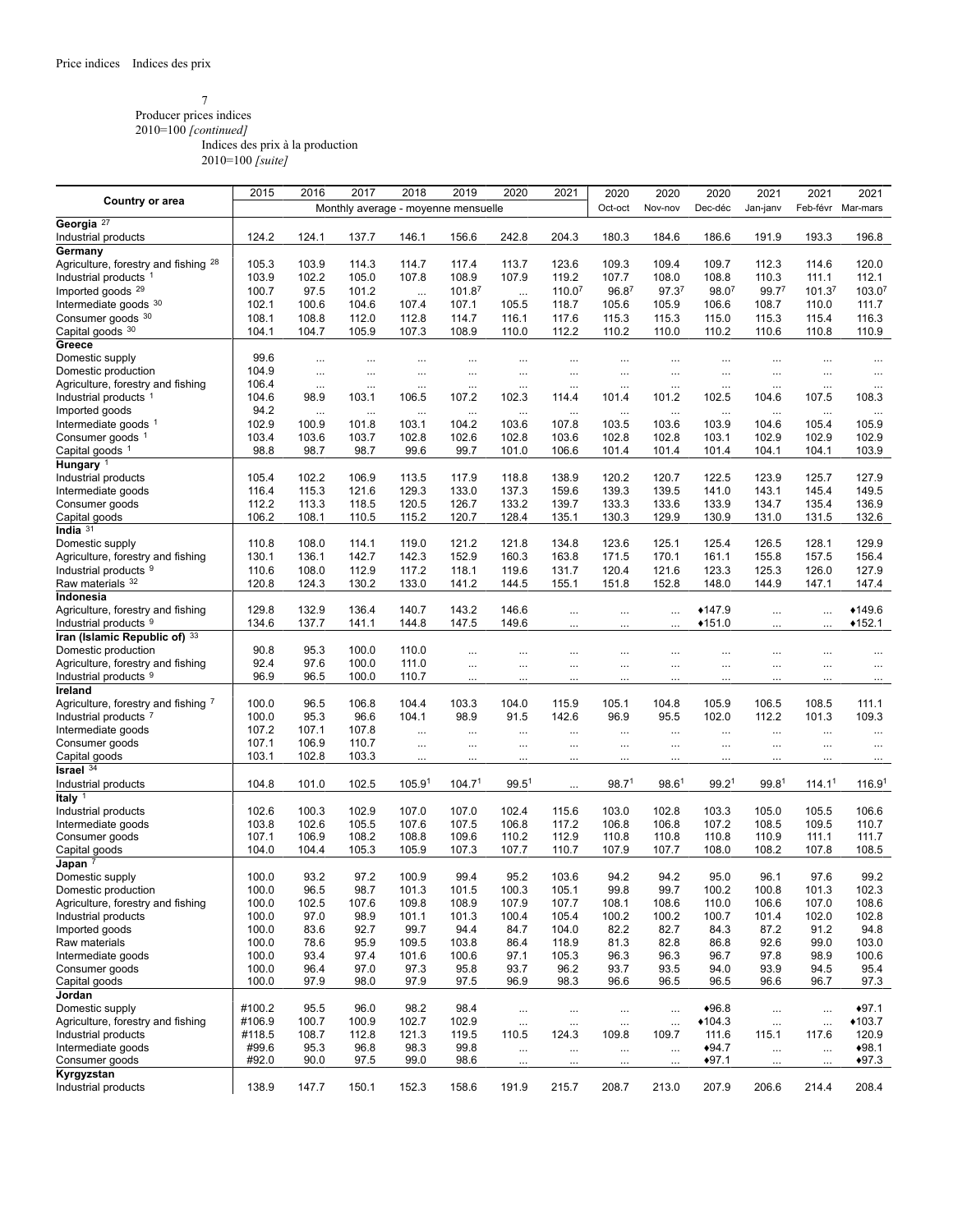## 7

Producer prices indices 2010=100 *[continued]*

Indices des prix à la production

|                                                          | 2015           | 2016              | 2017              | 2018                                | 2019               | 2020              | 2021              | 2020              | 2020              | 2020              | 2021              | 2021               | 2021               |
|----------------------------------------------------------|----------------|-------------------|-------------------|-------------------------------------|--------------------|-------------------|-------------------|-------------------|-------------------|-------------------|-------------------|--------------------|--------------------|
| <b>Country or area</b>                                   |                |                   |                   | Monthly average - moyenne mensuelle |                    |                   |                   | Oct-oct           | Nov-nov           | Dec-déc           | Jan-janv          |                    | Feb-févr Mar-mars  |
| Georgia <sup>27</sup>                                    |                |                   |                   |                                     |                    |                   |                   |                   |                   |                   |                   |                    |                    |
| Industrial products                                      | 124.2          | 124.1             | 137.7             | 146.1                               | 156.6              | 242.8             | 204.3             | 180.3             | 184.6             | 186.6             | 191.9             | 193.3              | 196.8              |
| Germany                                                  |                |                   |                   |                                     |                    |                   |                   |                   |                   |                   |                   |                    |                    |
| Agriculture, forestry and fishing <sup>28</sup>          | 105.3          | 103.9             | 114.3             | 114.7                               | 117.4              | 113.7             | 123.6             | 109.3             | 109.4             | 109.7             | 112.3             | 114.6              | 120.0              |
| Industrial products <sup>1</sup>                         | 103.9          | 102.2             | 105.0             | 107.8                               | 108.9              | 107.9             | 119.2             | 107.7             | 108.0             | 108.8             | 110.3             | 111.1              | 112.1              |
| Imported goods <sup>29</sup>                             | 100.7          | 97.5              | 101.2             | $\cdots$                            | 101.8 <sup>7</sup> | $\cdots$          | 110.07            | 96.87             | 97.3 <sup>7</sup> | 98.07             | 99.77             | 101.37             | 103.07             |
| Intermediate goods 30                                    | 102.1          | 100.6             | 104.6             | 107.4                               | 107.1              | 105.5             | 118.7             | 105.6             | 105.9             | 106.6             | 108.7             | 110.0              | 111.7              |
| Consumer goods 30                                        | 108.1          | 108.8             | 112.0             | 112.8                               | 114.7              | 116.1             | 117.6             | 115.3             | 115.3             | 115.0             | 115.3             | 115.4              | 116.3              |
| Capital goods 30                                         | 104.1          | 104.7             | 105.9             | 107.3                               | 108.9              | 110.0             | 112.2             | 110.2             | 110.0             | 110.2             | 110.6             | 110.8              | 110.9              |
| Greece                                                   |                |                   |                   |                                     |                    |                   |                   |                   |                   |                   |                   |                    |                    |
| Domestic supply                                          | 99.6           | $\cdots$          | $\cdots$          | $\cdots$                            | $\cdots$           | $\cdots$          | $\cdots$          |                   |                   |                   |                   |                    | $\cdots$           |
| Domestic production<br>Agriculture, forestry and fishing | 104.9<br>106.4 | $\cdots$          | $\cdots$          | $\cdots$                            | $\ldots$           | $\cdots$          | $\cdots$          |                   |                   | $\cdots$          |                   | $\cdots$           | $\cdots$           |
| Industrial products 1                                    | 104.6          | $\cdots$<br>98.9  | $\cdots$<br>103.1 | $\cdots$<br>106.5                   | $\cdots$<br>107.2  | $\cdots$<br>102.3 | $\cdots$<br>114.4 | <br>101.4         | <br>101.2         | <br>102.5         | <br>104.6         | $\cdots$<br>107.5  | $\cdots$<br>108.3  |
| Imported goods                                           | 94.2           |                   | $\cdots$          |                                     | $\cdots$           | $\cdots$          |                   |                   |                   |                   |                   |                    |                    |
| Intermediate goods $1$                                   | 102.9          | $\ldots$<br>100.9 | 101.8             | $\cdots$<br>103.1                   | 104.2              | 103.6             | $\cdots$<br>107.8 | $\cdots$<br>103.5 | $\cdots$<br>103.6 | $\cdots$<br>103.9 | <br>104.6         | $\cdots$<br>105.4  | $\cdots$<br>105.9  |
| Consumer goods <sup>1</sup>                              | 103.4          | 103.6             | 103.7             | 102.8                               | 102.6              | 102.8             | 103.6             | 102.8             | 102.8             | 103.1             | 102.9             | 102.9              | 102.9              |
| Capital goods <sup>1</sup>                               | 98.8           | 98.7              | 98.7              | 99.6                                | 99.7               | 101.0             | 106.6             | 101.4             | 101.4             | 101.4             | 104.1             | 104.1              | 103.9              |
| Hungary <sup>1</sup>                                     |                |                   |                   |                                     |                    |                   |                   |                   |                   |                   |                   |                    |                    |
| Industrial products                                      | 105.4          | 102.2             | 106.9             | 113.5                               | 117.9              | 118.8             | 138.9             | 120.2             | 120.7             | 122.5             | 123.9             | 125.7              | 127.9              |
| Intermediate goods                                       | 116.4          | 115.3             | 121.6             | 129.3                               | 133.0              | 137.3             | 159.6             | 139.3             | 139.5             | 141.0             | 143.1             | 145.4              | 149.5              |
| Consumer goods                                           | 112.2          | 113.3             | 118.5             | 120.5                               | 126.7              | 133.2             | 139.7             | 133.3             | 133.6             | 133.9             | 134.7             | 135.4              | 136.9              |
| Capital goods                                            | 106.2          | 108.1             | 110.5             | 115.2                               | 120.7              | 128.4             | 135.1             | 130.3             | 129.9             | 130.9             | 131.0             | 131.5              | 132.6              |
| India $31$                                               |                |                   |                   |                                     |                    |                   |                   |                   |                   |                   |                   |                    |                    |
| Domestic supply                                          | 110.8          | 108.0             | 114.1             | 119.0                               | 121.2              | 121.8             | 134.8             | 123.6             | 125.1             | 125.4             | 126.5             | 128.1              | 129.9              |
| Agriculture, forestry and fishing                        | 130.1          | 136.1             | 142.7             | 142.3                               | 152.9              | 160.3             | 163.8             | 171.5             | 170.1             | 161.1             | 155.8             | 157.5              | 156.4              |
| Industrial products 9                                    | 110.6          | 108.0             | 112.9             | 117.2                               | 118.1              | 119.6             | 131.7             | 120.4             | 121.6             | 123.3             | 125.3             | 126.0              | 127.9              |
| Raw materials 32                                         | 120.8          | 124.3             | 130.2             | 133.0                               | 141.2              | 144.5             | 155.1             | 151.8             | 152.8             | 148.0             | 144.9             | 147.1              | 147.4              |
| Indonesia                                                |                |                   |                   |                                     |                    |                   |                   |                   |                   |                   |                   |                    |                    |
| Agriculture, forestry and fishing                        | 129.8          | 132.9             | 136.4             | 140.7                               | 143.2              | 146.6             |                   |                   |                   | $*147.9$          | $\cdots$          |                    | $*149.6$           |
| Industrial products <sup>9</sup>                         | 134.6          | 137.7             | 141.1             | 144.8                               | 147.5              | 149.6             |                   |                   |                   | $*151.0$          |                   |                    | $*152.1$           |
| Iran (Islamic Republic of) 33<br>Domestic production     | 90.8           | 95.3              | 100.0             | 110.0                               |                    |                   |                   |                   |                   |                   |                   |                    |                    |
| Agriculture, forestry and fishing                        | 92.4           | 97.6              | 100.0             | 111.0                               | $\cdots$           |                   |                   |                   | $\cdots$          |                   |                   |                    |                    |
| Industrial products 9                                    | 96.9           | 96.5              | 100.0             | 110.7                               | $\cdots$           |                   |                   |                   |                   |                   | $\cdots$          |                    |                    |
| Ireland                                                  |                |                   |                   |                                     | $\cdots$           | $\cdots$          |                   |                   |                   |                   |                   |                    | $\cdots$           |
| Agriculture, forestry and fishing 7                      | 100.0          | 96.5              | 106.8             | 104.4                               | 103.3              | 104.0             | 115.9             | 105.1             | 104.8             | 105.9             | 106.5             | 108.5              | 111.1              |
| Industrial products <sup>7</sup>                         | 100.0          | 95.3              | 96.6              | 104.1                               | 98.9               | 91.5              | 142.6             | 96.9              | 95.5              | 102.0             | 112.2             | 101.3              | 109.3              |
| Intermediate goods                                       | 107.2          | 107.1             | 107.8             | $\cdots$                            | $\cdots$           | $\cdots$          | $\cdots$          |                   |                   |                   |                   |                    | $\cdots$           |
| Consumer goods                                           | 107.1          | 106.9             | 110.7             | $\cdots$                            | $\cdots$           | $\cdots$          |                   |                   |                   |                   |                   |                    | $\cdots$           |
| Capital goods                                            | 103.1          | 102.8             | 103.3             | $\cdots$                            | $\ldots$           |                   |                   |                   |                   |                   |                   |                    | $\cdots$           |
| Israel $34$                                              |                |                   |                   |                                     |                    |                   |                   |                   |                   |                   |                   |                    |                    |
| Industrial products                                      | 104.8          | 101.0             | 102.5             | 105.9 <sup>1</sup>                  | 104.7 <sup>1</sup> | $99.5^1$          | $\cdots$          | 98.7 <sup>1</sup> | 98.6 <sup>1</sup> | 99.2 <sup>1</sup> | 99.8 <sup>1</sup> | 114.1 <sup>1</sup> | 116.9 <sup>1</sup> |
| Italy $1$                                                |                |                   |                   |                                     |                    |                   |                   |                   |                   |                   |                   |                    |                    |
| Industrial products                                      | 102.6          | 100.3             | 102.9             | 107.0                               | 107.0              | 102.4             | 115.6             | 103.0             | 102.8             | 103.3             | 105.0             | 105.5              | 106.6              |
| Intermediate goods                                       | 103.8          | 102.6             | 105.5             | 107.6                               | 107.5              | 106.8             | 117.2             | 106.8             | 106.8             | 107.2             | 108.5             | 109.5              | 110.7              |
| Consumer goods                                           | 107.1          | 106.9             | 108.2             | 108.8                               | 109.6              | 110.2             | 112.9             | 110.8             | 110.8             | 110.8             | 110.9             | 111.1              | 111.7              |
| Capital goods                                            | 104.0          | 104.4             | 105.3             | 105.9                               | 107.3              | 107.7             | 110.7             | 107.9             | 107.7             | 108.0             | 108.2             | 107.8              | 108.5              |
| Japan $^7$                                               | 100.0          | 93.2              | 97.2              | 100.9                               | 99.4               | 95.2              | 103.6             | 94.2              | 94.2              | 95.0              | 96.1              | 97.6               |                    |
| Domestic supply<br>Domestic production                   | 100.0          | 96.5              | 98.7              | 101.3                               | 101.5              | 100.3             | 105.1             | 99.8              | 99.7              | 100.2             | 100.8             | 101.3              | 99.2<br>102.3      |
| Agriculture, forestry and fishing                        | 100.0          | 102.5             | 107.6             | 109.8                               | 108.9              | 107.9             | 107.7             | 108.1             | 108.6             | 110.0             | 106.6             | 107.0              | 108.6              |
| Industrial products                                      | 100.0          | 97.0              | 98.9              | 101.1                               | 101.3              | 100.4             | 105.4             | 100.2             | 100.2             | 100.7             | 101.4             | 102.0              | 102.8              |
| Imported goods                                           | 100.0          | 83.6              | 92.7              | 99.7                                | 94.4               | 84.7              | 104.0             | 82.2              | 82.7              | 84.3              | 87.2              | 91.2               | 94.8               |
| Raw materials                                            | 100.0          | 78.6              | 95.9              | 109.5                               | 103.8              | 86.4              | 118.9             | 81.3              | 82.8              | 86.8              | 92.6              | 99.0               | 103.0              |
| Intermediate goods                                       | 100.0          | 93.4              | 97.4              | 101.6                               | 100.6              | 97.1              | 105.3             | 96.3              | 96.3              | 96.7              | 97.8              | 98.9               | 100.6              |
| Consumer goods                                           | 100.0          | 96.4              | 97.0              | 97.3                                | 95.8               | 93.7              | 96.2              | 93.7              | 93.5              | 94.0              | 93.9              | 94.5               | 95.4               |
| Capital goods                                            | 100.0          | 97.9              | 98.0              | 97.9                                | 97.5               | 96.9              | 98.3              | 96.6              | 96.5              | 96.5              | 96.6              | 96.7               | 97.3               |
| Jordan                                                   |                |                   |                   |                                     |                    |                   |                   |                   |                   |                   |                   |                    |                    |
| Domestic supply                                          | #100.2         | 95.5              | 96.0              | 98.2                                | 98.4               | $\cdots$          | $\cdots$          | $\ldots$          | $\cdots$          | $*96.8$           | $\cdots$          | $\cdots$           | $*97.1$            |
| Agriculture, forestry and fishing                        | #106.9         | 100.7             | 100.9             | 102.7                               | 102.9              | $\ldots$          | $\ldots$          | $\cdots$          | $\ldots$          | $*104.3$          |                   | $\cdots$           | $*103.7$           |
| Industrial products                                      | #118.5         | 108.7             | 112.8             | 121.3                               | 119.5              | 110.5             | 124.3             | 109.8             | 109.7             | 111.6             | 115.1             | 117.6              | 120.9              |
| Intermediate goods                                       | #99.6          | 95.3              | 96.8              | 98.3                                | 99.8               | $\cdots$          | $\cdots$          |                   | $\cdots$          | $*94.7$           | $\ddotsc$         | $\cdots$           | $*98.1$            |
| Consumer goods                                           | #92.0          | 90.0              | 97.5              | 99.0                                | 98.6               |                   | $\cdots$          |                   | $\cdots$          | $*97.1$           |                   |                    | $*97.3$            |
| Kyrgyzstan                                               | 138.9          |                   |                   |                                     |                    |                   |                   |                   |                   |                   |                   | 214.4              | 208.4              |
| Industrial products                                      |                | 147.7             | 150.1             | 152.3                               | 158.6              | 191.9             | 215.7             | 208.7             | 213.0             | 207.9             | 206.6             |                    |                    |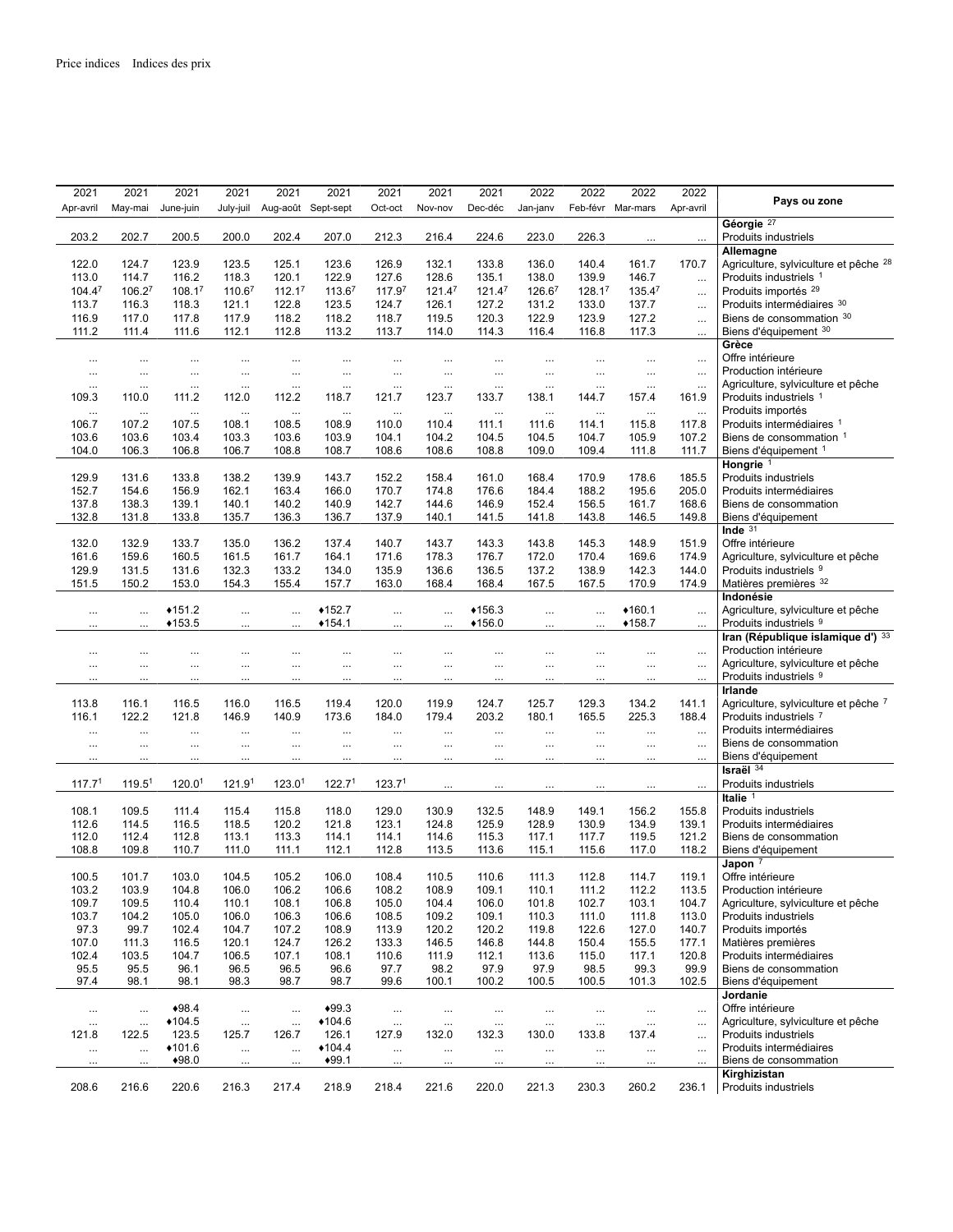|                                                               | 2022              | 2022              | 2022              | 2022              | 2021              | 2021               | 2021               | 2021               | 2021               | 2021               | 2021               | 2021               | 2021               |
|---------------------------------------------------------------|-------------------|-------------------|-------------------|-------------------|-------------------|--------------------|--------------------|--------------------|--------------------|--------------------|--------------------|--------------------|--------------------|
| Pays ou zone                                                  | Apr-avril         | Feb-févr Mar-mars |                   | Jan-janv          | Dec-déc           | Nov-nov            | Oct-oct            | Aug-août Sept-sept |                    | July-juil          | June-juin          | May-mai            | Apr-avril          |
| Géorgie <sup>27</sup>                                         |                   |                   |                   |                   |                   |                    |                    |                    |                    |                    |                    |                    |                    |
| Produits industriels                                          | $\ddots$          |                   | 226.3             | 223.0             | 224.6             | 216.4              | 212.3              | 207.0              | 202.4              | 200.0              | 200.5              | 202.7              | 203.2              |
| Allemagne<br>Agriculture, sylviculture et pêche <sup>28</sup> | 170.7             |                   | 140.4             | 136.0             | 133.8             | 132.1              | 126.9              | 123.6              | 125.1              |                    | 123.9              | 124.7              | 122.0              |
| Produits industriels 1                                        | $\ldots$          | 161.7<br>146.7    | 139.9             | 138.0             | 135.1             | 128.6              | 127.6              | 122.9              | 120.1              | 123.5<br>118.3     | 116.2              | 114.7              | 113.0              |
| Produits importés <sup>29</sup>                               | $\cdots$          | 135.47            | 128.17            | 126.67            | 121.47            | 121.4 <sup>7</sup> | 117.97             | 113.67             | 112.17             | 110.67             | 108.17             | 106.27             | 104.47             |
| Produits intermédiaires 30                                    | $\ldots$          | 137.7             | 133.0             | 131.2             | 127.2             | 126.1              | 124.7              | 123.5              | 122.8              | 121.1              | 118.3              | 116.3              | 113.7              |
| Biens de consommation 30                                      | $\cdots$          | 127.2             | 123.9             | 122.9             | 120.3             | 119.5              | 118.7              | 118.2              | 118.2              | 117.9              | 117.8              | 117.0              | 116.9              |
| Biens d'équipement 30                                         | $\cdots$          | 117.3             | 116.8             | 116.4             | 114.3             | 114.0              | 113.7              | 113.2              | 112.8              | 112.1              | 111.6              | 111.4              | 111.2              |
| Grèce                                                         |                   |                   |                   |                   |                   |                    |                    |                    |                    |                    |                    |                    |                    |
| Offre intérieure                                              | $\ldots$          |                   | $\cdots$          |                   | $\cdots$          | $\cdots$           | $\cdots$           |                    | $\ddotsc$          |                    | $\ddotsc$          |                    | $\cdots$           |
| Production intérieure                                         | $\cdots$          | $\cdots$          | $\cdots$          | $\cdots$          | $\cdots$          | $\cdots$           | $\cdots$           |                    | $\cdots$           | $\cdots$           | $\cdots$           | $\cdots$           | $\cdots$           |
| Agriculture, sylviculture et pêche                            | $\cdots$          | $\cdots$          | $\cdots$          | $\cdots$          | $\cdots$          |                    | $\cdots$           |                    |                    | $\cdots$           | $\cdots$           | $\cdots$           | $\ldots$           |
| Produits industriels 1<br>Produits importés                   | 161.9             | 157.4             | 144.7             | 138.1             | 133.7             | 123.7              | 121.7              | 118.7              | 112.2              | 112.0              | 111.2              | 110.0              | 109.3              |
| Produits intermédiaires 1                                     | $\ldots$<br>117.8 | <br>115.8         | $\cdots$<br>114.1 | $\cdots$<br>111.6 | $\ddots$<br>111.1 | $\cdots$<br>110.4  | $\cdots$<br>110.0  | $\cdots$<br>108.9  | $\cdots$<br>108.5  | <br>108.1          | $\cdots$<br>107.5  | $\cdots$<br>107.2  | $\ldots$<br>106.7  |
| Biens de consommation 1                                       | 107.2             | 105.9             | 104.7             | 104.5             | 104.5             | 104.2              | 104.1              | 103.9              | 103.6              | 103.3              | 103.4              | 103.6              | 103.6              |
| Biens d'équipement 1                                          | 111.7             | 111.8             | 109.4             | 109.0             | 108.8             | 108.6              | 108.6              | 108.7              | 108.8              | 106.7              | 106.8              | 106.3              | 104.0              |
| Hongrie <sup>1</sup>                                          |                   |                   |                   |                   |                   |                    |                    |                    |                    |                    |                    |                    |                    |
| Produits industriels                                          | 185.5             | 178.6             | 170.9             | 168.4             | 161.0             | 158.4              | 152.2              | 143.7              | 139.9              | 138.2              | 133.8              | 131.6              | 129.9              |
| Produits intermédiaires                                       | 205.0             | 195.6             | 188.2             | 184.4             | 176.6             | 174.8              | 170.7              | 166.0              | 163.4              | 162.1              | 156.9              | 154.6              | 152.7              |
| Biens de consommation                                         | 168.6             | 161.7             | 156.5             | 152.4             | 146.9             | 144.6              | 142.7              | 140.9              | 140.2              | 140.1              | 139.1              | 138.3              | 137.8              |
| Biens d'équipement                                            | 149.8             | 146.5             | 143.8             | 141.8             | 141.5             | 140.1              | 137.9              | 136.7              | 136.3              | 135.7              | 133.8              | 131.8              | 132.8              |
| Inde $31$<br>Offre intérieure                                 | 151.9             | 148.9             | 145.3             | 143.8             | 143.3             | 143.7              | 140.7              | 137.4              | 136.2              | 135.0              | 133.7              | 132.9              | 132.0              |
| Agriculture, sylviculture et pêche                            | 174.9             | 169.6             | 170.4             | 172.0             | 176.7             | 178.3              | 171.6              | 164.1              | 161.7              | 161.5              | 160.5              | 159.6              | 161.6              |
| Produits industriels 9                                        | 144.0             | 142.3             | 138.9             | 137.2             | 136.5             | 136.6              | 135.9              | 134.0              | 133.2              | 132.3              | 131.6              | 131.5              | 129.9              |
| Matières premières 32                                         | 174.9             | 170.9             | 167.5             | 167.5             | 168.4             | 168.4              | 163.0              | 157.7              | 155.4              | 154.3              | 153.0              | 150.2              | 151.5              |
| Indonésie                                                     |                   |                   |                   |                   |                   |                    |                    |                    |                    |                    |                    |                    |                    |
| Agriculture, sylviculture et pêche                            | $\ldots$          | $*160.1$          |                   | $\ddotsc$         | $*156.3$          | $\cdots$           |                    | $*152.7$           | $\ddotsc$          | $\cdots$           | $*151.2$           |                    | $\ddotsc$          |
| Produits industriels 9                                        | $\cdots$          | $*158.7$          |                   |                   | $*156.0$          |                    |                    | $*154.1$           |                    |                    | $*153.5$           |                    |                    |
| Iran (République islamique d') 33                             |                   |                   |                   |                   |                   |                    |                    |                    |                    |                    |                    |                    |                    |
| Production intérieure                                         | $\cdots$          |                   |                   | $\cdots$          | $\cdots$          |                    | $\cdots$           |                    | $\ddotsc$          |                    | $\ldots$           |                    | $\cdots$           |
| Agriculture, sylviculture et pêche                            | $\cdots$          |                   | $\cdots$          |                   |                   |                    |                    | $\cdots$           |                    |                    | $\cdots$           |                    | $\ddotsc$          |
| Produits industriels 9<br>Irlande                             | $\ddotsc$         |                   |                   |                   | $\ddotsc$         |                    |                    |                    | $\ddotsc$          |                    |                    |                    |                    |
| Agriculture, sylviculture et pêche 7                          | 141.1             | 134.2             | 129.3             | 125.7             | 124.7             | 119.9              | 120.0              | 119.4              | 116.5              | 116.0              | 116.5              | 116.1              | 113.8              |
| Produits industriels 7                                        | 188.4             | 225.3             | 165.5             | 180.1             | 203.2             | 179.4              | 184.0              | 173.6              | 140.9              | 146.9              | 121.8              | 122.2              | 116.1              |
| Produits intermédiaires                                       | $\ddotsc$         |                   | $\cdots$          | $\cdots$          | $\cdots$          | $\cdots$           | $\cdots$           | $\cdots$           | $\cdots$           |                    | $\cdots$           |                    | $\cdots$           |
| Biens de consommation                                         | $\cdots$          | $\cdots$          | $\cdots$          | $\ddotsc$         | $\ddotsc$         | $\cdots$           | $\cdots$           | $\cdots$           |                    | $\cdots$           | $\cdots$           | $\cdots$           | $\ddotsc$          |
| Biens d'équipement                                            | $\cdots$          |                   |                   | .                 | $\ddotsc$         |                    |                    |                    |                    |                    |                    |                    |                    |
| Israël $34$                                                   |                   |                   |                   |                   |                   |                    |                    |                    |                    |                    |                    |                    |                    |
| Produits industriels                                          | $\cdots$          |                   | $\cdots$          | $\cdots$          | $\cdots$          |                    | 123.7 <sup>1</sup> | 122.7 <sup>1</sup> | 123.0 <sup>1</sup> | 121.9 <sup>1</sup> | 120.0 <sup>1</sup> | 119.5 <sup>1</sup> | 117.7 <sup>1</sup> |
| Italie <sup>1</sup>                                           |                   |                   |                   |                   |                   |                    | 129.0              |                    |                    |                    |                    |                    |                    |
| Produits industriels<br>Produits intermédiaires               | 155.8<br>139.1    | 156.2<br>134.9    | 149.1<br>130.9    | 148.9<br>128.9    | 132.5<br>125.9    | 130.9<br>124.8     | 123.1              | 118.0<br>121.8     | 115.8<br>120.2     | 115.4<br>118.5     | 111.4<br>116.5     | 109.5<br>114.5     | 108.1<br>112.6     |
| Biens de consommation                                         | 121.2             | 119.5             | 117.7             | 117.1             | 115.3             | 114.6              | 114.1              | 114.1              | 113.3              | 113.1              | 112.8              | 112.4              | 112.0              |
| Biens d'équipement                                            | 118.2             | 117.0             | 115.6             | 115.1             | 113.6             | 113.5              | 112.8              | 112.1              | 111.1              | 111.0              | 110.7              | 109.8              | 108.8              |
| Japon $7$                                                     |                   |                   |                   |                   |                   |                    |                    |                    |                    |                    |                    |                    |                    |
| Offre intérieure                                              | 119.1             | 114.7             | 112.8             | 111.3             | 110.6             | 110.5              | 108.4              | 106.0              | 105.2              | 104.5              | 103.0              | 101.7              | 100.5              |
| Production intérieure                                         | 113.5             | 112.2             | 111.2             | 110.1             | 109.1             | 108.9              | 108.2              | 106.6              | 106.2              | 106.0              | 104.8              | 103.9              | 103.2              |
| Agriculture, sylviculture et pêche                            | 104.7             | 103.1             | 102.7             | 101.8             | 106.0             | 104.4              | 105.0              | 106.8              | 108.1              | 110.1              | 110.4              | 109.5              | 109.7              |
| Produits industriels                                          | 113.0             | 111.8             | 111.0             | 110.3             | 109.1             | 109.2              | 108.5              | 106.6              | 106.3              | 106.0              | 105.0              | 104.2              | 103.7              |
| Produits importés<br>Matières premières                       | 140.7<br>177.1    | 127.0<br>155.5    | 122.6<br>150.4    | 119.8<br>144.8    | 120.2<br>146.8    | 120.2<br>146.5     | 113.9<br>133.3     | 108.9<br>126.2     | 107.2<br>124.7     | 104.7<br>120.1     | 102.4<br>116.5     | 99.7<br>111.3      | 97.3<br>107.0      |
| Produits intermédiaires                                       | 120.8             | 117.1             | 115.0             | 113.6             | 112.1             | 111.9              | 110.6              | 108.1              | 107.1              | 106.5              | 104.7              | 103.5              | 102.4              |
| Biens de consommation                                         | 99.9              | 99.3              | 98.5              | 97.9              | 97.9              | 98.2               | 97.7               | 96.6               | 96.5               | 96.5               | 96.1               | 95.5               | 95.5               |
| Biens d'équipement                                            | 102.5             | 101.3             | 100.5             | 100.5             | 100.2             | 100.1              | 99.6               | 98.7               | 98.7               | 98.3               | 98.1               | 98.1               | 97.4               |
| Jordanie                                                      |                   |                   |                   |                   |                   |                    |                    |                    |                    |                    |                    |                    |                    |
| Offre intérieure                                              | $\ldots$          | $\cdots$          | $\cdots$          | $\cdots$          | $\cdots$          | $\cdots$           | $\cdots$           | $*99.3$            | $\cdots$           |                    | $*98.4$            | $\cdots$           | $\ldots$           |
| Agriculture, sylviculture et pêche                            | $\ldots$          | $\cdots$          | $\cdots$          | $\cdots$          | $\cdots$          |                    | $\cdots$           | $*104.6$           | $\ldots$           | $\cdots$           | $*104.5$           | $\ldots$           | $\ldots$           |
| Produits industriels                                          | $\cdots$          | 137.4             | 133.8             | 130.0             | 132.3             | 132.0              | 127.9              | 126.1              | 126.7              | 125.7              | 123.5              | 122.5              | 121.8              |
| Produits intermédiaires                                       | $\cdots$          | $\cdots$          | $\cdots$          | $\cdots$          | $\cdots$          | $\cdots$           | $\cdots$           | $*104.4$           |                    | $\cdots$           | $*101.6$           | $\cdots$           | $\ldots$           |
| Biens de consommation<br>Kirghizistan                         | $\cdots$          |                   | $\cdots$          | $\ddots$          | $\cdots$          |                    | $\cdots$           | $*99.1$            | $\cdots$           | $\cdots$           | $*98.0$            |                    | $\ldots$           |
| Produits industriels                                          | 236.1             | 260.2             | 230.3             | 221.3             | 220.0             | 221.6              | 218.4              | 218.9              | 217.4              | 216.3              | 220.6              | 216.6              | 208.6              |
|                                                               |                   |                   |                   |                   |                   |                    |                    |                    |                    |                    |                    |                    |                    |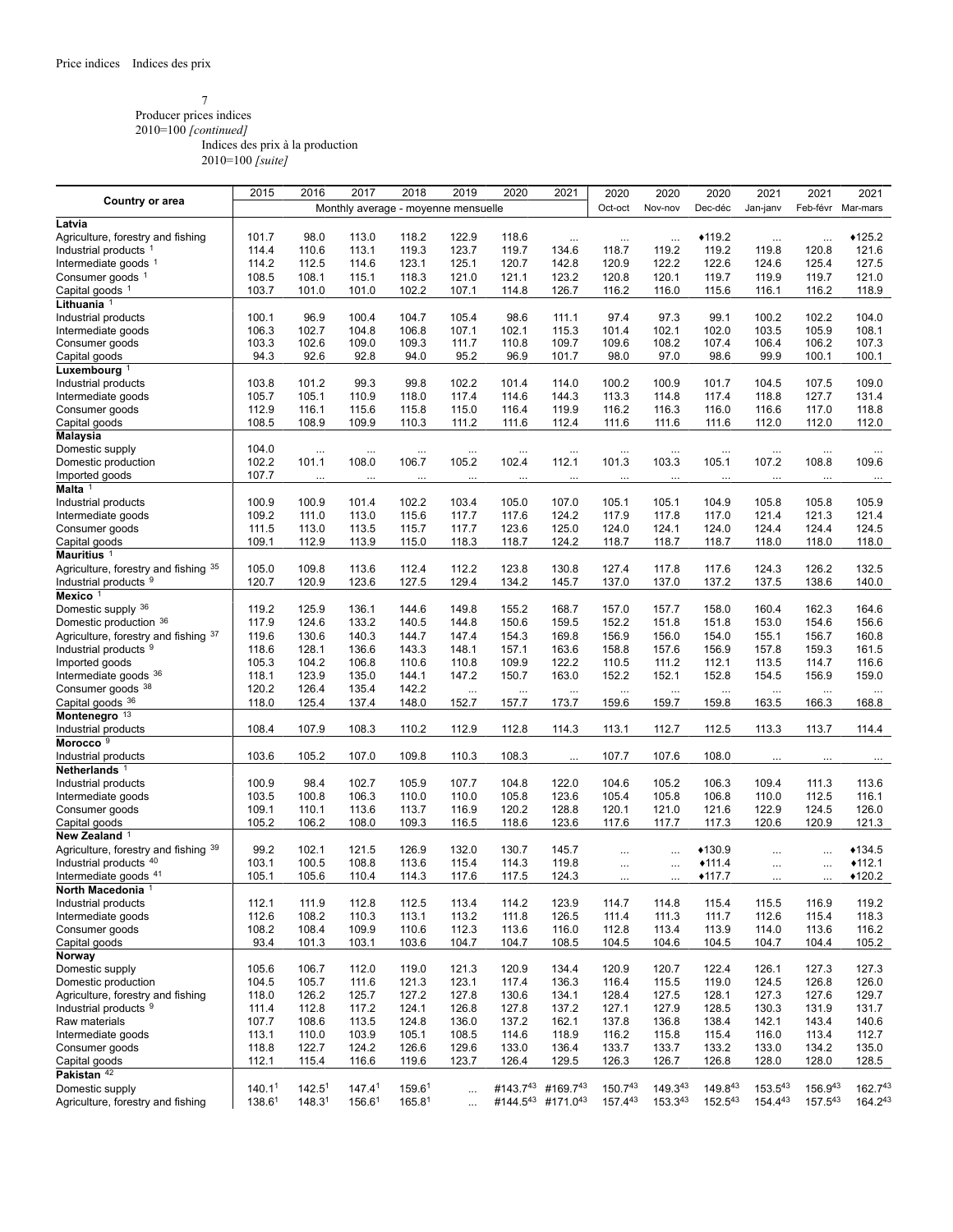#### 7 Producer prices indices 2010=100 *[continued]* Indices des prix à la production

|                                      | 2015               | 2016               | 2017                                | 2018               | 2019      | 2020      | 2021              | 2020         | 2020      | 2020               | 2021              | 2021         | 2021              |
|--------------------------------------|--------------------|--------------------|-------------------------------------|--------------------|-----------|-----------|-------------------|--------------|-----------|--------------------|-------------------|--------------|-------------------|
| Country or area                      |                    |                    | Monthly average - moyenne mensuelle |                    |           |           |                   | Oct-oct      | Nov-nov   | Dec-déc            | Jan-janv          | Feb-févr     | Mar-mars          |
| Latvia                               |                    |                    |                                     |                    |           |           |                   |              |           |                    |                   |              |                   |
| Agriculture, forestry and fishing    | 101.7              | 98.0               | 113.0                               | 118.2              | 122.9     | 118.6     |                   |              |           | $*119.2$           |                   |              | $*125.2$          |
|                                      |                    |                    |                                     |                    | 123.7     | 119.7     | $\ldots$<br>134.6 | $\cdots$     | $\cdots$  |                    | $\cdots$          | $\cdots$     | 121.6             |
| Industrial products <sup>1</sup>     | 114.4              | 110.6              | 113.1                               | 119.3              |           |           |                   | 118.7        | 119.2     | 119.2              | 119.8             | 120.8        |                   |
| Intermediate goods $1$               | 114.2              | 112.5              | 114.6                               | 123.1              | 125.1     | 120.7     | 142.8             | 120.9        | 122.2     | 122.6              | 124.6             | 125.4        | 127.5             |
| Consumer goods <sup>1</sup>          | 108.5              | 108.1              | 115.1                               | 118.3              | 121.0     | 121.1     | 123.2             | 120.8        | 120.1     | 119.7              | 119.9             | 119.7        | 121.0             |
| Capital goods <sup>1</sup>           | 103.7              | 101.0              | 101.0                               | 102.2              | 107.1     | 114.8     | 126.7             | 116.2        | 116.0     | 115.6              | 116.1             | 116.2        | 118.9             |
| Lithuania <sup>1</sup>               |                    |                    |                                     |                    |           |           |                   |              |           |                    |                   |              |                   |
| Industrial products                  | 100.1              | 96.9               | 100.4                               | 104.7              | 105.4     | 98.6      | 111.1             | 97.4         | 97.3      | 99.1               | 100.2             | 102.2        | 104.0             |
| Intermediate goods                   | 106.3              | 102.7              | 104.8                               | 106.8              | 107.1     | 102.1     | 115.3             | 101.4        | 102.1     | 102.0              | 103.5             | 105.9        | 108.1             |
| Consumer goods                       | 103.3              | 102.6              | 109.0                               | 109.3              | 111.7     | 110.8     | 109.7             | 109.6        | 108.2     | 107.4              | 106.4             | 106.2        | 107.3             |
| Capital goods                        | 94.3               | 92.6               | 92.8                                | 94.0               | 95.2      | 96.9      | 101.7             | 98.0         | 97.0      | 98.6               | 99.9              | 100.1        | 100.1             |
| Luxembourg $1$                       |                    |                    |                                     |                    |           |           |                   |              |           |                    |                   |              |                   |
| Industrial products                  | 103.8              | 101.2              | 99.3                                | 99.8               | 102.2     | 101.4     | 114.0             | 100.2        | 100.9     | 101.7              | 104.5             | 107.5        | 109.0             |
| Intermediate goods                   | 105.7              | 105.1              | 110.9                               | 118.0              | 117.4     | 114.6     | 144.3             | 113.3        | 114.8     | 117.4              | 118.8             | 127.7        | 131.4             |
| Consumer goods                       | 112.9              | 116.1              | 115.6                               | 115.8              | 115.0     | 116.4     | 119.9             | 116.2        | 116.3     | 116.0              | 116.6             | 117.0        | 118.8             |
| Capital goods                        | 108.5              | 108.9              | 109.9                               | 110.3              | 111.2     | 111.6     | 112.4             | 111.6        | 111.6     | 111.6              | 112.0             | 112.0        | 112.0             |
| Malaysia                             |                    |                    |                                     |                    |           |           |                   |              |           |                    |                   |              |                   |
| Domestic supply                      | 104.0              | $\ldots$           |                                     |                    | $\cdots$  | $\ddotsc$ |                   |              | $\ddotsc$ |                    |                   |              |                   |
| Domestic production                  | 102.2              | 101.1              | $\cdots$<br>108.0                   | 106.7              | 105.2     | 102.4     | $\cdots$<br>112.1 | <br>101.3    | 103.3     | $\ddotsc$<br>105.1 | $\cdots$<br>107.2 | <br>108.8    | 109.6             |
| Imported goods                       | 107.7              |                    |                                     |                    |           |           |                   |              |           |                    |                   |              |                   |
| Malta <sup>1</sup>                   |                    | $\ldots$           | $\ldots$                            | $\cdots$           | $\ldots$  | $\cdots$  | $\cdots$          | $\cdots$     | $\cdots$  | $\cdots$           | $\cdots$          | $\cdots$     | $\ldots$          |
|                                      |                    |                    |                                     |                    |           |           |                   |              |           |                    |                   |              |                   |
| Industrial products                  | 100.9              | 100.9              | 101.4                               | 102.2              | 103.4     | 105.0     | 107.0             | 105.1        | 105.1     | 104.9              | 105.8             | 105.8        | 105.9             |
| Intermediate goods                   | 109.2              | 111.0              | 113.0                               | 115.6              | 117.7     | 117.6     | 124.2             | 117.9        | 117.8     | 117.0              | 121.4             | 121.3        | 121.4             |
| Consumer goods                       | 111.5              | 113.0              | 113.5                               | 115.7              | 117.7     | 123.6     | 125.0             | 124.0        | 124.1     | 124.0              | 124.4             | 124.4        | 124.5             |
| Capital goods                        | 109.1              | 112.9              | 113.9                               | 115.0              | 118.3     | 118.7     | 124.2             | 118.7        | 118.7     | 118.7              | 118.0             | 118.0        | 118.0             |
| Mauritius <sup>1</sup>               |                    |                    |                                     |                    |           |           |                   |              |           |                    |                   |              |                   |
| Agriculture, forestry and fishing 35 | 105.0              | 109.8              | 113.6                               | 112.4              | 112.2     | 123.8     | 130.8             | 127.4        | 117.8     | 117.6              | 124.3             | 126.2        | 132.5             |
| Industrial products 9                | 120.7              | 120.9              | 123.6                               | 127.5              | 129.4     | 134.2     | 145.7             | 137.0        | 137.0     | 137.2              | 137.5             | 138.6        | 140.0             |
| Mexico <sup>1</sup>                  |                    |                    |                                     |                    |           |           |                   |              |           |                    |                   |              |                   |
| Domestic supply 36                   | 119.2              | 125.9              | 136.1                               | 144.6              | 149.8     | 155.2     | 168.7             | 157.0        | 157.7     | 158.0              | 160.4             | 162.3        | 164.6             |
| Domestic production 36               | 117.9              | 124.6              | 133.2                               | 140.5              | 144.8     | 150.6     | 159.5             | 152.2        | 151.8     | 151.8              | 153.0             | 154.6        | 156.6             |
| Agriculture, forestry and fishing 37 | 119.6              | 130.6              | 140.3                               | 144.7              | 147.4     | 154.3     | 169.8             | 156.9        | 156.0     | 154.0              | 155.1             | 156.7        | 160.8             |
| Industrial products <sup>9</sup>     | 118.6              | 128.1              | 136.6                               | 143.3              | 148.1     | 157.1     | 163.6             | 158.8        | 157.6     | 156.9              | 157.8             | 159.3        | 161.5             |
| Imported goods                       | 105.3              | 104.2              | 106.8                               | 110.6              | 110.8     | 109.9     | 122.2             | 110.5        | 111.2     | 112.1              | 113.5             | 114.7        | 116.6             |
| Intermediate goods 36                | 118.1              | 123.9              | 135.0                               | 144.1              | 147.2     | 150.7     | 163.0             | 152.2        | 152.1     | 152.8              | 154.5             | 156.9        | 159.0             |
| Consumer goods 38                    | 120.2              | 126.4              | 135.4                               | 142.2              | $\ddotsc$ | $\cdots$  | $\cdots$          |              | $\cdots$  |                    | $\ldots$          | $\cdots$     |                   |
| Capital goods 36                     | 118.0              | 125.4              | 137.4                               | 148.0              | 152.7     | 157.7     | 173.7             | 159.6        | 159.7     | $\cdots$<br>159.8  | 163.5             | 166.3        | $\ldots$<br>168.8 |
| Montenegro <sup>13</sup>             |                    |                    |                                     |                    |           |           |                   |              |           |                    |                   |              |                   |
|                                      |                    |                    |                                     | 110.2              |           |           |                   |              |           |                    |                   | 113.7        |                   |
| Industrial products                  | 108.4              | 107.9              | 108.3                               |                    | 112.9     | 112.8     | 114.3             | 113.1        | 112.7     | 112.5              | 113.3             |              | 114.4             |
| Morocco <sup>9</sup>                 |                    |                    |                                     |                    |           |           |                   |              |           |                    |                   |              |                   |
| Industrial products                  | 103.6              | 105.2              | 107.0                               | 109.8              | 110.3     | 108.3     | $\cdots$          | 107.7        | 107.6     | 108.0              | $\cdots$          | $\cdots$     | $\cdots$          |
| Netherlands <sup>1</sup>             |                    |                    |                                     |                    |           |           |                   |              |           |                    |                   |              |                   |
| Industrial products                  | 100.9              | 98.4               | 102.7                               | 105.9              | 107.7     | 104.8     | 122.0             | 104.6        | 105.2     | 106.3              | 109.4             | 111.3        | 113.6             |
| Intermediate goods                   | 103.5              | 100.8              | 106.3                               | 110.0              | 110.0     | 105.8     | 123.6             | 105.4        | 105.8     | 106.8              | 110.0             | 112.5        | 116.1             |
| Consumer goods                       | 109.1              | 110.1              | 113.6                               | 113.7              | 116.9     | 120.2     | 128.8             | 120.1        | 121.0     | 121.6              | 122.9             | 124.5        | 126.0             |
| Capital goods                        | 105.2              | 106.2              | 108.0                               | 109.3              | 116.5     | 118.6     | 123.6             | 117.6        | 117.7     | 117.3              | 120.6             | 120.9        | 121.3             |
| New Zealand <sup>1</sup>             |                    |                    |                                     |                    |           |           |                   |              |           |                    |                   |              |                   |
| Agriculture, forestry and fishing 39 | 99.2               | 102.1              | 121.5                               | 126.9              | 132.0     | 130.7     | 145.7             |              |           | $*130.9$           | $\cdots$          |              | $*134.5$          |
| Industrial products 40               | 103.1              | 100.5              | 108.8                               | 113.6              | 115.4     | 114.3     | 119.8             | $\cdots$     | $\ddotsc$ | $*111.4$           | $\cdots$          |              | $*112.1$          |
| Intermediate goods 41                | 105.1              | 105.6              | 110.4                               | 114.3              | 117.6     | 117.5     | 124.3             | $\cdots$     | $\cdots$  | $*117.7$           | $\cdots$          |              | $*120.2$          |
| North Macedonia                      |                    |                    |                                     |                    |           |           |                   |              |           |                    |                   |              |                   |
| Industrial products                  | 112.1              | 111.9              | 112.8                               | 112.5              | 113.4     | 114.2     | 123.9             | 114.7        | 114.8     | 115.4              | 115.5             | 116.9        | 119.2             |
| Intermediate goods                   | 112.6              | 108.2              | 110.3                               | 113.1              | 113.2     | 111.8     | 126.5             | 111.4        | 111.3     | 111.7              | 112.6             | 115.4        | 118.3             |
| Consumer goods                       | 108.2              | 108.4              | 109.9                               | 110.6              | 112.3     | 113.6     | 116.0             | 112.8        | 113.4     | 113.9              | 114.0             | 113.6        | 116.2             |
| Capital goods                        | 93.4               | 101.3              | 103.1                               | 103.6              | 104.7     | 104.7     | 108.5             | 104.5        | 104.6     | 104.5              | 104.7             | 104.4        | 105.2             |
| Norway                               |                    |                    |                                     |                    |           |           |                   |              |           |                    |                   |              |                   |
| Domestic supply                      | 105.6              | 106.7              | 112.0                               | 119.0              | 121.3     | 120.9     | 134.4             | 120.9        | 120.7     | 122.4              | 126.1             | 127.3        | 127.3             |
| Domestic production                  | 104.5              | 105.7              | 111.6                               | 121.3              | 123.1     | 117.4     | 136.3             | 116.4        | 115.5     | 119.0              | 124.5             | 126.8        | 126.0             |
| Agriculture, forestry and fishing    | 118.0              | 126.2              | 125.7                               | 127.2              | 127.8     | 130.6     | 134.1             | 128.4        | 127.5     | 128.1              | 127.3             | 127.6        | 129.7             |
| Industrial products <sup>9</sup>     | 111.4              | 112.8              | 117.2                               | 124.1              | 126.8     | 127.8     | 137.2             | 127.1        | 127.9     | 128.5              | 130.3             | 131.9        | 131.7             |
| Raw materials                        | 107.7              | 108.6              | 113.5                               | 124.8              | 136.0     | 137.2     | 162.1             | 137.8        | 136.8     | 138.4              | 142.1             | 143.4        | 140.6             |
| Intermediate goods                   | 113.1              | 110.0              | 103.9                               | 105.1              | 108.5     | 114.6     | 118.9             | 116.2        | 115.8     | 115.4              | 116.0             | 113.4        | 112.7             |
|                                      |                    | 122.7              | 124.2                               | 126.6              | 129.6     |           | 136.4             |              |           |                    |                   |              |                   |
| Consumer goods                       | 118.8              |                    |                                     |                    |           | 133.0     |                   | 133.7        | 133.7     | 133.2              | 133.0             | 134.2        | 135.0             |
| Capital goods                        | 112.1              | 115.4              | 116.6                               | 119.6              | 123.7     | 126.4     | 129.5             | 126.3        | 126.7     | 126.8              | 128.0             | 128.0        | 128.5             |
| Pakistan <sup>42</sup>               |                    |                    |                                     |                    |           |           |                   |              |           |                    |                   |              |                   |
| Domestic supply                      | 140.1 <sup>1</sup> | 142.5 <sup>1</sup> | 147.4 <sup>1</sup>                  | 159.6 <sup>1</sup> | $\ddotsc$ | #143.743  | #169.743          | 150.743      | 149.343   | 149.843            | 153.543           | 156.943      | 162.743           |
| Agriculture, forestry and fishing    | 138.6 <sup>1</sup> | 148.3 <sup>1</sup> | 156.6 <sup>1</sup>                  | 165.8 <sup>1</sup> |           |           | #144.543 #171.043 | $157.4^{43}$ | 153.343   | 152.543            | 154.443           | $157.5^{43}$ | $164.2^{43}$      |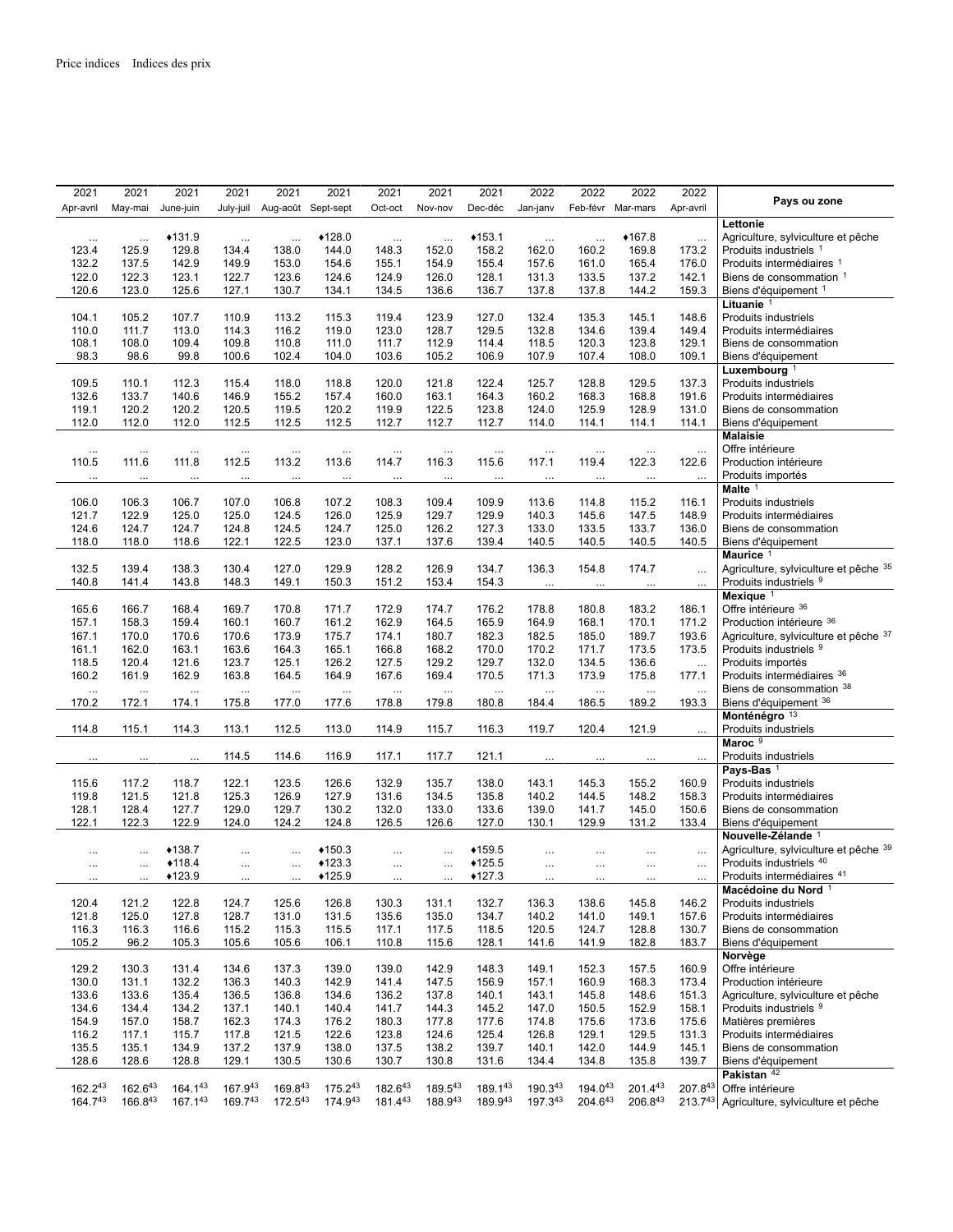| 2021      | 2021               |           | 2021      | 2021      | 2021               | 2021         | 2021      | 2021         | 2021               | 2022      | 2022      | 2022              | 2022      |                                       |
|-----------|--------------------|-----------|-----------|-----------|--------------------|--------------|-----------|--------------|--------------------|-----------|-----------|-------------------|-----------|---------------------------------------|
| Apr-avril | May-mai            |           | June-juin | July-juil | Aug-août Sept-sept |              | Oct-oct   | Nov-nov      | Dec-déc            | Jan-janv  |           | Feb-févr Mar-mars | Apr-avril | Pays ou zone                          |
|           |                    |           |           |           |                    |              |           |              |                    |           |           |                   |           | Lettonie                              |
|           | $\cdots$           | $\cdots$  | $*131.9$  | $\cdots$  | $\cdots$           | ◆128.0       | $\cdots$  | $\cdots$     | $*153.1$           | $\ldots$  |           | ◆167.8            | $\ldots$  | Agriculture, sylviculture et pêche    |
| 123.4     | 125.9              |           | 129.8     | 134.4     | 138.0              | 144.0        | 148.3     | 152.0        | 158.2              | 162.0     | 160.2     | 169.8             | 173.2     | Produits industriels 1                |
| 132.2     | 137.5              |           | 142.9     | 149.9     | 153.0              | 154.6        | 155.1     | 154.9        | 155.4              | 157.6     | 161.0     | 165.4             | 176.0     | Produits intermédiaires 1             |
|           |                    |           |           |           |                    |              |           |              |                    |           |           |                   |           |                                       |
| 122.0     | 122.3              |           | 123.1     | 122.7     | 123.6              | 124.6        | 124.9     | 126.0        | 128.1              | 131.3     | 133.5     | 137.2             | 142.1     | Biens de consommation 1               |
| 120.6     | 123.0              |           | 125.6     | 127.1     | 130.7              | 134.1        | 134.5     | 136.6        | 136.7              | 137.8     | 137.8     | 144.2             | 159.3     | Biens d'équipement <sup>1</sup>       |
|           |                    |           |           |           |                    |              |           |              |                    |           |           |                   |           | Lituanie <sup>1</sup>                 |
| 104.1     | 105.2              |           | 107.7     | 110.9     | 113.2              | 115.3        | 119.4     | 123.9        | 127.0              | 132.4     | 135.3     | 145.1             | 148.6     | Produits industriels                  |
| 110.0     | 111.7              |           | 113.0     | 114.3     | 116.2              | 119.0        | 123.0     | 128.7        | 129.5              | 132.8     | 134.6     | 139.4             | 149.4     | Produits intermédiaires               |
| 108.1     | 108.0              |           | 109.4     | 109.8     | 110.8              | 111.0        | 111.7     | 112.9        | 114.4              | 118.5     | 120.3     | 123.8             | 129.1     | Biens de consommation                 |
| 98.3      |                    | 98.6      | 99.8      | 100.6     | 102.4              | 104.0        | 103.6     | 105.2        | 106.9              | 107.9     | 107.4     | 108.0             | 109.1     | Biens d'équipement                    |
|           |                    |           |           |           |                    |              |           |              |                    |           |           |                   |           | Luxembourg <sup>1</sup>               |
| 109.5     | 110.1              |           | 112.3     | 115.4     | 118.0              | 118.8        | 120.0     | 121.8        | 122.4              | 125.7     | 128.8     | 129.5             | 137.3     | Produits industriels                  |
| 132.6     | 133.7              |           | 140.6     | 146.9     | 155.2              | 157.4        | 160.0     | 163.1        | 164.3              | 160.2     | 168.3     | 168.8             | 191.6     | Produits intermédiaires               |
| 119.1     | 120.2              |           | 120.2     | 120.5     | 119.5              | 120.2        | 119.9     | 122.5        | 123.8              | 124.0     | 125.9     | 128.9             | 131.0     | Biens de consommation                 |
| 112.0     | 112.0              |           | 112.0     | 112.5     | 112.5              | 112.5        | 112.7     | 112.7        | 112.7              | 114.0     | 114.1     | 114.1             | 114.1     | Biens d'équipement                    |
|           |                    |           |           |           |                    |              |           |              |                    |           |           |                   |           | <b>Malaisie</b>                       |
|           |                    |           |           |           |                    |              |           |              |                    |           |           |                   |           | Offre intérieure                      |
|           | $\ddotsc$<br>111.6 | $\ddotsc$ | $\cdots$  | $\cdots$  | $\ddotsc$          | $\ddotsc$    | $\ddotsc$ |              | $\ddotsc$<br>115.6 | $\ddotsc$ |           |                   | $\ldots$  |                                       |
| 110.5     |                    |           | 111.8     | 112.5     | 113.2              | 113.6        | 114.7     | 116.3        |                    | 117.1     | 119.4     | 122.3             | 122.6     | Production intérieure                 |
|           |                    |           |           |           |                    |              |           |              | $\cdots$           |           |           |                   | $\ddotsc$ | Produits importés                     |
|           |                    |           |           |           |                    |              |           |              |                    |           |           |                   |           | Malte $1$                             |
| 106.0     | 106.3              |           | 106.7     | 107.0     | 106.8              | 107.2        | 108.3     | 109.4        | 109.9              | 113.6     | 114.8     | 115.2             | 116.1     | Produits industriels                  |
| 121.7     | 122.9              |           | 125.0     | 125.0     | 124.5              | 126.0        | 125.9     | 129.7        | 129.9              | 140.3     | 145.6     | 147.5             | 148.9     | Produits intermédiaires               |
| 124.6     | 124.7              |           | 124.7     | 124.8     | 124.5              | 124.7        | 125.0     | 126.2        | 127.3              | 133.0     | 133.5     | 133.7             | 136.0     | Biens de consommation                 |
| 118.0     | 118.0              |           | 118.6     | 122.1     | 122.5              | 123.0        | 137.1     | 137.6        | 139.4              | 140.5     | 140.5     | 140.5             | 140.5     | Biens d'équipement                    |
|           |                    |           |           |           |                    |              |           |              |                    |           |           |                   |           | Maurice <sup>1</sup>                  |
| 132.5     | 139.4              |           | 138.3     | 130.4     | 127.0              | 129.9        | 128.2     | 126.9        | 134.7              | 136.3     | 154.8     | 174.7             | $\ddotsc$ | Agriculture, sylviculture et pêche 35 |
| 140.8     | 141.4              |           | 143.8     | 148.3     | 149.1              | 150.3        | 151.2     | 153.4        | 154.3              | $\cdots$  | $\cdots$  |                   | $\cdots$  | Produits industriels 9                |
|           |                    |           |           |           |                    |              |           |              |                    |           |           |                   |           | Mexique <sup>1</sup>                  |
| 165.6     | 166.7              |           | 168.4     | 169.7     | 170.8              | 171.7        | 172.9     | 174.7        | 176.2              | 178.8     | 180.8     | 183.2             | 186.1     | Offre intérieure 36                   |
| 157.1     | 158.3              |           | 159.4     | 160.1     | 160.7              | 161.2        | 162.9     | 164.5        | 165.9              | 164.9     | 168.1     | 170.1             | 171.2     | Production intérieure 36              |
|           |                    |           |           |           |                    |              |           |              |                    |           |           |                   |           |                                       |
| 167.1     | 170.0              |           | 170.6     | 170.6     | 173.9              | 175.7        | 174.1     | 180.7        | 182.3              | 182.5     | 185.0     | 189.7             | 193.6     | Agriculture, sylviculture et pêche 37 |
| 161.1     | 162.0              |           | 163.1     | 163.6     | 164.3              | 165.1        | 166.8     | 168.2        | 170.0              | 170.2     | 171.7     | 173.5             | 173.5     | Produits industriels 9                |
| 118.5     | 120.4              |           | 121.6     | 123.7     | 125.1              | 126.2        | 127.5     | 129.2        | 129.7              | 132.0     | 134.5     | 136.6             | $\ldots$  | Produits importés                     |
| 160.2     | 161.9              |           | 162.9     | 163.8     | 164.5              | 164.9        | 167.6     | 169.4        | 170.5              | 171.3     | 173.9     | 175.8             | 177.1     | Produits intermédiaires 36            |
|           | $\cdots$           | $\cdots$  | $\ddots$  | $\cdots$  | $\ldots$           | $\cdots$     | $\cdots$  |              | $\ddotsc$          | $\cdots$  | $\ddotsc$ |                   | $\cdots$  | Biens de consommation 38              |
| 170.2     | 172.1              |           | 174.1     | 175.8     | 177.0              | 177.6        | 178.8     | 179.8        | 180.8              | 184.4     | 186.5     | 189.2             | 193.3     | Biens d'équipement 36                 |
|           |                    |           |           |           |                    |              |           |              |                    |           |           |                   |           | Monténégro <sup>13</sup>              |
| 114.8     | 115.1              |           | 114.3     | 113.1     | 112.5              | 113.0        | 114.9     | 115.7        | 116.3              | 119.7     | 120.4     | 121.9             | $\cdots$  | Produits industriels                  |
|           |                    |           |           |           |                    |              |           |              |                    |           |           |                   |           | Maroc <sup>9</sup>                    |
|           |                    | $\cdots$  |           | 114.5     | 114.6              | 116.9        | 117.1     | 117.7        | 121.1              | $\ddotsc$ |           |                   | $\ddotsc$ | Produits industriels                  |
|           |                    |           |           |           |                    |              |           |              |                    |           |           |                   |           | Pays-Bas <sup>1</sup>                 |
| 115.6     | 117.2              |           | 118.7     | 122.1     | 123.5              | 126.6        | 132.9     | 135.7        | 138.0              | 143.1     | 145.3     | 155.2             | 160.9     | Produits industriels                  |
| 119.8     | 121.5              |           | 121.8     | 125.3     | 126.9              | 127.9        | 131.6     | 134.5        | 135.8              | 140.2     | 144.5     | 148.2             | 158.3     | Produits intermédiaires               |
| 128.1     | 128.4              |           | 127.7     | 129.0     | 129.7              | 130.2        | 132.0     | 133.0        | 133.6              | 139.0     | 141.7     | 145.0             | 150.6     | Biens de consommation                 |
| 122.1     | 122.3              |           | 122.9     | 124.0     | 124.2              | 124.8        | 126.5     | 126.6        | 127.0              | 130.1     | 129.9     | 131.2             | 133.4     |                                       |
|           |                    |           |           |           |                    |              |           |              |                    |           |           |                   |           | Biens d'équipement                    |
|           |                    |           |           |           |                    |              |           |              |                    |           |           |                   |           | Nouvelle-Zélande <sup>1</sup>         |
|           | $\cdots$           | $\cdots$  | $*138.7$  |           |                    | $*150.3$     |           |              | ◆159.5             |           |           |                   | $\ldots$  | Agriculture, sylviculture et pêche 39 |
|           | $\cdots$           |           | $*118.4$  | $\cdots$  | $\cdots$           | $*123.3$     |           | $\cdots$     | $*125.5$           | $\cdots$  |           |                   | $\cdots$  | Produits industriels 40               |
|           |                    |           | $*123.9$  |           | $\cdots$           | $*125.9$     |           | $\ddotsc$    | $*127.3$           | $\ddotsc$ |           |                   |           | Produits intermédiaires 41            |
|           |                    |           |           |           |                    |              |           |              |                    |           |           |                   |           | Macédoine du Nord <sup>1</sup>        |
| 120.4     | 121.2              |           | 122.8     | 124.7     | 125.6              | 126.8        | 130.3     | 131.1        | 132.7              | 136.3     | 138.6     | 145.8             | 146.2     | Produits industriels                  |
| 121.8     | 125.0              |           | 127.8     | 128.7     | 131.0              | 131.5        | 135.6     | 135.0        | 134.7              | 140.2     | 141.0     | 149.1             | 157.6     | Produits intermédiaires               |
| 116.3     | 116.3              |           | 116.6     | 115.2     | 115.3              | 115.5        | 117.1     | 117.5        | 118.5              | 120.5     | 124.7     | 128.8             | 130.7     | Biens de consommation                 |
| 105.2     |                    | 96.2      | 105.3     | 105.6     | 105.6              | 106.1        | 110.8     | 115.6        | 128.1              | 141.6     | 141.9     | 182.8             | 183.7     | Biens d'équipement                    |
|           |                    |           |           |           |                    |              |           |              |                    |           |           |                   |           | Norvège                               |
| 129.2     | 130.3              |           | 131.4     | 134.6     | 137.3              | 139.0        | 139.0     | 142.9        | 148.3              | 149.1     | 152.3     | 157.5             | 160.9     | Offre intérieure                      |
| 130.0     | 131.1              |           | 132.2     | 136.3     | 140.3              | 142.9        | 141.4     | 147.5        | 156.9              | 157.1     | 160.9     | 168.3             | 173.4     | Production intérieure                 |
| 133.6     | 133.6              |           | 135.4     | 136.5     | 136.8              | 134.6        | 136.2     | 137.8        | 140.1              | 143.1     | 145.8     | 148.6             | 151.3     | Agriculture, sylviculture et pêche    |
|           |                    |           |           |           |                    |              |           |              |                    |           |           |                   |           |                                       |
| 134.6     | 134.4              |           | 134.2     | 137.1     | 140.1              | 140.4        | 141.7     | 144.3        | 145.2              | 147.0     | 150.5     | 152.9             | 158.1     | Produits industriels 9                |
| 154.9     | 157.0              |           | 158.7     | 162.3     | 174.3              | 176.2        | 180.3     | 177.8        | 177.6              | 174.8     | 175.6     | 173.6             | 175.6     | Matières premières                    |
| 116.2     | 117.1              |           | 115.7     | 117.8     | 121.5              | 122.6        | 123.8     | 124.6        | 125.4              | 126.8     | 129.1     | 129.5             | 131.3     | Produits intermédiaires               |
| 135.5     | 135.1              |           | 134.9     | 137.2     | 137.9              | 138.0        | 137.5     | 138.2        | 139.7              | 140.1     | 142.0     | 144.9             | 145.1     | Biens de consommation                 |
| 128.6     | 128.6              |           | 128.8     | 129.1     | 130.5              | 130.6        | 130.7     | 130.8        | 131.6              | 134.4     | 134.8     | 135.8             | 139.7     | Biens d'équipement                    |
|           |                    |           |           |           |                    |              |           |              |                    |           |           |                   |           | Pakistan <sup>42</sup>                |
| 162.243   |                    | 162.643   | 164.143   | 167.943   | 169.843            | 175.243      | 182.643   | 189.543      | 189.143            | 190.343   | 194.043   | $201.4^{43}$      | 207.843   | Offre intérieure                      |
|           | 164.743            | 166.843   | 167.143   | 169.743   | 172.543            | $174.9^{43}$ | 181.443   | $188.9^{43}$ | 189.943            | 197.343   | 204.643   | $206.8^{43}$      | 213.743   | Agriculture, sylviculture et pêche    |
|           |                    |           |           |           |                    |              |           |              |                    |           |           |                   |           |                                       |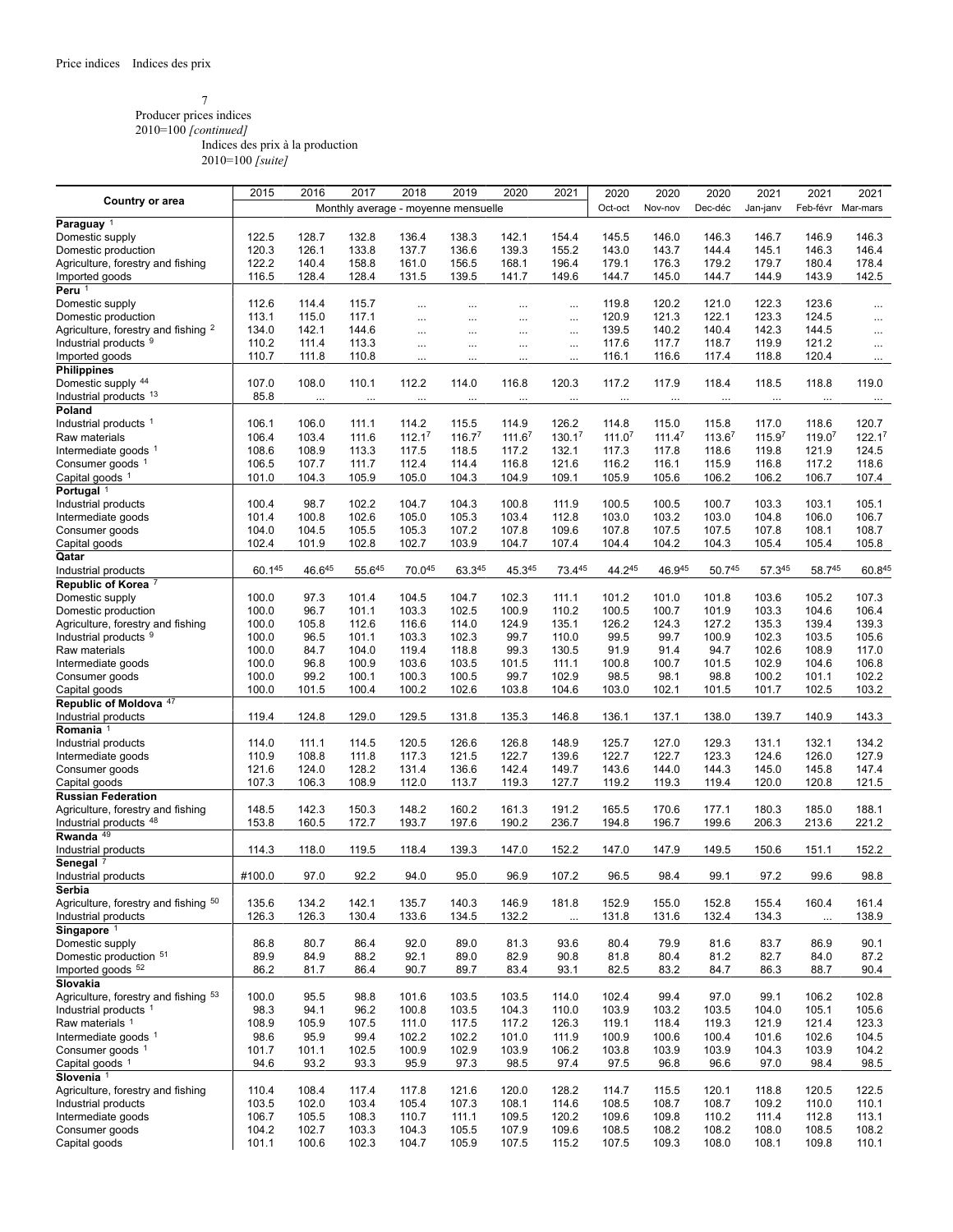#### 7 Producer prices indices

2010=100 *[continued]*

Indices des prix à la production

|                                                 | 2015   | 2016     | 2017     | 2018                                | 2019               | 2020     | 2021     | 2020               | 2020               | 2020    | 2021     | 2021     | 2021               |
|-------------------------------------------------|--------|----------|----------|-------------------------------------|--------------------|----------|----------|--------------------|--------------------|---------|----------|----------|--------------------|
| <b>Country or area</b>                          |        |          |          | Monthly average - moyenne mensuelle |                    |          |          | Oct-oct            | Nov-nov            | Dec-déc | Jan-janv | Feb-févr | Mar-mars           |
|                                                 |        |          |          |                                     |                    |          |          |                    |                    |         |          |          |                    |
| Paraguay <sup>1</sup>                           |        |          |          |                                     |                    |          |          |                    |                    |         |          |          |                    |
| Domestic supply                                 | 122.5  | 128.7    | 132.8    | 136.4                               | 138.3              | 142.1    | 154.4    | 145.5              | 146.0              | 146.3   | 146.7    | 146.9    | 146.3              |
| Domestic production                             | 120.3  | 126.1    | 133.8    | 137.7                               | 136.6              | 139.3    | 155.2    | 143.0              | 143.7              | 144.4   | 145.1    | 146.3    | 146.4              |
| Agriculture, forestry and fishing               | 122.2  | 140.4    | 158.8    | 161.0                               | 156.5              | 168.1    | 196.4    | 179.1              | 176.3              | 179.2   | 179.7    | 180.4    | 178.4              |
|                                                 | 116.5  | 128.4    | 128.4    | 131.5                               | 139.5              | 141.7    | 149.6    | 144.7              | 145.0              | 144.7   | 144.9    | 143.9    | 142.5              |
| Imported goods                                  |        |          |          |                                     |                    |          |          |                    |                    |         |          |          |                    |
| Peru <sup>1</sup>                               |        |          |          |                                     |                    |          |          |                    |                    |         |          |          |                    |
| Domestic supply                                 | 112.6  | 114.4    | 115.7    | $\cdots$                            | $\cdots$           |          |          | 119.8              | 120.2              | 121.0   | 122.3    | 123.6    | $\cdots$           |
| Domestic production                             | 113.1  | 115.0    | 117.1    | $\cdots$                            | $\cdots$           | $\cdots$ | $\cdots$ | 120.9              | 121.3              | 122.1   | 123.3    | 124.5    | $\cdots$           |
| Agriculture, forestry and fishing 2             | 134.0  | 142.1    | 144.6    | $\cdots$                            | $\cdots$           | $\cdots$ | $\cdots$ | 139.5              | 140.2              | 140.4   | 142.3    | 144.5    | $\cdots$           |
| Industrial products 9                           | 110.2  | 111.4    | 113.3    |                                     |                    |          |          | 117.6              | 117.7              | 118.7   | 119.9    | 121.2    |                    |
|                                                 |        |          |          | $\cdots$                            | $\ldots$           | $\cdots$ |          |                    |                    |         |          |          | $\cdots$           |
| Imported goods                                  | 110.7  | 111.8    | 110.8    |                                     |                    |          |          | 116.1              | 116.6              | 117.4   | 118.8    | 120.4    | $\cdots$           |
| <b>Philippines</b>                              |        |          |          |                                     |                    |          |          |                    |                    |         |          |          |                    |
| Domestic supply 44                              | 107.0  | 108.0    | 110.1    | 112.2                               | 114.0              | 116.8    | 120.3    | 117.2              | 117.9              | 118.4   | 118.5    | 118.8    | 119.0              |
| Industrial products 13                          | 85.8   | $\cdots$ | $\ldots$ | $\cdots$                            | $\ldots$           |          |          | $\cdots$           | $\cdots$           |         | $\cdots$ | $\cdots$ | $\cdots$           |
| Poland                                          |        |          |          |                                     |                    |          |          |                    |                    |         |          |          |                    |
| Industrial products <sup>1</sup>                | 106.1  | 106.0    | 111.1    | 114.2                               | 115.5              | 114.9    | 126.2    | 114.8              | 115.0              | 115.8   | 117.0    | 118.6    | 120.7              |
|                                                 |        |          |          |                                     |                    |          |          |                    |                    |         |          |          |                    |
| Raw materials                                   | 106.4  | 103.4    | 111.6    | 112.1 <sup>7</sup>                  | 116.7 <sup>7</sup> | 111.67   | 130.17   | 111.0 <sup>7</sup> | 111.4 <sup>7</sup> | 113.67  | 115.97   | 119.07   | 122.1 <sup>7</sup> |
| Intermediate goods 1                            | 108.6  | 108.9    | 113.3    | 117.5                               | 118.5              | 117.2    | 132.1    | 117.3              | 117.8              | 118.6   | 119.8    | 121.9    | 124.5              |
| Consumer goods <sup>1</sup>                     | 106.5  | 107.7    | 111.7    | 112.4                               | 114.4              | 116.8    | 121.6    | 116.2              | 116.1              | 115.9   | 116.8    | 117.2    | 118.6              |
| Capital goods 1                                 | 101.0  | 104.3    | 105.9    | 105.0                               | 104.3              | 104.9    | 109.1    | 105.9              | 105.6              | 106.2   | 106.2    | 106.7    | 107.4              |
|                                                 |        |          |          |                                     |                    |          |          |                    |                    |         |          |          |                    |
| Portugal <sup>1</sup>                           |        |          |          |                                     |                    |          |          |                    |                    |         |          |          |                    |
| Industrial products                             | 100.4  | 98.7     | 102.2    | 104.7                               | 104.3              | 100.8    | 111.9    | 100.5              | 100.5              | 100.7   | 103.3    | 103.1    | 105.1              |
| Intermediate goods                              | 101.4  | 100.8    | 102.6    | 105.0                               | 105.3              | 103.4    | 112.8    | 103.0              | 103.2              | 103.0   | 104.8    | 106.0    | 106.7              |
| Consumer goods                                  | 104.0  | 104.5    | 105.5    | 105.3                               | 107.2              | 107.8    | 109.6    | 107.8              | 107.5              | 107.5   | 107.8    | 108.1    | 108.7              |
| Capital goods                                   | 102.4  | 101.9    | 102.8    | 102.7                               | 103.9              | 104.7    | 107.4    | 104.4              | 104.2              | 104.3   | 105.4    | 105.4    | 105.8              |
| Qatar                                           |        |          |          |                                     |                    |          |          |                    |                    |         |          |          |                    |
|                                                 |        |          |          |                                     |                    |          |          |                    |                    |         |          |          |                    |
| Industrial products                             | 60.145 | 46.645   | 55.645   | 70.045                              | 63.345             | 45.345   | 73.445   | 44.245             | 46.945             | 50.745  | 57.345   | 58.745   | 60.845             |
| Republic of Korea 7                             |        |          |          |                                     |                    |          |          |                    |                    |         |          |          |                    |
| Domestic supply                                 | 100.0  | 97.3     | 101.4    | 104.5                               | 104.7              | 102.3    | 111.1    | 101.2              | 101.0              | 101.8   | 103.6    | 105.2    | 107.3              |
| Domestic production                             | 100.0  | 96.7     | 101.1    | 103.3                               | 102.5              | 100.9    | 110.2    | 100.5              | 100.7              | 101.9   | 103.3    | 104.6    | 106.4              |
| Agriculture, forestry and fishing               | 100.0  | 105.8    | 112.6    | 116.6                               | 114.0              | 124.9    | 135.1    | 126.2              | 124.3              | 127.2   | 135.3    | 139.4    | 139.3              |
|                                                 |        | 96.5     |          |                                     |                    | 99.7     |          | 99.5               | 99.7               | 100.9   | 102.3    | 103.5    | 105.6              |
| Industrial products 9                           | 100.0  |          | 101.1    | 103.3                               | 102.3              |          | 110.0    |                    |                    |         |          |          |                    |
| Raw materials                                   | 100.0  | 84.7     | 104.0    | 119.4                               | 118.8              | 99.3     | 130.5    | 91.9               | 91.4               | 94.7    | 102.6    | 108.9    | 117.0              |
| Intermediate goods                              | 100.0  | 96.8     | 100.9    | 103.6                               | 103.5              | 101.5    | 111.1    | 100.8              | 100.7              | 101.5   | 102.9    | 104.6    | 106.8              |
| Consumer goods                                  | 100.0  | 99.2     | 100.1    | 100.3                               | 100.5              | 99.7     | 102.9    | 98.5               | 98.1               | 98.8    | 100.2    | 101.1    | 102.2              |
| Capital goods                                   | 100.0  | 101.5    | 100.4    | 100.2                               | 102.6              | 103.8    | 104.6    | 103.0              | 102.1              | 101.5   | 101.7    | 102.5    | 103.2              |
| Republic of Moldova <sup>47</sup>               |        |          |          |                                     |                    |          |          |                    |                    |         |          |          |                    |
|                                                 |        |          |          |                                     |                    |          |          |                    |                    |         |          |          |                    |
| Industrial products                             | 119.4  | 124.8    | 129.0    | 129.5                               | 131.8              | 135.3    | 146.8    | 136.1              | 137.1              | 138.0   | 139.7    | 140.9    | 143.3              |
| Romania <sup>1</sup>                            |        |          |          |                                     |                    |          |          |                    |                    |         |          |          |                    |
| Industrial products                             | 114.0  | 111.1    | 114.5    | 120.5                               | 126.6              | 126.8    | 148.9    | 125.7              | 127.0              | 129.3   | 131.1    | 132.1    | 134.2              |
| Intermediate goods                              | 110.9  | 108.8    | 111.8    | 117.3                               | 121.5              | 122.7    | 139.6    | 122.7              | 122.7              | 123.3   | 124.6    | 126.0    | 127.9              |
| Consumer goods                                  | 121.6  | 124.0    | 128.2    | 131.4                               | 136.6              | 142.4    | 149.7    | 143.6              | 144.0              | 144.3   | 145.0    | 145.8    | 147.4              |
| Capital goods                                   | 107.3  | 106.3    | 108.9    | 112.0                               | 113.7              | 119.3    | 127.7    | 119.2              | 119.3              | 119.4   | 120.0    | 120.8    | 121.5              |
|                                                 |        |          |          |                                     |                    |          |          |                    |                    |         |          |          |                    |
| <b>Russian Federation</b>                       |        |          |          |                                     |                    |          |          |                    |                    |         |          |          |                    |
| Agriculture, forestry and fishing               | 148.5  | 142.3    | 150.3    | 148.2                               | 160.2              | 161.3    | 191.2    | 165.5              | 170.6              | 177.1   | 180.3    | 185.0    | 188.1              |
| Industrial products 48                          | 153.8  | 160.5    | 172.7    | 193.7                               | 197.6              | 190.2    | 236.7    | 194.8              | 196.7              | 199.6   | 206.3    | 213.6    | 221.2              |
| Rwanda <sup>49</sup>                            |        |          |          |                                     |                    |          |          |                    |                    |         |          |          |                    |
| Industrial products                             | 114.3  | 118.0    | 119.5    | 118.4                               | 139.3              | 147.0    | 152.2    | 147.0              | 147.9              | 149.5   | 150.6    | 151.1    | 152.2              |
|                                                 |        |          |          |                                     |                    |          |          |                    |                    |         |          |          |                    |
| Senegal <sup>7</sup>                            |        |          |          |                                     |                    |          |          |                    |                    |         |          |          |                    |
| Industrial products                             | #100.0 | 97.0     | 92.2     | 94.0                                | 95.0               | 96.9     | 107.2    | 96.5               | 98.4               | 99.1    | 97.2     | 99.6     | 98.8               |
| Serbia                                          |        |          |          |                                     |                    |          |          |                    |                    |         |          |          |                    |
| Agriculture, forestry and fishing <sup>50</sup> | 135.6  | 134.2    | 142.1    | 135.7                               | 140.3              | 146.9    | 181.8    | 152.9              | 155.0              | 152.8   | 155.4    | 160.4    | 161.4              |
| Industrial products                             | 126.3  | 126.3    | 130.4    | 133.6                               | 134.5              | 132.2    | $\cdots$ | 131.8              | 131.6              | 132.4   | 134.3    | $\cdots$ | 138.9              |
| Singapore <sup>1</sup>                          |        |          |          |                                     |                    |          |          |                    |                    |         |          |          |                    |
|                                                 |        |          |          |                                     |                    |          |          |                    |                    |         |          |          |                    |
| Domestic supply                                 | 86.8   | 80.7     | 86.4     | 92.0                                | 89.0               | 81.3     | 93.6     | 80.4               | 79.9               | 81.6    | 83.7     | 86.9     | 90.1               |
| Domestic production 51                          | 89.9   | 84.9     | 88.2     | 92.1                                | 89.0               | 82.9     | 90.8     | 81.8               | 80.4               | 81.2    | 82.7     | 84.0     | 87.2               |
| Imported goods <sup>52</sup>                    | 86.2   | 81.7     | 86.4     | 90.7                                | 89.7               | 83.4     | 93.1     | 82.5               | 83.2               | 84.7    | 86.3     | 88.7     | 90.4               |
| Slovakia                                        |        |          |          |                                     |                    |          |          |                    |                    |         |          |          |                    |
| Agriculture, forestry and fishing 53            | 100.0  | 95.5     | 98.8     | 101.6                               | 103.5              | 103.5    | 114.0    | 102.4              | 99.4               | 97.0    | 99.1     | 106.2    | 102.8              |
| Industrial products <sup>1</sup>                | 98.3   | 94.1     | 96.2     | 100.8                               | 103.5              | 104.3    | 110.0    | 103.9              | 103.2              | 103.5   | 104.0    | 105.1    | 105.6              |
|                                                 |        |          |          |                                     |                    |          |          |                    |                    |         |          |          |                    |
| Raw materials 1                                 | 108.9  | 105.9    | 107.5    | 111.0                               | 117.5              | 117.2    | 126.3    | 119.1              | 118.4              | 119.3   | 121.9    | 121.4    | 123.3              |
| Intermediate goods 1                            | 98.6   | 95.9     | 99.4     | 102.2                               | 102.2              | 101.0    | 111.9    | 100.9              | 100.6              | 100.4   | 101.6    | 102.6    | 104.5              |
| Consumer goods 1                                | 101.7  | 101.1    | 102.5    | 100.9                               | 102.9              | 103.9    | 106.2    | 103.8              | 103.9              | 103.9   | 104.3    | 103.9    | 104.2              |
| Capital goods 1                                 | 94.6   | 93.2     | 93.3     | 95.9                                | 97.3               | 98.5     | 97.4     | 97.5               | 96.8               | 96.6    | 97.0     | 98.4     | 98.5               |
| Slovenia <sup>1</sup>                           |        |          |          |                                     |                    |          |          |                    |                    |         |          |          |                    |
|                                                 |        |          |          |                                     |                    |          |          |                    |                    |         |          |          |                    |
| Agriculture, forestry and fishing               | 110.4  | 108.4    | 117.4    | 117.8                               | 121.6              | 120.0    | 128.2    | 114.7              | 115.5              | 120.1   | 118.8    | 120.5    | 122.5              |
| Industrial products                             | 103.5  | 102.0    | 103.4    | 105.4                               | 107.3              | 108.1    | 114.6    | 108.5              | 108.7              | 108.7   | 109.2    | 110.0    | 110.1              |
| Intermediate goods                              | 106.7  | 105.5    | 108.3    | 110.7                               | 111.1              | 109.5    | 120.2    | 109.6              | 109.8              | 110.2   | 111.4    | 112.8    | 113.1              |
| Consumer goods                                  | 104.2  | 102.7    | 103.3    | 104.3                               | 105.5              | 107.9    | 109.6    | 108.5              | 108.2              | 108.2   | 108.0    | 108.5    | 108.2              |
| Capital goods                                   | 101.1  | 100.6    | 102.3    | 104.7                               | 105.9              | 107.5    | 115.2    | 107.5              | 109.3              | 108.0   | 108.1    | 109.8    | 110.1              |
|                                                 |        |          |          |                                     |                    |          |          |                    |                    |         |          |          |                    |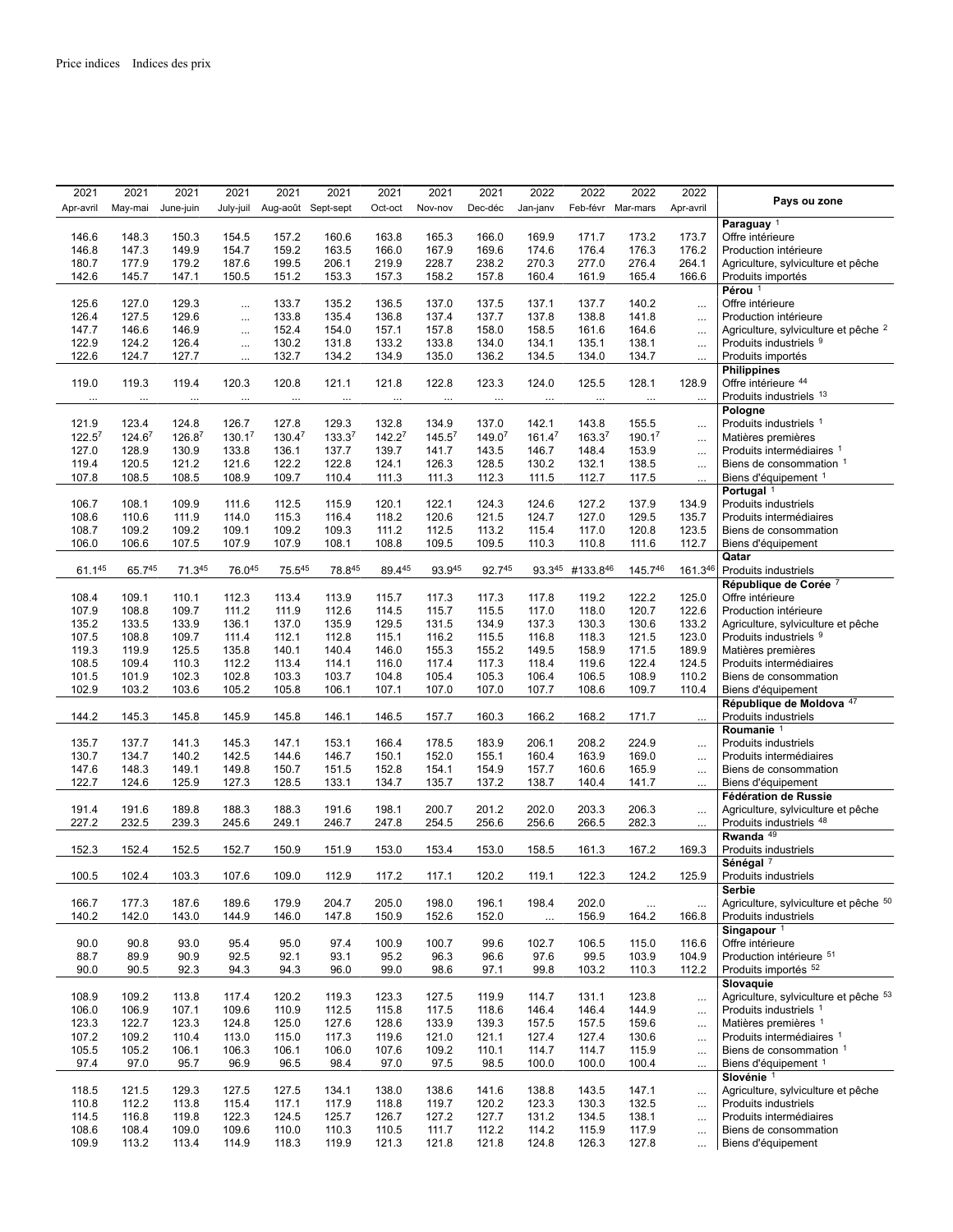| 2021               | 2021     | 2021      | 2021      | 2021               | 2021     | 2021     | 2021               | 2021     | 2022     | 2022               | 2022              | 2022      |                                                 |
|--------------------|----------|-----------|-----------|--------------------|----------|----------|--------------------|----------|----------|--------------------|-------------------|-----------|-------------------------------------------------|
| Apr-avril          | May-mai  | June-juin | July-juil | Aug-août Sept-sept |          | Oct-oct  | Nov-nov            | Dec-déc  | Jan-janv |                    | Feb-févr Mar-mars | Apr-avril | Pays ou zone                                    |
|                    |          |           |           |                    |          |          |                    |          |          |                    |                   |           | Paraguay <sup>1</sup>                           |
| 146.6              | 148.3    | 150.3     |           |                    |          | 163.8    |                    | 166.0    |          | 171.7              |                   | 173.7     | Offre intérieure                                |
|                    |          |           | 154.5     | 157.2              | 160.6    |          | 165.3              |          | 169.9    |                    | 173.2             |           |                                                 |
| 146.8              | 147.3    | 149.9     | 154.7     | 159.2              | 163.5    | 166.0    | 167.9              | 169.6    | 174.6    | 176.4              | 176.3             | 176.2     | Production intérieure                           |
| 180.7              | 177.9    | 179.2     | 187.6     | 199.5              | 206.1    | 219.9    | 228.7              | 238.2    | 270.3    | 277.0              | 276.4             | 264.1     | Agriculture, sylviculture et pêche              |
| 142.6              | 145.7    | 147.1     | 150.5     | 151.2              | 153.3    | 157.3    | 158.2              | 157.8    | 160.4    | 161.9              | 165.4             | 166.6     | Produits importés                               |
|                    |          |           |           |                    |          |          |                    |          |          |                    |                   |           | Pérou <sup>1</sup>                              |
| 125.6              | 127.0    | 129.3     | $\cdots$  | 133.7              | 135.2    | 136.5    | 137.0              | 137.5    | 137.1    | 137.7              | 140.2             | $\ldots$  | Offre intérieure                                |
| 126.4              | 127.5    | 129.6     | $\ldots$  | 133.8              | 135.4    | 136.8    | 137.4              | 137.7    | 137.8    | 138.8              | 141.8             | $\ldots$  | Production intérieure                           |
| 147.7              | 146.6    | 146.9     | $\ldots$  | 152.4              | 154.0    | 157.1    | 157.8              | 158.0    | 158.5    | 161.6              | 164.6             | $\cdots$  | Agriculture, sylviculture et pêche <sup>2</sup> |
| 122.9              | 124.2    | 126.4     | $\cdots$  | 130.2              | 131.8    | 133.2    | 133.8              | 134.0    | 134.1    | 135.1              | 138.1             | $\ddotsc$ | Produits industriels 9                          |
| 122.6              | 124.7    | 127.7     | $\cdots$  | 132.7              | 134.2    | 134.9    | 135.0              | 136.2    | 134.5    | 134.0              | 134.7             | $\cdots$  | Produits importés                               |
|                    |          |           |           |                    |          |          |                    |          |          |                    |                   |           | <b>Philippines</b>                              |
| 119.0              | 119.3    | 119.4     | 120.3     | 120.8              | 121.1    | 121.8    | 122.8              | 123.3    | 124.0    | 125.5              | 128.1             | 128.9     | Offre intérieure 44                             |
| $\cdots$           | $\cdots$ | $\cdots$  | $\cdots$  | $\cdots$           | $\cdots$ | $\cdots$ | $\cdots$           | $\ldots$ | $\cdots$ | $\ldots$           | $\ldots$          | $\ddotsc$ | Produits industriels 13                         |
|                    |          |           |           |                    |          |          |                    |          |          |                    |                   |           | Pologne                                         |
| 121.9              | 123.4    | 124.8     | 126.7     | 127.8              | 129.3    | 132.8    | 134.9              | 137.0    | 142.1    | 143.8              | 155.5             | $\cdots$  | Produits industriels 1                          |
| 122.5 <sup>7</sup> | 124.67   | 126.87    | 130.17    | 130.47             | 133.37   | 142.27   | 145.5 <sup>7</sup> | 149.07   | 161.47   | 163.3 <sup>7</sup> | 190.17            | $\ddotsc$ | Matières premières                              |
| 127.0              | 128.9    | 130.9     | 133.8     | 136.1              | 137.7    | 139.7    | 141.7              | 143.5    | 146.7    | 148.4              | 153.9             | $\ddotsc$ | Produits intermédiaires 1                       |
| 119.4              | 120.5    | 121.2     | 121.6     | 122.2              | 122.8    | 124.1    | 126.3              | 128.5    | 130.2    | 132.1              | 138.5             | $\ldots$  | Biens de consommation 1                         |
| 107.8              | 108.5    | 108.5     | 108.9     | 109.7              | 110.4    | 111.3    | 111.3              | 112.3    | 111.5    | 112.7              | 117.5             |           | Biens d'équipement 1                            |
|                    |          |           |           |                    |          |          |                    |          |          |                    |                   | $\cdots$  | Portugal <sup>1</sup>                           |
| 106.7              | 108.1    | 109.9     | 111.6     | 112.5              | 115.9    | 120.1    | 122.1              | 124.3    | 124.6    | 127.2              | 137.9             | 134.9     | <b>Produits industriels</b>                     |
| 108.6              | 110.6    |           | 114.0     | 115.3              | 116.4    |          | 120.6              | 121.5    | 124.7    | 127.0              |                   | 135.7     |                                                 |
|                    |          | 111.9     |           |                    |          | 118.2    |                    |          |          |                    | 129.5             |           | Produits intermédiaires                         |
| 108.7              | 109.2    | 109.2     | 109.1     | 109.2              | 109.3    | 111.2    | 112.5              | 113.2    | 115.4    | 117.0              | 120.8             | 123.5     | Biens de consommation                           |
| 106.0              | 106.6    | 107.5     | 107.9     | 107.9              | 108.1    | 108.8    | 109.5              | 109.5    | 110.3    | 110.8              | 111.6             | 112.7     | Biens d'équipement                              |
|                    |          |           |           |                    |          |          |                    |          |          |                    |                   |           | Qatar                                           |
| $61.1^{45}$        | 65.745   | 71.345    | 76.045    | 75.545             | 78.845   | 89.445   | 93.945             | 92.745   | 93.345   | #133.846           | 145.746           | 161.346   | Produits industriels                            |
|                    |          |           |           |                    |          |          |                    |          |          |                    |                   |           | République de Corée 7                           |
| 108.4              | 109.1    | 110.1     | 112.3     | 113.4              | 113.9    | 115.7    | 117.3              | 117.3    | 117.8    | 119.2              | 122.2             | 125.0     | Offre intérieure                                |
| 107.9              | 108.8    | 109.7     | 111.2     | 111.9              | 112.6    | 114.5    | 115.7              | 115.5    | 117.0    | 118.0              | 120.7             | 122.6     | Production intérieure                           |
| 135.2              | 133.5    | 133.9     | 136.1     | 137.0              | 135.9    | 129.5    | 131.5              | 134.9    | 137.3    | 130.3              | 130.6             | 133.2     | Agriculture, sylviculture et pêche              |
| 107.5              | 108.8    | 109.7     | 111.4     | 112.1              | 112.8    | 115.1    | 116.2              | 115.5    | 116.8    | 118.3              | 121.5             | 123.0     | Produits industriels 9                          |
| 119.3              | 119.9    | 125.5     | 135.8     | 140.1              | 140.4    | 146.0    | 155.3              | 155.2    | 149.5    | 158.9              | 171.5             | 189.9     | Matières premières                              |
| 108.5              | 109.4    | 110.3     | 112.2     | 113.4              | 114.1    | 116.0    | 117.4              | 117.3    | 118.4    | 119.6              | 122.4             | 124.5     | Produits intermédiaires                         |
| 101.5              | 101.9    | 102.3     | 102.8     | 103.3              | 103.7    | 104.8    | 105.4              | 105.3    | 106.4    | 106.5              | 108.9             | 110.2     | Biens de consommation                           |
| 102.9              | 103.2    | 103.6     | 105.2     | 105.8              | 106.1    | 107.1    | 107.0              | 107.0    | 107.7    | 108.6              | 109.7             | 110.4     | Biens d'équipement                              |
|                    |          |           |           |                    |          |          |                    |          |          |                    |                   |           | République de Moldova 47                        |
| 144.2              | 145.3    | 145.8     | 145.9     | 145.8              | 146.1    | 146.5    | 157.7              | 160.3    | 166.2    | 168.2              | 171.7             | $\ldots$  | Produits industriels                            |
|                    |          |           |           |                    |          |          |                    |          |          |                    |                   |           | Roumanie <sup>1</sup>                           |
| 135.7              | 137.7    | 141.3     | 145.3     | 147.1              | 153.1    | 166.4    | 178.5              | 183.9    | 206.1    | 208.2              | 224.9             | $\ddotsc$ | Produits industriels                            |
| 130.7              | 134.7    | 140.2     | 142.5     | 144.6              | 146.7    | 150.1    | 152.0              | 155.1    | 160.4    | 163.9              | 169.0             | $\ldots$  | Produits intermédiaires                         |
| 147.6              | 148.3    | 149.1     | 149.8     | 150.7              | 151.5    | 152.8    | 154.1              | 154.9    | 157.7    | 160.6              | 165.9             | $\cdots$  | Biens de consommation                           |
| 122.7              | 124.6    | 125.9     | 127.3     | 128.5              | 133.1    | 134.7    | 135.7              | 137.2    | 138.7    | 140.4              | 141.7             | $\ddotsc$ | Biens d'équipement                              |
|                    |          |           |           |                    |          |          |                    |          |          |                    |                   |           | Fédération de Russie                            |
| 191.4              | 191.6    | 189.8     | 188.3     | 188.3              | 191.6    | 198.1    | 200.7              | 201.2    | 202.0    | 203.3              | 206.3             |           | Agriculture, sylviculture et pêche              |
| 227.2              | 232.5    | 239.3     | 245.6     | 249.1              | 246.7    | 247.8    | 254.5              | 256.6    | 256.6    | 266.5              | 282.3             | $\cdots$  | Produits industriels 48                         |
|                    |          |           |           |                    |          |          |                    |          |          |                    |                   | $\ldots$  | Rwanda <sup>49</sup>                            |
|                    |          |           |           |                    |          |          |                    |          |          |                    |                   |           | Produits industriels                            |
| 152.3              | 152.4    | 152.5     | 152.7     | 150.9              | 151.9    | 153.0    | 153.4              | 153.0    | 158.5    | 161.3              | 167.2             | 169.3     | Sénégal <sup>7</sup>                            |
|                    |          |           |           |                    |          |          |                    |          |          | 122.3              |                   |           |                                                 |
| 100.5              | 102.4    | 103.3     | 107.6     | 109.0              | 112.9    | 117.2    | 117.1              | 120.2    | 119.1    |                    | 124.2             | 125.9     | Produits industriels                            |
|                    |          |           |           |                    |          |          |                    |          |          |                    |                   |           | <b>Serbie</b>                                   |
| 166.7              | 177.3    | 187.6     | 189.6     | 179.9              | 204.7    | 205.0    | 198.0              | 196.1    | 198.4    | 202.0              | $\ldots$          | $\cdots$  | Agriculture, sylviculture et pêche 50           |
| 140.2              | 142.0    | 143.0     | 144.9     | 146.0              | 147.8    | 150.9    | 152.6              | 152.0    | $\cdots$ | 156.9              | 164.2             | 166.8     | Produits industriels                            |
|                    |          |           |           |                    |          |          |                    |          |          |                    |                   |           | Singapour $1$                                   |
| 90.0               | 90.8     | 93.0      | 95.4      | 95.0               | 97.4     | 100.9    | 100.7              | 99.6     | 102.7    | 106.5              | 115.0             | 116.6     | Offre intérieure                                |
| 88.7               | 89.9     | 90.9      | 92.5      | 92.1               | 93.1     | 95.2     | 96.3               | 96.6     | 97.6     | 99.5               | 103.9             | 104.9     | Production intérieure 51                        |
| 90.0               | 90.5     | 92.3      | 94.3      | 94.3               | 96.0     | 99.0     | 98.6               | 97.1     | 99.8     | 103.2              | 110.3             | 112.2     | Produits importés <sup>52</sup>                 |
|                    |          |           |           |                    |          |          |                    |          |          |                    |                   |           | Slovaquie                                       |
| 108.9              | 109.2    | 113.8     | 117.4     | 120.2              | 119.3    | 123.3    | 127.5              | 119.9    | 114.7    | 131.1              | 123.8             | $\ddotsc$ | Agriculture, sylviculture et pêche 53           |
| 106.0              | 106.9    | 107.1     | 109.6     | 110.9              | 112.5    | 115.8    | 117.5              | 118.6    | 146.4    | 146.4              | 144.9             | $\ddotsc$ | Produits industriels 1                          |
| 123.3              | 122.7    | 123.3     | 124.8     | 125.0              | 127.6    | 128.6    | 133.9              | 139.3    | 157.5    | 157.5              | 159.6             | $\cdots$  | Matières premières 1                            |
| 107.2              | 109.2    | 110.4     | 113.0     | 115.0              | 117.3    | 119.6    | 121.0              | 121.1    | 127.4    | 127.4              | 130.6             | $\cdots$  | Produits intermédiaires 1                       |
| 105.5              | 105.2    | 106.1     | 106.3     | 106.1              | 106.0    | 107.6    | 109.2              | 110.1    | 114.7    | 114.7              | 115.9             | $\cdots$  | Biens de consommation 1                         |
| 97.4               | 97.0     | 95.7      | 96.9      | 96.5               | 98.4     | 97.0     | 97.5               | 98.5     | 100.0    | 100.0              | 100.4             |           | Biens d'équipement 1                            |
|                    |          |           |           |                    |          |          |                    |          |          |                    |                   |           | Slovénie <sup>1</sup>                           |
| 118.5              | 121.5    | 129.3     | 127.5     | 127.5              | 134.1    | 138.0    | 138.6              | 141.6    | 138.8    | 143.5              | 147.1             |           | Agriculture, sylviculture et pêche              |
| 110.8              | 112.2    | 113.8     | 115.4     | 117.1              | 117.9    | 118.8    | 119.7              | 120.2    | 123.3    | 130.3              | 132.5             | $\cdots$  | Produits industriels                            |
| 114.5              | 116.8    | 119.8     | 122.3     | 124.5              | 125.7    | 126.7    | 127.2              | 127.7    | 131.2    | 134.5              | 138.1             | $\ldots$  | Produits intermédiaires                         |
| 108.6              | 108.4    | 109.0     | 109.6     | 110.0              | 110.3    | 110.5    | 111.7              | 112.2    | 114.2    | 115.9              | 117.9             | $\cdots$  | Biens de consommation                           |
|                    |          |           |           |                    |          |          |                    |          |          |                    |                   | $\cdots$  |                                                 |
| 109.9              | 113.2    | 113.4     | 114.9     | 118.3              | 119.9    | 121.3    | 121.8              | 121.8    | 124.8    | 126.3              | 127.8             | $\cdots$  | Biens d'équipement                              |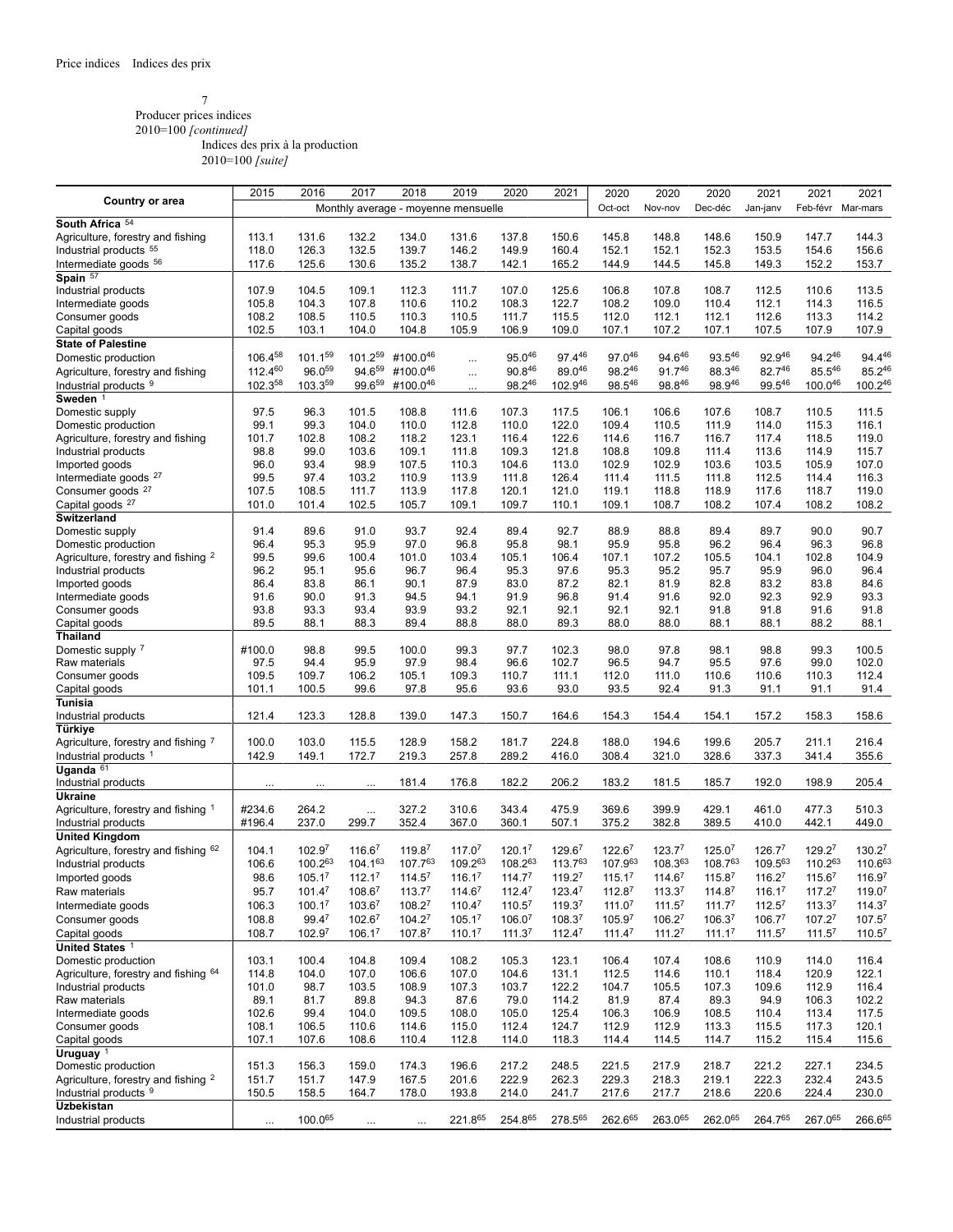### 7 Producer prices indices 2010=100 *[continued]*

Indices des prix à la production

|                                                | 2015         | 2016               | 2017               | 2018                                | 2019               | 2020               | 2021               | 2020               | 2020               | 2020               | 2021               | 2021               | 2021               |
|------------------------------------------------|--------------|--------------------|--------------------|-------------------------------------|--------------------|--------------------|--------------------|--------------------|--------------------|--------------------|--------------------|--------------------|--------------------|
| <b>Country or area</b>                         |              |                    |                    | Monthly average - moyenne mensuelle |                    |                    |                    | Oct-oct            | Nov-nov            | Dec-déc            | Jan-janv           | Feb-févr Mar-mars  |                    |
|                                                |              |                    |                    |                                     |                    |                    |                    |                    |                    |                    |                    |                    |                    |
| South Africa 54                                |              |                    |                    |                                     |                    |                    |                    |                    |                    |                    |                    |                    |                    |
| Agriculture, forestry and fishing              | 113.1        | 131.6              | 132.2              | 134.0                               | 131.6              | 137.8              | 150.6              | 145.8              | 148.8              | 148.6              | 150.9              | 147.7              | 144.3              |
| Industrial products 55                         | 118.0        | 126.3              | 132.5              | 139.7                               | 146.2              | 149.9              | 160.4              | 152.1              | 152.1              | 152.3              | 153.5              | 154.6              | 156.6              |
| Intermediate goods 56                          | 117.6        | 125.6              | 130.6              | 135.2                               | 138.7              | 142.1              | 165.2              | 144.9              | 144.5              | 145.8              | 149.3              | 152.2              | 153.7              |
| Spain 57                                       |              |                    |                    |                                     |                    |                    |                    |                    |                    |                    |                    |                    |                    |
| Industrial products                            | 107.9        | 104.5              | 109.1              | 112.3                               | 111.7              | 107.0              | 125.6              | 106.8              | 107.8              | 108.7              | 112.5              | 110.6              | 113.5              |
| Intermediate goods                             | 105.8        | 104.3              | 107.8              | 110.6                               | 110.2              | 108.3              | 122.7              | 108.2              | 109.0              | 110.4              | 112.1              | 114.3              | 116.5              |
| Consumer goods                                 | 108.2        | 108.5              | 110.5              | 110.3                               | 110.5              | 111.7              | 115.5              | 112.0              | 112.1              | 112.1              | 112.6              | 113.3              | 114.2              |
|                                                | 102.5        | 103.1              | 104.0              | 104.8                               | 105.9              | 106.9              | 109.0              | 107.1              | 107.2              | 107.1              | 107.5              | 107.9              | 107.9              |
| Capital goods                                  |              |                    |                    |                                     |                    |                    |                    |                    |                    |                    |                    |                    |                    |
| <b>State of Palestine</b>                      |              |                    |                    |                                     |                    |                    |                    |                    |                    |                    |                    |                    |                    |
| Domestic production                            | 106.458      | 101.159            | 101.259            | #100.046                            | $\ldots$           | 95.046             | 97.446             | 97.046             | 94.646             | 93.546             | 92.946             | 94.246             | 94.446             |
| Agriculture, forestry and fishing              | $112.4^{60}$ | 96.059             | 94.659             | #100.046                            | $\cdots$           | 90.846             | 89.046             | 98.246             | $91.7^{46}$        | 88.346             | 82.746             | 85.546             | 85.246             |
| Industrial products 9                          | 102.358      | 103.359            | 99.659             | #100.046                            |                    | 98.246             | 102.946            | 98.546             | 98.846             | 98.946             | 99.546             | 100.046            | 100.246            |
| Sweden <sup>1</sup>                            |              |                    |                    |                                     |                    |                    |                    |                    |                    |                    |                    |                    |                    |
| Domestic supply                                | 97.5         | 96.3               | 101.5              | 108.8                               | 111.6              | 107.3              | 117.5              | 106.1              | 106.6              | 107.6              | 108.7              | 110.5              | 111.5              |
| Domestic production                            | 99.1         | 99.3               | 104.0              | 110.0                               | 112.8              | 110.0              | 122.0              | 109.4              | 110.5              | 111.9              | 114.0              | 115.3              | 116.1              |
|                                                | 101.7        | 102.8              | 108.2              | 118.2                               | 123.1              | 116.4              | 122.6              | 114.6              | 116.7              | 116.7              | 117.4              | 118.5              | 119.0              |
| Agriculture, forestry and fishing              |              |                    |                    |                                     |                    |                    |                    |                    |                    |                    |                    |                    |                    |
| Industrial products                            | 98.8         | 99.0               | 103.6              | 109.1                               | 111.8              | 109.3              | 121.8              | 108.8              | 109.8              | 111.4              | 113.6              | 114.9              | 115.7              |
| Imported goods                                 | 96.0         | 93.4               | 98.9               | 107.5                               | 110.3              | 104.6              | 113.0              | 102.9              | 102.9              | 103.6              | 103.5              | 105.9              | 107.0              |
| Intermediate goods <sup>27</sup>               | 99.5         | 97.4               | 103.2              | 110.9                               | 113.9              | 111.8              | 126.4              | 111.4              | 111.5              | 111.8              | 112.5              | 114.4              | 116.3              |
| Consumer goods <sup>27</sup>                   | 107.5        | 108.5              | 111.7              | 113.9                               | 117.8              | 120.1              | 121.0              | 119.1              | 118.8              | 118.9              | 117.6              | 118.7              | 119.0              |
| Capital goods <sup>27</sup>                    | 101.0        | 101.4              | 102.5              | 105.7                               | 109.1              | 109.7              | 110.1              | 109.1              | 108.7              | 108.2              | 107.4              | 108.2              | 108.2              |
| Switzerland                                    |              |                    |                    |                                     |                    |                    |                    |                    |                    |                    |                    |                    |                    |
| Domestic supply                                | 91.4         | 89.6               | 91.0               | 93.7                                | 92.4               | 89.4               | 92.7               | 88.9               | 88.8               | 89.4               | 89.7               | 90.0               | 90.7               |
| Domestic production                            | 96.4         | 95.3               | 95.9               | 97.0                                | 96.8               | 95.8               | 98.1               | 95.9               | 95.8               | 96.2               | 96.4               | 96.3               | 96.8               |
|                                                |              |                    |                    |                                     |                    |                    |                    |                    |                    |                    |                    |                    |                    |
| Agriculture, forestry and fishing <sup>2</sup> | 99.5         | 99.6               | 100.4              | 101.0                               | 103.4              | 105.1              | 106.4              | 107.1              | 107.2              | 105.5              | 104.1              | 102.8              | 104.9              |
| Industrial products                            | 96.2         | 95.1               | 95.6               | 96.7                                | 96.4               | 95.3               | 97.6               | 95.3               | 95.2               | 95.7               | 95.9               | 96.0               | 96.4               |
| Imported goods                                 | 86.4         | 83.8               | 86.1               | 90.1                                | 87.9               | 83.0               | 87.2               | 82.1               | 81.9               | 82.8               | 83.2               | 83.8               | 84.6               |
| Intermediate goods                             | 91.6         | 90.0               | 91.3               | 94.5                                | 94.1               | 91.9               | 96.8               | 91.4               | 91.6               | 92.0               | 92.3               | 92.9               | 93.3               |
| Consumer goods                                 | 93.8         | 93.3               | 93.4               | 93.9                                | 93.2               | 92.1               | 92.1               | 92.1               | 92.1               | 91.8               | 91.8               | 91.6               | 91.8               |
| Capital goods                                  | 89.5         | 88.1               | 88.3               | 89.4                                | 88.8               | 88.0               | 89.3               | 88.0               | 88.0               | 88.1               | 88.1               | 88.2               | 88.1               |
| Thailand                                       |              |                    |                    |                                     |                    |                    |                    |                    |                    |                    |                    |                    |                    |
| Domestic supply 7                              | #100.0       | 98.8               | 99.5               | 100.0                               | 99.3               | 97.7               | 102.3              | 98.0               | 97.8               | 98.1               | 98.8               | 99.3               | 100.5              |
|                                                | 97.5         | 94.4               | 95.9               | 97.9                                | 98.4               | 96.6               | 102.7              | 96.5               | 94.7               | 95.5               | 97.6               | 99.0               | 102.0              |
| Raw materials                                  |              |                    |                    |                                     |                    |                    |                    |                    |                    |                    |                    |                    |                    |
| Consumer goods                                 | 109.5        | 109.7              | 106.2              | 105.1                               | 109.3              | 110.7              | 111.1              | 112.0              | 111.0              | 110.6              | 110.6              | 110.3              | 112.4              |
| Capital goods                                  | 101.1        | 100.5              | 99.6               | 97.8                                | 95.6               | 93.6               | 93.0               | 93.5               | 92.4               | 91.3               | 91.1               | 91.1               | 91.4               |
| Tunisia                                        |              |                    |                    |                                     |                    |                    |                    |                    |                    |                    |                    |                    |                    |
| Industrial products                            | 121.4        | 123.3              | 128.8              | 139.0                               | 147.3              | 150.7              | 164.6              | 154.3              | 154.4              | 154.1              | 157.2              | 158.3              | 158.6              |
| Türkiye                                        |              |                    |                    |                                     |                    |                    |                    |                    |                    |                    |                    |                    |                    |
| Agriculture, forestry and fishing 7            | 100.0        | 103.0              | 115.5              | 128.9                               | 158.2              | 181.7              | 224.8              | 188.0              | 194.6              | 199.6              | 205.7              | 211.1              | 216.4              |
| Industrial products <sup>1</sup>               | 142.9        | 149.1              | 172.7              | 219.3                               | 257.8              | 289.2              | 416.0              | 308.4              | 321.0              | 328.6              | 337.3              | 341.4              | 355.6              |
| Uganda $61$                                    |              |                    |                    |                                     |                    |                    |                    |                    |                    |                    |                    |                    |                    |
|                                                |              |                    |                    |                                     |                    |                    |                    |                    |                    |                    |                    |                    |                    |
| Industrial products                            | $\cdots$     | $\cdots$           | $\cdots$           | 181.4                               | 176.8              | 182.2              | 206.2              | 183.2              | 181.5              | 185.7              | 192.0              | 198.9              | 205.4              |
| Ukraine                                        |              |                    |                    |                                     |                    |                    |                    |                    |                    |                    |                    |                    |                    |
| Agriculture, forestry and fishing 1            | #234.6       | 264.2              | $\ldots$           | 327.2                               | 310.6              | 343.4              | 475.9              | 369.6              | 399.9              | 429.1              | 461.0              | 477.3              | 510.3              |
| Industrial products                            | #196.4       | 237.0              | 299.7              | 352.4                               | 367.0              | 360.1              | 507.1              | 375.2              | 382.8              | 389.5              | 410.0              | 442.1              | 449.0              |
| <b>United Kingdom</b>                          |              |                    |                    |                                     |                    |                    |                    |                    |                    |                    |                    |                    |                    |
| Agriculture, forestry and fishing 62           | 104.1        | 102.97             | 116.67             | 119.87                              | 117.07             | 120.1 <sup>7</sup> | 129.67             | $122.6^7$          | 123.7 <sup>7</sup> | 125.0 <sup>7</sup> | 126.7 <sup>7</sup> | 129.2 <sup>7</sup> | 130.27             |
| Industrial products                            | 106.6        | 100.263            | 104.163            | 107.763                             | 109.263            | 108.263            | 113.763            | 107.963            | 108.363            | 108.763            | 109.563            | 110.263            | 110.663            |
|                                                | 98.6         | 105.17             | 112.17             | 114.5 <sup>7</sup>                  | 116.1 <sup>7</sup> | 114.7 <sup>7</sup> | 119.27             | 115.1 <sup>7</sup> | 114.67             | 115.87             | 116.27             | 115.67             | 116.97             |
| Imported goods                                 |              |                    |                    |                                     |                    |                    |                    |                    |                    |                    |                    |                    |                    |
| Raw materials                                  | 95.7         | 101.4 <sup>7</sup> | 108.67             | 113.7 <sup>7</sup>                  | $114.6^7$          | $112.4^7$          | 123.4 <sup>7</sup> | 112.8 <sup>7</sup> | 113.3 <sup>7</sup> | 114.8 <sup>7</sup> | 116.1 <sup>7</sup> | 117.2 <sup>7</sup> | 119.0 <sup>7</sup> |
| Intermediate goods                             | 106.3        | 100.1 <sup>7</sup> | 103.6 <sup>7</sup> | $108.2^7$                           | $110.4^7$          | $110.5^7$          | 119.3 <sup>7</sup> | 111.0 <sup>7</sup> | 111.5 <sup>7</sup> | 111.7 <sup>7</sup> | $112.5^7$          | 113.3 <sup>7</sup> | 114.3 <sup>7</sup> |
| Consumer goods                                 | 108.8        | 99.47              | $102.6^7$          | $104.2^7$                           | 105.1 <sup>7</sup> | 106.0 <sup>7</sup> | 108.3 <sup>7</sup> | 105.9 <sup>7</sup> | $106.2^7$          | 106.3 <sup>7</sup> | 106.7 <sup>7</sup> | 107.2 <sup>7</sup> | $107.5^7$          |
| Capital goods                                  | 108.7        | 102.97             | 106.17             | 107.87                              | 110.17             | 111.3 <sup>7</sup> | 112.47             | 111.4 <sup>7</sup> | 111.2 <sup>7</sup> | 111.1 <sup>7</sup> | 111.5 <sup>7</sup> | 111.5 <sup>7</sup> | 110.5 <sup>7</sup> |
| United States <sup>1</sup>                     |              |                    |                    |                                     |                    |                    |                    |                    |                    |                    |                    |                    |                    |
|                                                |              |                    | 104.8              |                                     |                    |                    |                    |                    |                    |                    |                    |                    |                    |
| Domestic production                            | 103.1        | 100.4              |                    | 109.4                               | 108.2              | 105.3              | 123.1              | 106.4              | 107.4              | 108.6              | 110.9              | 114.0              | 116.4              |
| Agriculture, forestry and fishing 64           | 114.8        | 104.0              | 107.0              | 106.6                               | 107.0              | 104.6              | 131.1              | 112.5              | 114.6              | 110.1              | 118.4              | 120.9              | 122.1              |
| Industrial products                            | 101.0        | 98.7               | 103.5              | 108.9                               | 107.3              | 103.7              | 122.2              | 104.7              | 105.5              | 107.3              | 109.6              | 112.9              | 116.4              |
| Raw materials                                  | 89.1         | 81.7               | 89.8               | 94.3                                | 87.6               | 79.0               | 114.2              | 81.9               | 87.4               | 89.3               | 94.9               | 106.3              | 102.2              |
| Intermediate goods                             | 102.6        | 99.4               | 104.0              | 109.5                               | 108.0              | 105.0              | 125.4              | 106.3              | 106.9              | 108.5              | 110.4              | 113.4              | 117.5              |
| Consumer goods                                 | 108.1        | 106.5              | 110.6              | 114.6                               | 115.0              | 112.4              | 124.7              | 112.9              | 112.9              | 113.3              | 115.5              | 117.3              | 120.1              |
| Capital goods                                  | 107.1        | 107.6              | 108.6              | 110.4                               | 112.8              | 114.0              | 118.3              | 114.4              | 114.5              | 114.7              | 115.2              | 115.4              | 115.6              |
| Uruguay <sup>1</sup>                           |              |                    |                    |                                     |                    |                    |                    |                    |                    |                    |                    |                    |                    |
| Domestic production                            | 151.3        | 156.3              | 159.0              | 174.3                               | 196.6              | 217.2              | 248.5              | 221.5              | 217.9              | 218.7              | 221.2              | 227.1              | 234.5              |
|                                                |              | 151.7              |                    |                                     |                    | 222.9              | 262.3              | 229.3              | 218.3              | 219.1              | 222.3              | 232.4              | 243.5              |
| Agriculture, forestry and fishing <sup>2</sup> | 151.7        |                    | 147.9              | 167.5                               | 201.6              |                    |                    |                    |                    |                    |                    |                    |                    |
| Industrial products <sup>9</sup>               | 150.5        | 158.5              | 164.7              | 178.0                               | 193.8              | 214.0              | 241.7              | 217.6              | 217.7              | 218.6              | 220.6              | 224.4              | 230.0              |
| <b>Uzbekistan</b>                              |              |                    |                    |                                     |                    |                    |                    |                    |                    |                    |                    |                    |                    |
| Industrial products                            | $\cdots$     | 100.065            | $\cdots$           | $\cdots$                            | 221.865            | 254.865            | 278.565            | 262.665            | 263.065            | 262.065            | 264.765            | 267.065            | 266.665            |
|                                                |              |                    |                    |                                     |                    |                    |                    |                    |                    |                    |                    |                    |                    |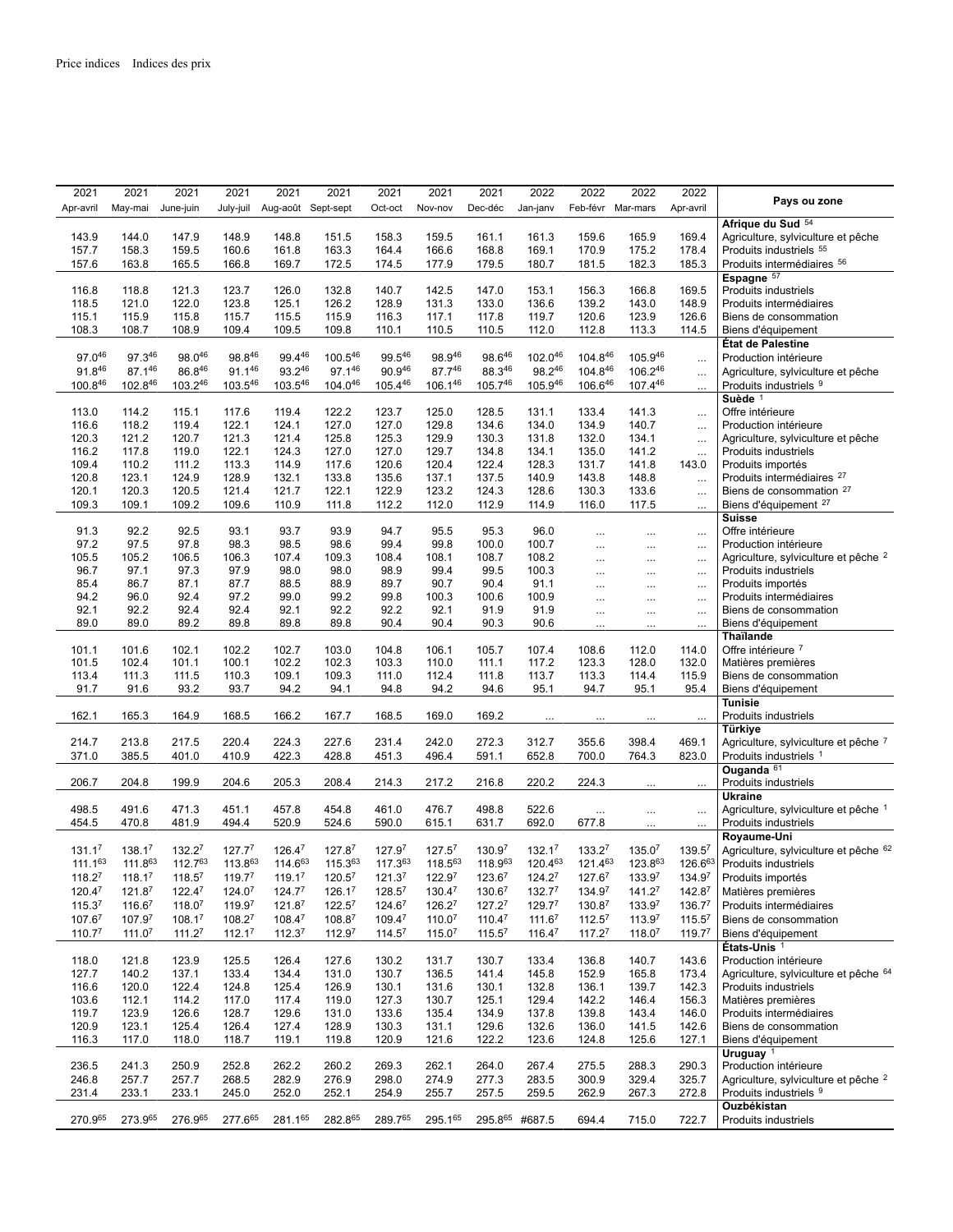| 2021               | 2021               | 2021               | 2021               | 2021               | 2021      | 2021               | 2021               | 2021               | 2022               | 2022               | 2022               | 2022               |                                                 |
|--------------------|--------------------|--------------------|--------------------|--------------------|-----------|--------------------|--------------------|--------------------|--------------------|--------------------|--------------------|--------------------|-------------------------------------------------|
| Apr-avril          | May-mai            | June-juin          | July-juil          | Aug-août Sept-sept |           | Oct-oct            | Nov-nov            | Dec-déc            | Jan-janv           | Feb-févr Mar-mars  |                    | Apr-avril          | Pays ou zone                                    |
|                    |                    |                    |                    |                    |           |                    |                    |                    |                    |                    |                    |                    | Afrique du Sud 54                               |
| 143.9              | 144.0              | 147.9              | 148.9              | 148.8              | 151.5     | 158.3              | 159.5              | 161.1              | 161.3              | 159.6              | 165.9              | 169.4              |                                                 |
|                    |                    |                    |                    |                    |           |                    |                    |                    |                    |                    |                    |                    | Agriculture, sylviculture et pêche              |
| 157.7              | 158.3              | 159.5              | 160.6              | 161.8              | 163.3     | 164.4              | 166.6              | 168.8              | 169.1              | 170.9              | 175.2              | 178.4              | Produits industriels 55                         |
| 157.6              | 163.8              | 165.5              | 166.8              | 169.7              | 172.5     | 174.5              | 177.9              | 179.5              | 180.7              | 181.5              | 182.3              | 185.3              | Produits intermédiaires 56                      |
|                    |                    |                    |                    |                    |           |                    |                    |                    |                    |                    |                    |                    | Espagne 57                                      |
| 116.8              | 118.8              | 121.3              | 123.7              | 126.0              | 132.8     | 140.7              | 142.5              | 147.0              | 153.1              | 156.3              | 166.8              | 169.5              | Produits industriels                            |
| 118.5              | 121.0              | 122.0              | 123.8              | 125.1              | 126.2     | 128.9              | 131.3              | 133.0              | 136.6              | 139.2              | 143.0              | 148.9              | Produits intermédiaires                         |
| 115.1              | 115.9              | 115.8              | 115.7              | 115.5              | 115.9     | 116.3              | 117.1              | 117.8              | 119.7              | 120.6              | 123.9              | 126.6              | Biens de consommation                           |
| 108.3              | 108.7              | 108.9              | 109.4              | 109.5              | 109.8     | 110.1              | 110.5              | 110.5              | 112.0              | 112.8              | 113.3              | 114.5              | Biens d'équipement                              |
|                    |                    |                    |                    |                    |           |                    |                    |                    |                    |                    |                    |                    | État de Palestine                               |
| 97.046             | 97.346             | 98.046             | 98.846             | 99.446             | 100.546   | 99.546             | 98.946             | 98.646             | 102.046            | 104.846            | 105.946            |                    | Production intérieure                           |
| $91.8^{46}$        | 87.146             | $86.8^{46}$        | $91.1^{46}$        | 93.246             | 97.146    | 90.946             | $87.7^{46}$        | 88.346             | 98.246             | $104.8^{46}$       | 106.246            | $\cdots$           |                                                 |
|                    |                    |                    |                    |                    |           |                    |                    |                    |                    |                    |                    | $\ldots$           | Agriculture, sylviculture et pêche              |
| 100.846            | 102.846            | 103.246            | 103.546            | 103.546            | 104.046   | 105.446            | 106.146            | 105.746            | 105.946            | 106.646            | 107.446            | $\cdots$           | Produits industriels 9                          |
|                    |                    |                    |                    |                    |           |                    |                    |                    |                    |                    |                    |                    | Suède <sup>1</sup>                              |
| 113.0              | 114.2              | 115.1              | 117.6              | 119.4              | 122.2     | 123.7              | 125.0              | 128.5              | 131.1              | 133.4              | 141.3              | $\ldots$           | Offre intérieure                                |
| 116.6              | 118.2              | 119.4              | 122.1              | 124.1              | 127.0     | 127.0              | 129.8              | 134.6              | 134.0              | 134.9              | 140.7              | $\ldots$           | Production intérieure                           |
| 120.3              | 121.2              | 120.7              | 121.3              | 121.4              | 125.8     | 125.3              | 129.9              | 130.3              | 131.8              | 132.0              | 134.1              | $\ddotsc$          | Agriculture, sylviculture et pêche              |
| 116.2              | 117.8              | 119.0              | 122.1              | 124.3              | 127.0     | 127.0              | 129.7              | 134.8              | 134.1              | 135.0              | 141.2              | $\ddotsc$          | Produits industriels                            |
| 109.4              | 110.2              | 111.2              | 113.3              | 114.9              | 117.6     | 120.6              | 120.4              | 122.4              | 128.3              | 131.7              | 141.8              | 143.0              | Produits importés                               |
| 120.8              | 123.1              | 124.9              | 128.9              | 132.1              | 133.8     | 135.6              | 137.1              | 137.5              | 140.9              | 143.8              | 148.8              | $\ldots$           | Produits intermédiaires <sup>27</sup>           |
| 120.1              | 120.3              | 120.5              | 121.4              | 121.7              | 122.1     | 122.9              | 123.2              | 124.3              | 128.6              | 130.3              | 133.6              |                    | Biens de consommation <sup>27</sup>             |
|                    |                    |                    |                    |                    |           |                    |                    |                    |                    |                    |                    | $\ldots$           |                                                 |
| 109.3              | 109.1              | 109.2              | 109.6              | 110.9              | 111.8     | 112.2              | 112.0              | 112.9              | 114.9              | 116.0              | 117.5              | $\ldots$           | Biens d'équipement <sup>27</sup>                |
|                    |                    |                    |                    |                    |           |                    |                    |                    |                    |                    |                    |                    | <b>Suisse</b>                                   |
| 91.3               | 92.2               | 92.5               | 93.1               | 93.7               | 93.9      | 94.7               | 95.5               | 95.3               | 96.0               | $\cdots$           | $\cdots$           | $\ldots$           | Offre intérieure                                |
| 97.2               | 97.5               | 97.8               | 98.3               | 98.5               | 98.6      | 99.4               | 99.8               | 100.0              | 100.7              | $\cdots$           | $\cdots$           | $\cdots$           | Production intérieure                           |
| 105.5              | 105.2              | 106.5              | 106.3              | 107.4              | 109.3     | 108.4              | 108.1              | 108.7              | 108.2              | $\cdots$           | $\cdots$           | $\ldots$           | Agriculture, sylviculture et pêche <sup>2</sup> |
| 96.7               | 97.1               | 97.3               | 97.9               | 98.0               | 98.0      | 98.9               | 99.4               | 99.5               | 100.3              | $\cdots$           | $\cdots$           | $\cdots$           | <b>Produits industriels</b>                     |
| 85.4               | 86.7               | 87.1               | 87.7               | 88.5               | 88.9      | 89.7               | 90.7               | 90.4               | 91.1               | $\cdots$           | $\cdots$           | $\cdots$           | Produits importés                               |
| 94.2               | 96.0               | 92.4               | 97.2               | 99.0               | 99.2      | 99.8               | 100.3              | 100.6              | 100.9              | $\cdots$           |                    | $\ldots$           | Produits intermédiaires                         |
| 92.1               | 92.2               | 92.4               | 92.4               | 92.1               | 92.2      | 92.2               | 92.1               | 91.9               | 91.9               | $\cdots$           | $\cdots$           | $\cdots$           | Biens de consommation                           |
| 89.0               | 89.0               | 89.2               | 89.8               | 89.8               | 89.8      | 90.4               | 90.4               | 90.3               | 90.6               |                    |                    | $\cdots$           | Biens d'équipement                              |
|                    |                    |                    |                    |                    |           |                    |                    |                    |                    |                    |                    |                    | <b>Thaïlande</b>                                |
| 101.1              | 101.6              | 102.1              | 102.2              | 102.7              | 103.0     | 104.8              | 106.1              | 105.7              | 107.4              | 108.6              | 112.0              | 114.0              | Offre intérieure 7                              |
|                    |                    |                    |                    |                    | 102.3     |                    |                    |                    | 117.2              |                    |                    |                    |                                                 |
| 101.5              | 102.4              | 101.1              | 100.1              | 102.2              |           | 103.3              | 110.0              | 111.1              |                    | 123.3              | 128.0              | 132.0              | Matières premières                              |
| 113.4              | 111.3              | 111.5              | 110.3              | 109.1              | 109.3     | 111.0              | 112.4              | 111.8              | 113.7              | 113.3              | 114.4              | 115.9              | Biens de consommation                           |
| 91.7               | 91.6               | 93.2               | 93.7               | 94.2               | 94.1      | 94.8               | 94.2               | 94.6               | 95.1               | 94.7               | 95.1               | 95.4               | Biens d'équipement                              |
|                    |                    |                    |                    |                    |           |                    |                    |                    |                    |                    |                    |                    | <b>Tunisie</b>                                  |
| 162.1              | 165.3              | 164.9              | 168.5              | 166.2              | 167.7     | 168.5              | 169.0              | 169.2              |                    |                    |                    |                    | Produits industriels                            |
|                    |                    |                    |                    |                    |           |                    |                    |                    |                    |                    |                    |                    | Türkiye                                         |
| 214.7              | 213.8              | 217.5              | 220.4              | 224.3              | 227.6     | 231.4              | 242.0              | 272.3              | 312.7              | 355.6              | 398.4              | 469.1              | Agriculture, sylviculture et pêche 7            |
| 371.0              | 385.5              | 401.0              | 410.9              | 422.3              | 428.8     | 451.3              | 496.4              | 591.1              | 652.8              | 700.0              | 764.3              | 823.0              | Produits industriels 1                          |
|                    |                    |                    |                    |                    |           |                    |                    |                    |                    |                    |                    |                    | Ouganda 61                                      |
| 206.7              | 204.8              | 199.9              | 204.6              | 205.3              | 208.4     | 214.3              | 217.2              | 216.8              | 220.2              | 224.3              | $\cdots$           | $\cdots$           | Produits industriels                            |
|                    |                    |                    |                    |                    |           |                    |                    |                    |                    |                    |                    |                    | <b>Ukraine</b>                                  |
| 498.5              | 491.6              | 471.3              | 451.1              | 457.8              | 454.8     | 461.0              | 476.7              | 498.8              | 522.6              |                    |                    |                    | Agriculture, sylviculture et pêche 1            |
| 454.5              | 470.8              | 481.9              | 494.4              | 520.9              | 524.6     | 590.0              | 615.1              | 631.7              | 692.0              | $\ldots$<br>677.8  | $\cdots$           | $\ldots$           | Produits industriels                            |
|                    |                    |                    |                    |                    |           |                    |                    |                    |                    |                    |                    | $\cdots$           | Royaume-Uni                                     |
|                    |                    |                    |                    |                    |           |                    |                    |                    |                    |                    |                    |                    |                                                 |
| 131.1 <sup>7</sup> | 138.17             | 132.27             | 127.7 <sup>7</sup> | 126.47             | 127.87    | 127.97             | 127.5 <sup>7</sup> | 130.97             | 132.17             | 133.27             | 135.07             | 139.5 <sup>7</sup> | Agriculture, sylviculture et pêche 62           |
| $111.1^{63}$       | 111.863            | 112.763            | 113.863            | 114.663            | 115.363   | 117.363            | 118.563            | 118.963            | 120.463            | 121.463            | 123.863            | 126.663            | Produits industriels                            |
| 118.27             | 118.17             | 118.5 <sup>7</sup> | 119.77             | 119.17             | 120.57    | 121.37             | 122.97             | 123.67             | 124.27             | 127.67             | 133.97             | 134.97             | Produits importés                               |
| $120.4^7$          | 121.8 <sup>7</sup> | $122.4^7$          | 124.0 <sup>7</sup> | $124.7^7$          | $126.1^7$ | $128.5^7$          | 130.4 <sup>7</sup> | 130.6 <sup>7</sup> | 132.7 <sup>7</sup> | 134.97             | 141.2 <sup>7</sup> | 142.8 <sup>7</sup> | Matières premières                              |
| 115.3 <sup>7</sup> | $116.6^7$          | 118.0 <sup>7</sup> | 119.97             | 121.8 <sup>7</sup> | $122.5^7$ | $124.6^7$          | $126.2^7$          | $127.2^7$          | 129.7 <sup>7</sup> | 130.8 <sup>7</sup> | 133.97             | 136.7 <sup>7</sup> | Produits intermédiaires                         |
| $107.6^7$          | 107.97             | $108.1^7$          | $108.2^7$          | $108.4^7$          | $108.8^7$ | 109.47             | 110.0 <sup>7</sup> | $110.4^7$          | 111.6 <sup>7</sup> | $112.5^7$          | 113.9 <sup>7</sup> | $115.5^7$          | Biens de consommation                           |
|                    |                    |                    |                    |                    |           |                    |                    |                    |                    |                    |                    |                    |                                                 |
| 110.77             | 111.0 <sup>7</sup> | 111.2 <sup>7</sup> | 112.1 <sup>7</sup> | 112.37             | 112.97    | 114.5 <sup>7</sup> | 115.07             | 115.5 <sup>7</sup> | 116.47             | 117.27             | 118.07             | 119.7 <sup>7</sup> | Biens d'équipement                              |
|                    |                    |                    |                    |                    |           |                    |                    |                    |                    |                    |                    |                    | États-Unis <sup>1</sup>                         |
| 118.0              | 121.8              | 123.9              | 125.5              | 126.4              | 127.6     | 130.2              | 131.7              | 130.7              | 133.4              | 136.8              | 140.7              | 143.6              | Production intérieure                           |
| 127.7              | 140.2              | 137.1              | 133.4              | 134.4              | 131.0     | 130.7              | 136.5              | 141.4              | 145.8              | 152.9              | 165.8              | 173.4              | Agriculture, sylviculture et pêche 64           |
| 116.6              | 120.0              | 122.4              | 124.8              | 125.4              | 126.9     | 130.1              | 131.6              | 130.1              | 132.8              | 136.1              | 139.7              | 142.3              | Produits industriels                            |
| 103.6              | 112.1              | 114.2              | 117.0              | 117.4              | 119.0     | 127.3              | 130.7              | 125.1              | 129.4              | 142.2              | 146.4              | 156.3              | Matières premières                              |
| 119.7              | 123.9              | 126.6              | 128.7              | 129.6              | 131.0     | 133.6              | 135.4              | 134.9              | 137.8              | 139.8              | 143.4              | 146.0              | Produits intermédiaires                         |
| 120.9              | 123.1              | 125.4              | 126.4              | 127.4              | 128.9     | 130.3              | 131.1              | 129.6              | 132.6              | 136.0              | 141.5              | 142.6              | Biens de consommation                           |
| 116.3              | 117.0              | 118.0              | 118.7              | 119.1              | 119.8     | 120.9              | 121.6              | 122.2              | 123.6              | 124.8              | 125.6              | 127.1              | Biens d'équipement                              |
|                    |                    |                    |                    |                    |           |                    |                    |                    |                    |                    |                    |                    | Uruguay $1$                                     |
| 236.5              | 241.3              | 250.9              | 252.8              | 262.2              | 260.2     | 269.3              | 262.1              | 264.0              | 267.4              | 275.5              | 288.3              | 290.3              | Production intérieure                           |
|                    |                    |                    |                    |                    |           |                    |                    |                    |                    |                    |                    |                    |                                                 |
| 246.8              | 257.7              | 257.7              | 268.5              | 282.9              | 276.9     | 298.0              | 274.9              | 277.3              | 283.5              | 300.9              | 329.4              | 325.7              | Agriculture, sylviculture et pêche <sup>2</sup> |
| 231.4              | 233.1              | 233.1              | 245.0              | 252.0              | 252.1     | 254.9              | 255.7              | 257.5              | 259.5              | 262.9              | 267.3              | 272.8              | Produits industriels 9                          |
|                    |                    |                    |                    |                    |           |                    |                    |                    |                    |                    |                    |                    | Ouzbékistan                                     |
| 270.965            | 273.965            | 276.965            | 277.665            | 281.165            | 282.865   | 289.765            | 295.165            |                    | 295.865 #687.5     | 694.4              | 715.0              | 722.7              | Produits industriels                            |
|                    |                    |                    |                    |                    |           |                    |                    |                    |                    |                    |                    |                    |                                                 |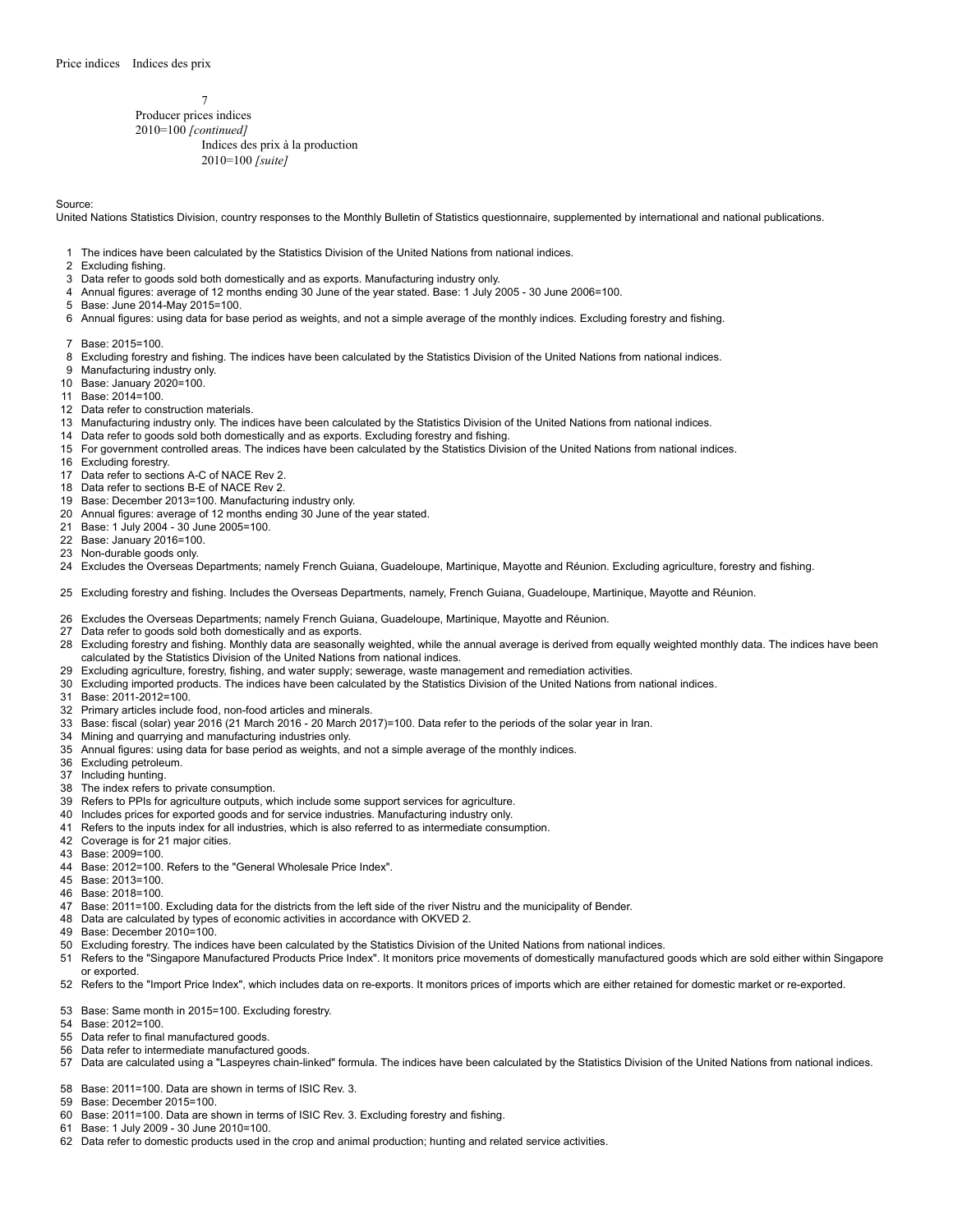Producer prices indices 2010=100 *[continued]* Indices des prix à la production 2010=100 *[suite]*

#### Source:

United Nations Statistics Division, country responses to the Monthly Bulletin of Statistics questionnaire, supplemented by international and national publications.

- The indices have been calculated by the Statistics Division of the United Nations from national indices.
- Excluding fishing.
- Data refer to goods sold both domestically and as exports. Manufacturing industry only.
- Annual figures: average of 12 months ending 30 June of the year stated. Base: 1 July 2005 30 June 2006=100.
- Base: June 2014-May 2015=100.
- Annual figures: using data for base period as weights, and not a simple average of the monthly indices. Excluding forestry and fishing.
- Base: 2015=100.
- Excluding forestry and fishing. The indices have been calculated by the Statistics Division of the United Nations from national indices.
- Manufacturing industry only.
- Base: January 2020=100.
- Base: 2014=100.
- Data refer to construction materials.
- Manufacturing industry only. The indices have been calculated by the Statistics Division of the United Nations from national indices.
- Data refer to goods sold both domestically and as exports. Excluding forestry and fishing.
- For government controlled areas. The indices have been calculated by the Statistics Division of the United Nations from national indices.
- Excluding forestry.
- Data refer to sections A-C of NACE Rev 2.
- Data refer to sections B-E of NACE Rev 2.
- Base: December 2013=100. Manufacturing industry only.
- Annual figures: average of 12 months ending 30 June of the year stated.
- Base: 1 July 2004 30 June 2005=100.
- 
- Base: January 2016=100.
- Non-durable goods only.

Excludes the Overseas Departments; namely French Guiana, Guadeloupe, Martinique, Mayotte and Réunion. Excluding agriculture, forestry and fishing.

Excluding forestry and fishing. Includes the Overseas Departments, namely, French Guiana, Guadeloupe, Martinique, Mayotte and Réunion.

- Excludes the Overseas Departments; namely French Guiana, Guadeloupe, Martinique, Mayotte and Réunion.
- Data refer to goods sold both domestically and as exports.
- 28 Excluding forestry and fishing. Monthly data are seasonally weighted, while the annual average is derived from equally weighted monthly data. The indices have been calculated by the Statistics Division of the United Nations from national indices.
- Excluding agriculture, forestry, fishing, and water supply; sewerage, waste management and remediation activities.
- Excluding imported products. The indices have been calculated by the Statistics Division of the United Nations from national indices.
- Base: 2011-2012=100.
- Primary articles include food, non-food articles and minerals.
- Base: fiscal (solar) year 2016 (21 March 2016 20 March 2017)=100. Data refer to the periods of the solar year in Iran.
- Mining and quarrying and manufacturing industries only.
- Annual figures: using data for base period as weights, and not a simple average of the monthly indices.
- Excluding petroleum.
- Including hunting.
- The index refers to private consumption.
- Refers to PPIs for agriculture outputs, which include some support services for agriculture.
- Includes prices for exported goods and for service industries. Manufacturing industry only.
- Refers to the inputs index for all industries, which is also referred to as intermediate consumption.
- Coverage is for 21 major cities.
- Base: 2009=100.
- Base: 2012=100. Refers to the "General Wholesale Price Index".
- Base: 2013=100.
- Base: 2018=100.
- Base: 2011=100. Excluding data for the districts from the left side of the river Nistru and the municipality of Bender.
- Data are calculated by types of economic activities in accordance with OKVED 2.
- Base: December 2010=100.
- Excluding forestry. The indices have been calculated by the Statistics Division of the United Nations from national indices.
- Refers to the "Singapore Manufactured Products Price Index". It monitors price movements of domestically manufactured goods which are sold either within Singapore or exported.
- Refers to the "Import Price Index", which includes data on re-exports. It monitors prices of imports which are either retained for domestic market or re-exported.
- Base: Same month in 2015=100. Excluding forestry.
- Base: 2012=100.
- Data refer to final manufactured goods.
- Data refer to intermediate manufactured goods.
- Data are calculated using a "Laspeyres chain-linked" formula. The indices have been calculated by the Statistics Division of the United Nations from national indices.
- Base: 2011=100. Data are shown in terms of ISIC Rev. 3.
- Base: December 2015=100.
- Base: 2011=100. Data are shown in terms of ISIC Rev. 3. Excluding forestry and fishing.
- Base: 1 July 2009 30 June 2010=100.
- Data refer to domestic products used in the crop and animal production; hunting and related service activities.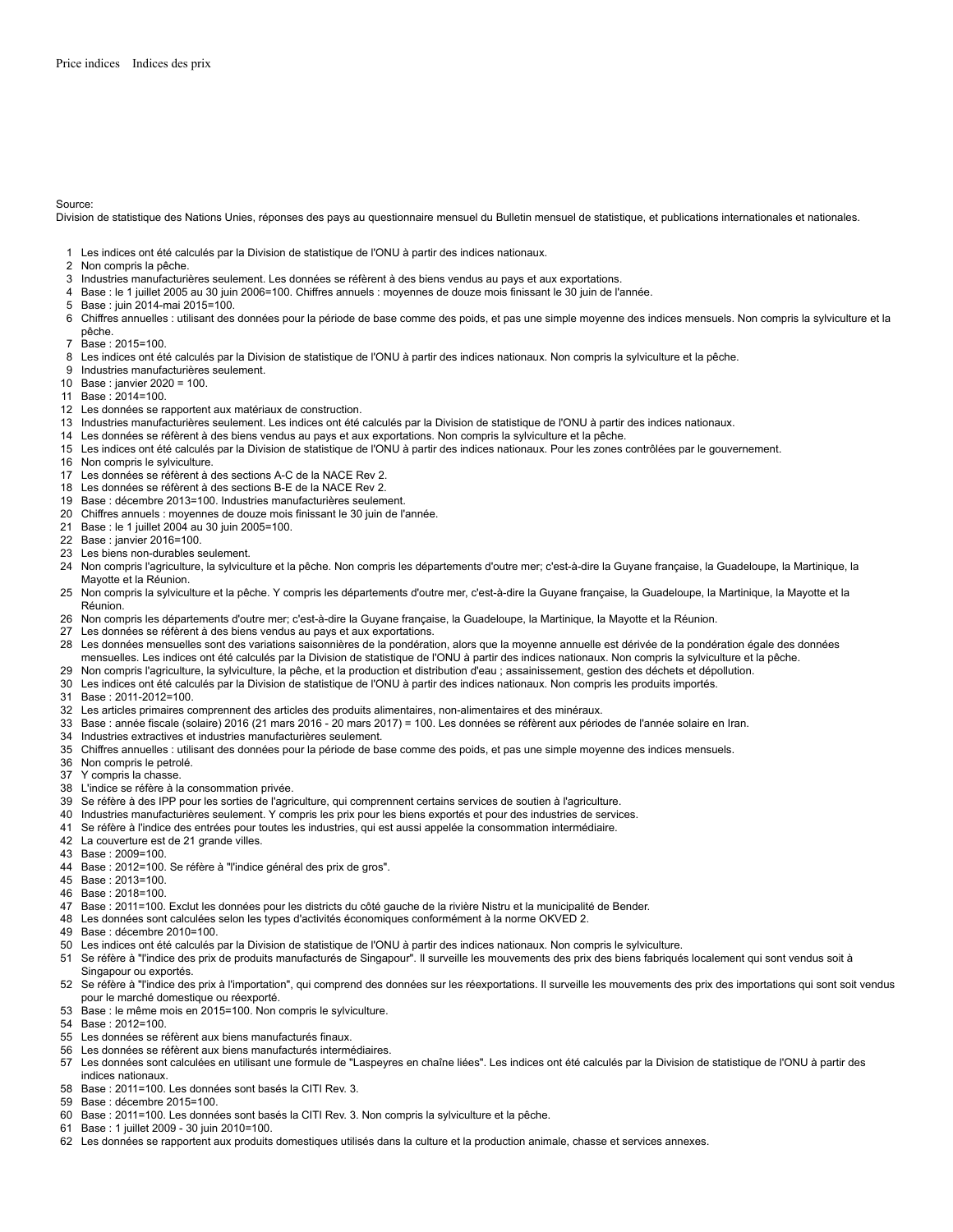Source:

Division de statistique des Nations Unies, réponses des pays au questionnaire mensuel du Bulletin mensuel de statistique, et publications internationales et nationales.

- Les indices ont été calculés par la Division de statistique de l'ONU à partir des indices nationaux.
- Non compris la pêche.
- Industries manufacturières seulement. Les données se réfèrent à des biens vendus au pays et aux exportations.
- Base : le 1 juillet 2005 au 30 juin 2006=100. Chiffres annuels : moyennes de douze mois finissant le 30 juin de l'année.
- Base : juin 2014-mai 2015=100.
- Chiffres annuelles : utilisant des données pour la période de base comme des poids, et pas une simple moyenne des indices mensuels. Non compris la sylviculture et la pêche.
- Base : 2015=100.
- Les indices ont été calculés par la Division de statistique de l'ONU à partir des indices nationaux. Non compris la sylviculture et la pêche.
- Industries manufacturières seulement.
- Base : janvier 2020 = 100.
- Base : 2014=100.
- Les données se rapportent aux matériaux de construction.
- Industries manufacturières seulement. Les indices ont été calculés par la Division de statistique de l'ONU à partir des indices nationaux.
- Les données se réfèrent à des biens vendus au pays et aux exportations. Non compris la sylviculture et la pêche.
- Les indices ont été calculés par la Division de statistique de l'ONU à partir des indices nationaux. Pour les zones contrôlées par le gouvernement.
- Non compris le sylviculture.
- Les données se réfèrent à des sections A-C de la NACE Rev 2.
- Les données se réfèrent à des sections B-E de la NACE Rev 2.
- Base : décembre 2013=100. Industries manufacturières seulement.
- Chiffres annuels : moyennes de douze mois finissant le 30 juin de l'année.
- Base : le 1 juillet 2004 au 30 juin 2005=100.
- Base : janvier 2016=100.
- Les biens non-durables seulement.
- Non compris l'agriculture, la sylviculture et la pêche. Non compris les départements d'outre mer; c'est-à-dire la Guyane française, la Guadeloupe, la Martinique, la Mayotte et la Réunion.
- Non compris la sylviculture et la pêche. Y compris les départements d'outre mer, c'est-à-dire la Guyane française, la Guadeloupe, la Martinique, la Mayotte et la Réunion.
- Non compris les départements d'outre mer; c'est-à-dire la Guyane française, la Guadeloupe, la Martinique, la Mayotte et la Réunion.
- Les données se réfèrent à des biens vendus au pays et aux exportations.
- 28 Les données mensuelles sont des variations saisonnières de la pondération, alors que la moyenne annuelle est dérivée de la pondération égale des données mensuelles. Les indices ont été calculés par la Division de statistique de l'ONU à partir des indices nationaux. Non compris la sylviculture et la pêche.
- Non compris l'agriculture, la sylviculture, la pêche, et la production et distribution d'eau ; assainissement, gestion des déchets et dépollution.
- Les indices ont été calculés par la Division de statistique de l'ONU à partir des indices nationaux. Non compris les produits importés.
- Base : 2011-2012=100.
- Les articles primaires comprennent des articles des produits alimentaires, non-alimentaires et des minéraux.
- Base : année fiscale (solaire) 2016 (21 mars 2016 20 mars 2017) = 100. Les données se réfèrent aux périodes de l'année solaire en Iran.
- Industries extractives et industries manufacturières seulement.
- Chiffres annuelles : utilisant des données pour la période de base comme des poids, et pas une simple moyenne des indices mensuels.
- Non compris le petrolé.
- Y compris la chasse.
- L'indice se réfère à la consommation privée.
- Se réfère à des IPP pour les sorties de l'agriculture, qui comprennent certains services de soutien à l'agriculture.
- Industries manufacturières seulement. Y compris les prix pour les biens exportés et pour des industries de services.
- Se réfère à l'indice des entrées pour toutes les industries, qui est aussi appelée la consommation intermédiaire.
- La couverture est de 21 grande villes.
- Base : 2009=100.
- Base : 2012=100. Se réfère à "l'indice général des prix de gros".
- Base : 2013=100.
- Base : 2018=100.
- Base : 2011=100. Exclut les données pour les districts du côté gauche de la rivière Nistru et la municipalité de Bender.
- Les données sont calculées selon les types d'activités économiques conformément à la norme OKVED 2.
- Base : décembre 2010=100.
- Les indices ont été calculés par la Division de statistique de l'ONU à partir des indices nationaux. Non compris le sylviculture.
- Se réfère à "l'indice des prix de produits manufacturés de Singapour". Il surveille les mouvements des prix des biens fabriqués localement qui sont vendus soit à Singapour ou exportés.
- 52 Se réfère à "l'indice des prix à l'importation", qui comprend des données sur les réexportations. Il surveille les mouvements des prix des importations qui sont soit vendus pour le marché domestique ou réexporté.
- Base : le même mois en 2015=100. Non compris le sylviculture.
- Base : 2012=100.
- Les données se réfèrent aux biens manufacturés finaux.
- Les données se réfèrent aux biens manufacturés intermédiaires.
- 57 Les données sont calculées en utilisant une formule de "Laspeyres en chaîne liées". Les indices ont été calculés par la Division de statistique de l'ONU à partir des indices nationaux.
- Base : 2011=100. Les données sont basés la CITI Rev. 3.
- Base : décembre 2015=100.
- Base : 2011=100. Les données sont basés la CITI Rev. 3. Non compris la sylviculture et la pêche.
- Base : 1 juillet 2009 30 juin 2010=100.
- Les données se rapportent aux produits domestiques utilisés dans la culture et la production animale, chasse et services annexes.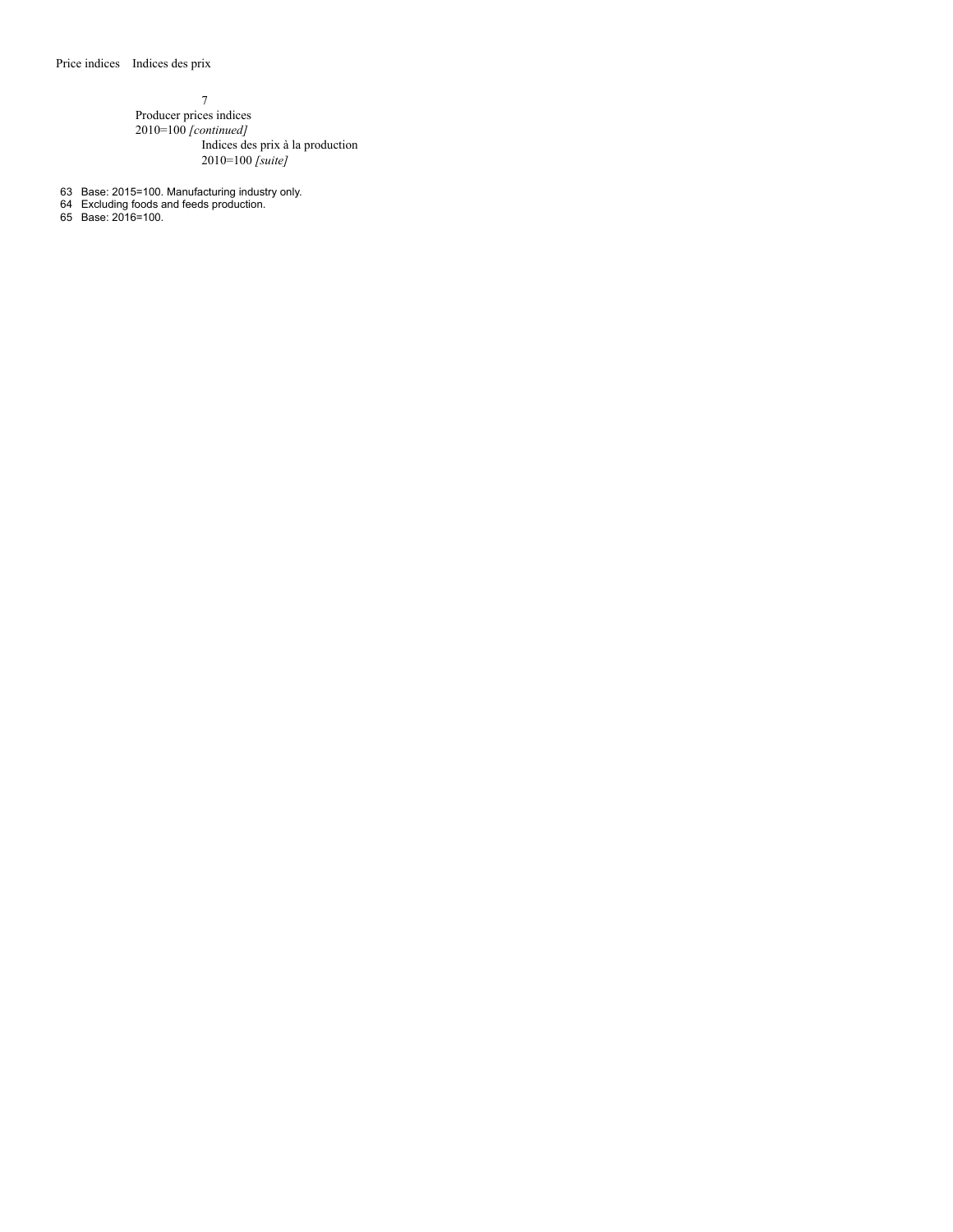7 Producer prices indices 2010=100 *[continued]* Indices des prix à la production 2010=100 *[suite]*

- 63 Base: 2015=100. Manufacturing industry only.
- 64 Excluding foods and feeds production.

65 Base: 2016=100.